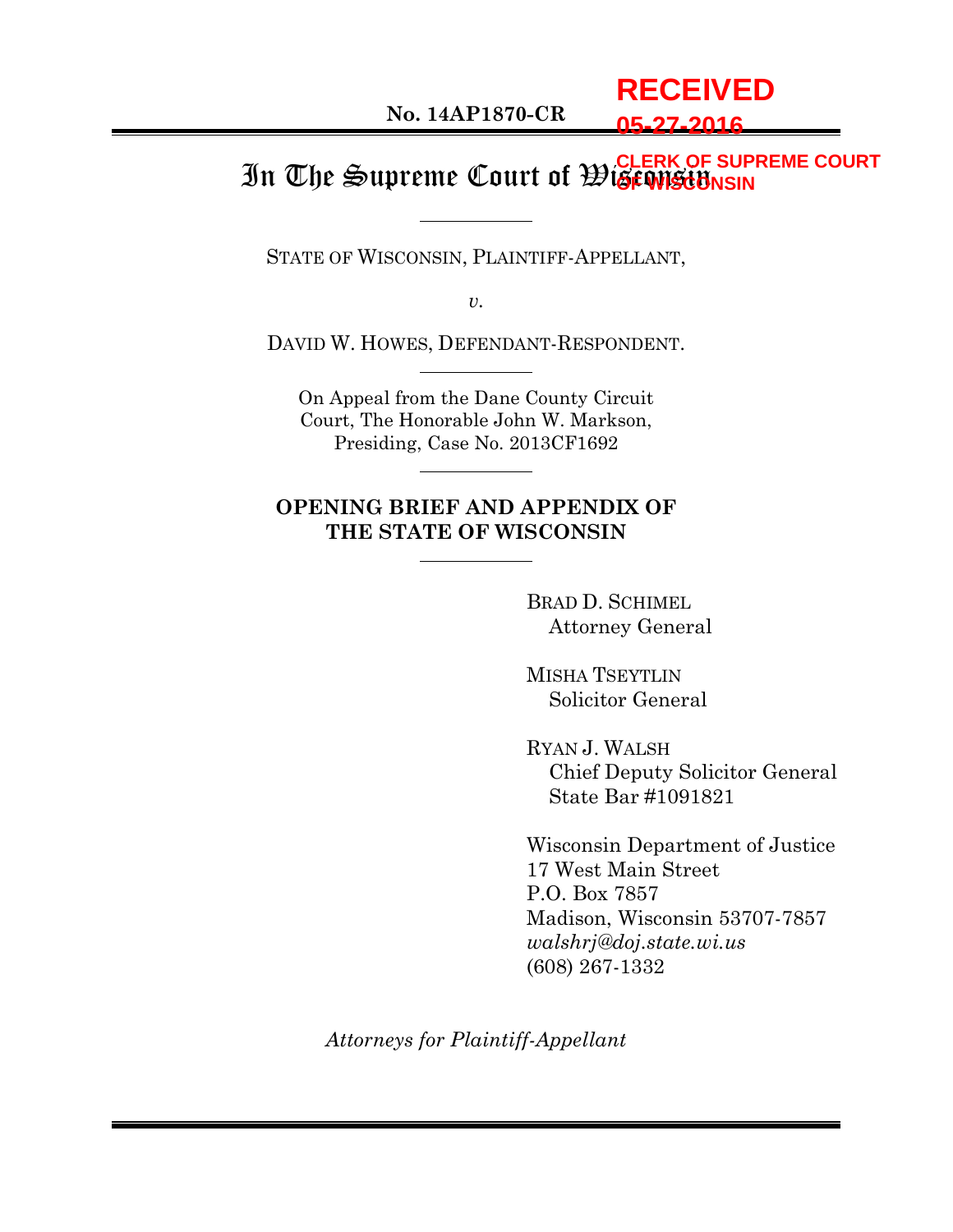**No. 14AP1870-CR**

# **RECEIVED 05-27-2016**

#### In The Supreme Court of Wisconsin **CLERK OF SUPREME COURT OF WISCONSIN**

STATE OF WISCONSIN, PLAINTIFF-APPELLANT,

*v.*

DAVID W. HOWES, DEFENDANT-RESPONDENT.

On Appeal from the Dane County Circuit Court, The Honorable John W. Markson, Presiding, Case No. 2013CF1692

## **OPENING BRIEF AND APPENDIX OF THE STATE OF WISCONSIN**

BRAD D. SCHIMEL Attorney General

MISHA TSEYTLIN Solicitor General

RYAN J. WALSH Chief Deputy Solicitor General State Bar #1091821

Wisconsin Department of Justice 17 West Main Street P.O. Box 7857 Madison, Wisconsin 53707-7857 *walshrj@doj.state.wi.us* (608) 267-1332

*Attorneys for Plaintiff-Appellant*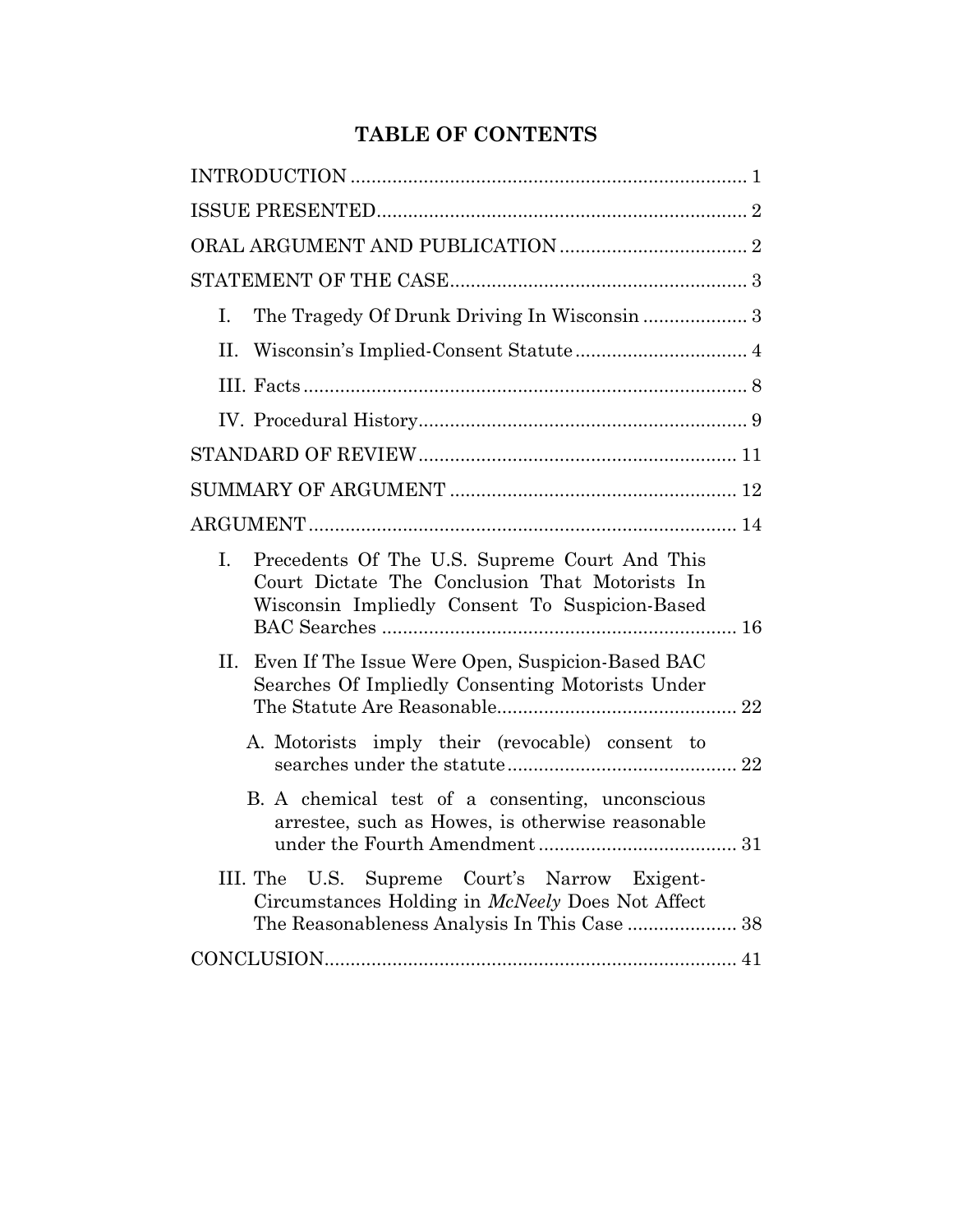# **TABLE OF CONTENTS**

| L.                                                                                                                                                      |
|---------------------------------------------------------------------------------------------------------------------------------------------------------|
| $\Pi^-$                                                                                                                                                 |
|                                                                                                                                                         |
|                                                                                                                                                         |
|                                                                                                                                                         |
|                                                                                                                                                         |
|                                                                                                                                                         |
| Precedents Of The U.S. Supreme Court And This<br>I.<br>Court Dictate The Conclusion That Motorists In<br>Wisconsin Impliedly Consent To Suspicion-Based |
| Even If The Issue Were Open, Suspicion-Based BAC<br>II.<br>Searches Of Impliedly Consenting Motorists Under                                             |
| A. Motorists imply their (revocable) consent to                                                                                                         |
| B. A chemical test of a consenting, unconscious<br>arrestee, such as Howes, is otherwise reasonable                                                     |
| U.S. Supreme Court's Narrow Exigent-<br>III. The<br>Circumstances Holding in <i>McNeely</i> Does Not Affect                                             |
|                                                                                                                                                         |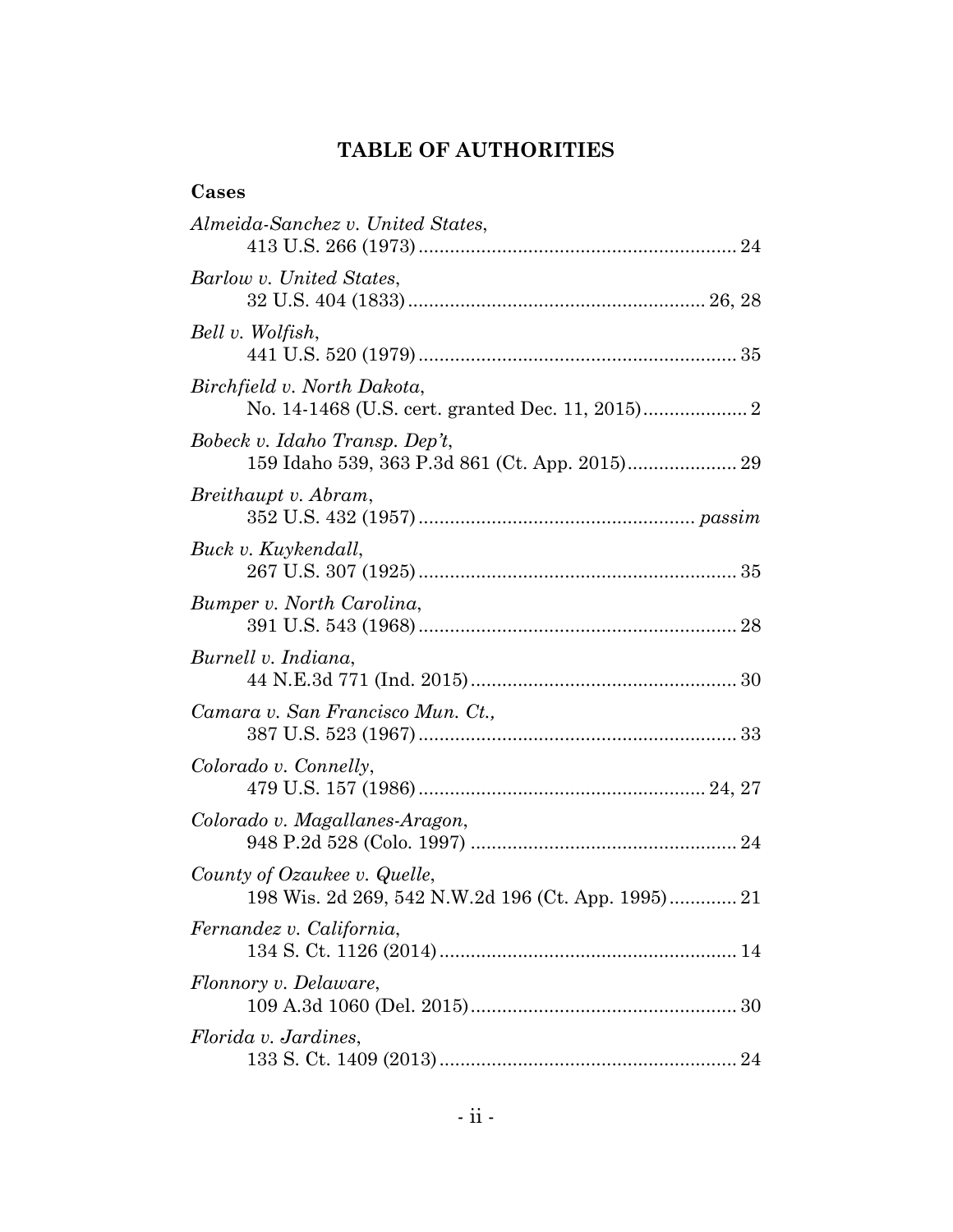# **TABLE OF AUTHORITIES**

| Cases                                                                              |
|------------------------------------------------------------------------------------|
| Almeida-Sanchez v. United States,                                                  |
| Barlow v. United States,                                                           |
| Bell v. Wolfish,                                                                   |
| Birchfield v. North Dakota,                                                        |
| Bobeck v. Idaho Transp. Dep't,<br>159 Idaho 539, 363 P.3d 861 (Ct. App. 2015) 29   |
| Breithaupt v. Abram,                                                               |
| Buck v. Kuykendall,                                                                |
| Bumper v. North Carolina,                                                          |
| Burnell v. Indiana,                                                                |
| Camara v. San Francisco Mun. Ct.,                                                  |
| Colorado v. Connelly,                                                              |
| Colorado v. Magallanes-Aragon,                                                     |
| County of Ozaukee v. Quelle,<br>198 Wis. 2d 269, 542 N.W.2d 196 (Ct. App. 1995) 21 |
| Fernandez v. California,                                                           |
| Flonnory v. Delaware,                                                              |
| Florida v. Jardines,                                                               |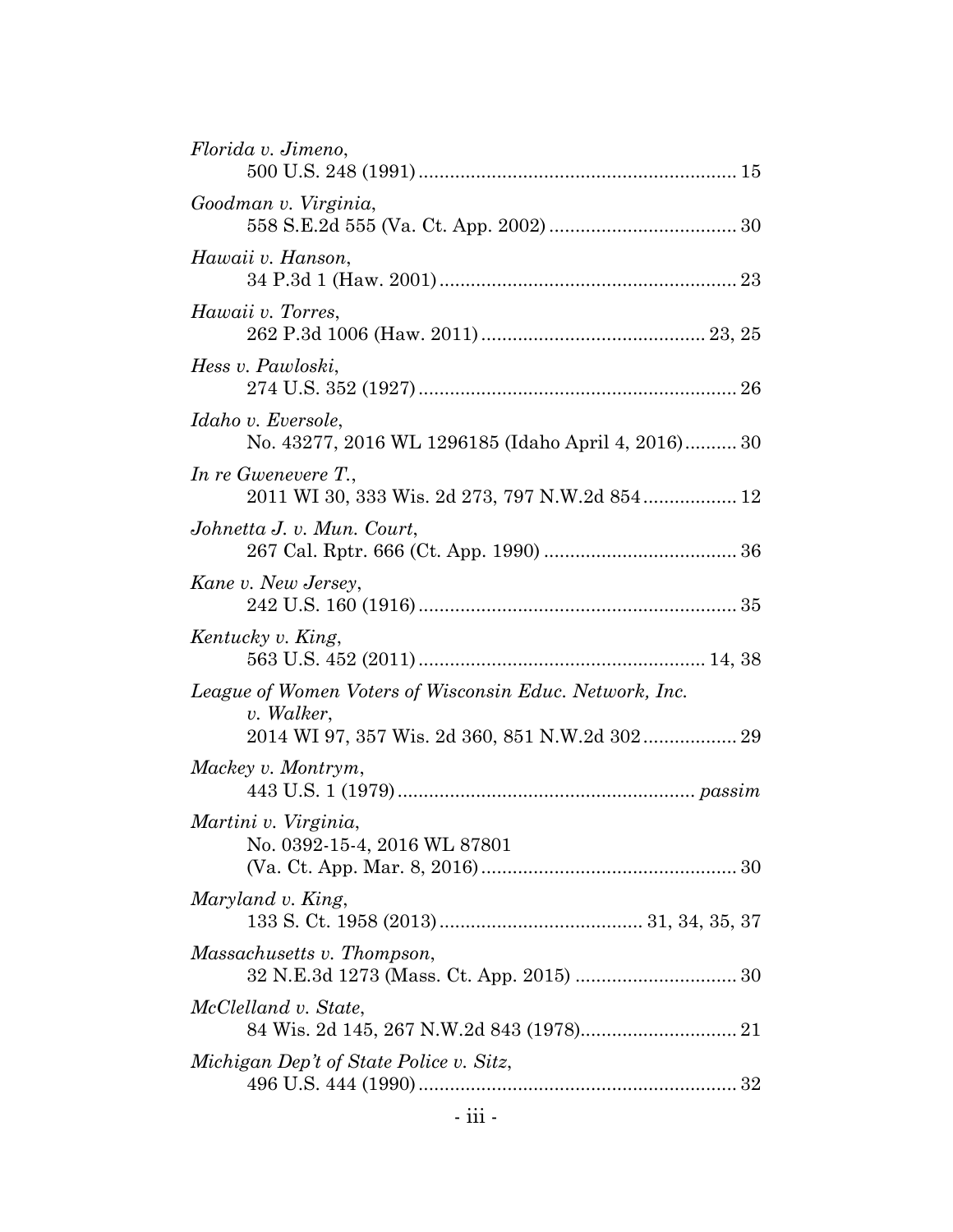| Florida v. Jimeno,                                                              |
|---------------------------------------------------------------------------------|
| Goodman v. Virginia,                                                            |
| Hawaii v. Hanson,                                                               |
| Hawaii v. Torres,                                                               |
| Hess v. Pawloski,                                                               |
| Idaho v. Eversole,<br>No. 43277, 2016 WL 1296185 (Idaho April 4, 2016) 30       |
| In re Gwenevere $T_{\cdot}$ ,<br>2011 WI 30, 333 Wis. 2d 273, 797 N.W.2d 854 12 |
| Johnetta J. v. Mun. Court,                                                      |
| Kane v. New Jersey,                                                             |
| Kentucky v. King,                                                               |
| League of Women Voters of Wisconsin Educ. Network, Inc.<br>v. Walker,           |
| Mackey v. Montrym,                                                              |
| Martini v. Virginia,<br>No. 0392-15-4, 2016 WL 87801                            |
| Maryland v. King,                                                               |
|                                                                                 |
| Massachusetts v. Thompson,                                                      |
| McClelland v. State,                                                            |
| Michigan Dep't of State Police v. Sitz,                                         |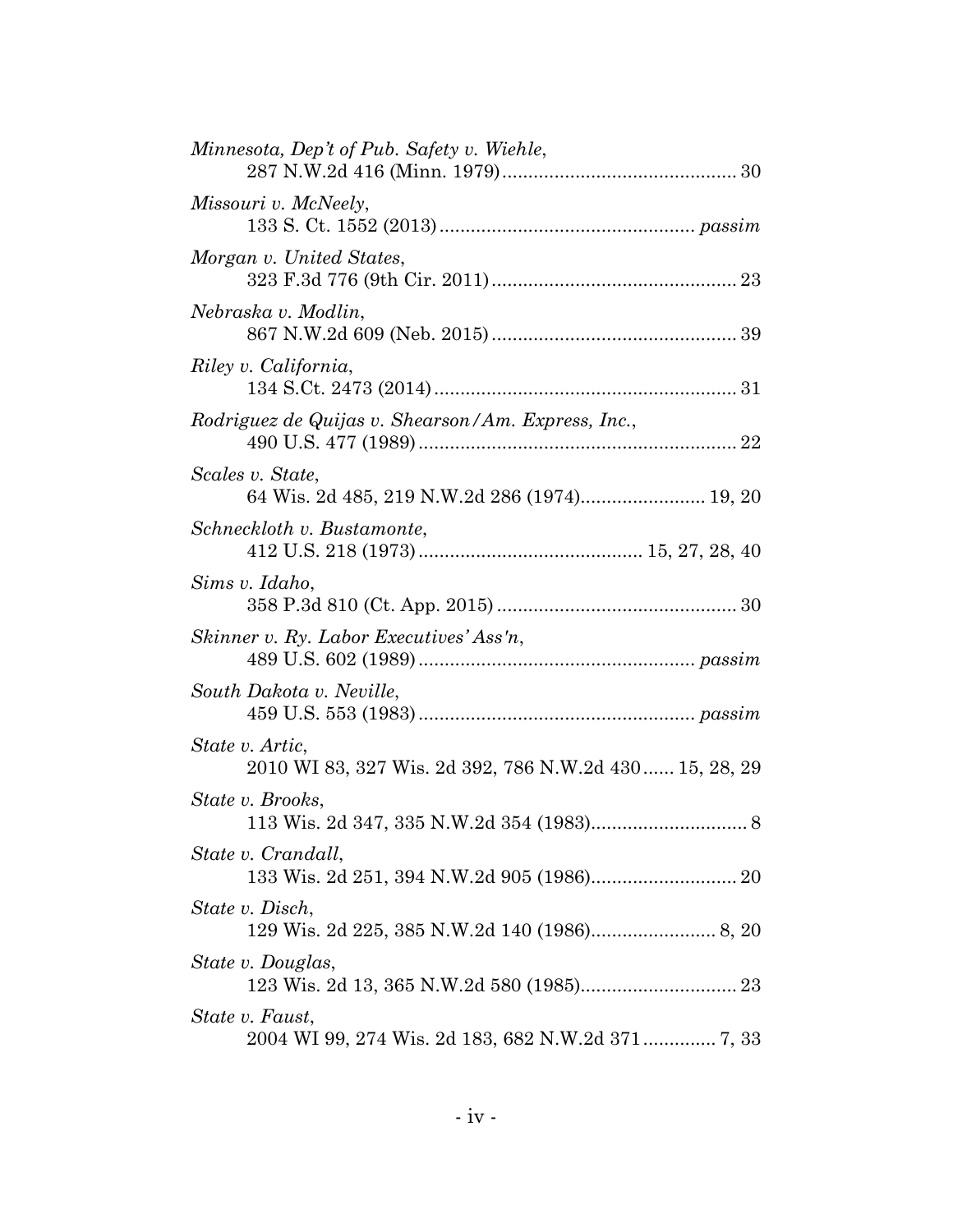| Minnesota, Dep't of Pub. Safety v. Wiehle,                                 |
|----------------------------------------------------------------------------|
| Missouri v. McNeely,                                                       |
| Morgan v. United States,                                                   |
| Nebraska v. Modlin,                                                        |
| Riley v. California,                                                       |
| Rodriguez de Quijas v. Shearson/Am. Express, Inc.,                         |
| Scales v. State,<br>64 Wis. 2d 485, 219 N.W.2d 286 (1974) 19, 20           |
| Schneckloth v. Bustamonte,                                                 |
| Sims v. Idaho,                                                             |
| Skinner v. Ry. Labor Executives' Ass'n,                                    |
| South Dakota v. Neville,                                                   |
| State v. Artic,<br>2010 WI 83, 327 Wis. 2d 392, 786 N.W.2d 430  15, 28, 29 |
| State v. Brooks.                                                           |
| State v. Crandall,<br>133 Wis. 2d 251, 394 N.W.2d 905 (1986) 20            |
| State v. Disch,                                                            |
| State v. Douglas,                                                          |
| State v. Faust,                                                            |
|                                                                            |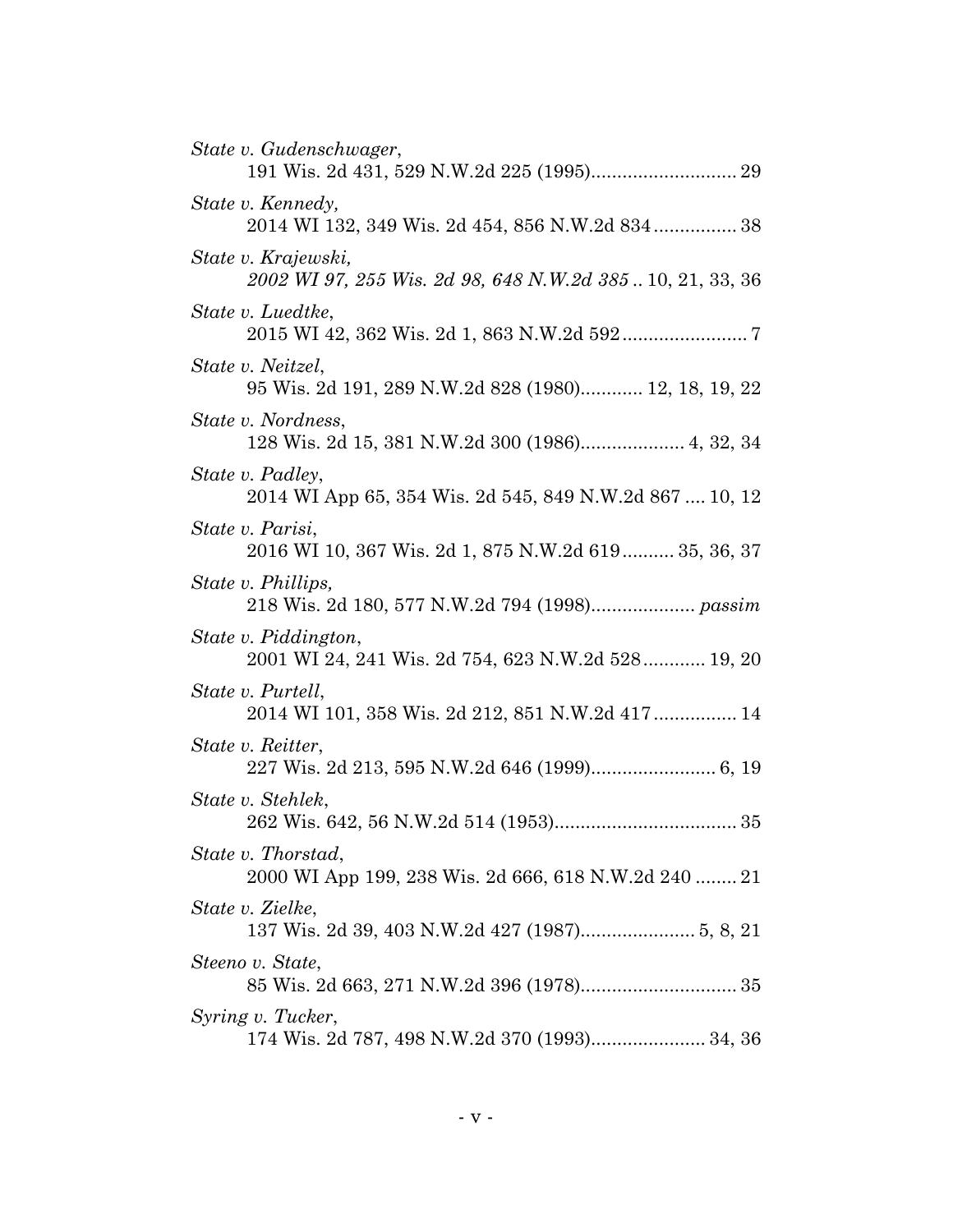| State v. Gudenschwager,                                                         |
|---------------------------------------------------------------------------------|
| State v. Kennedy,<br>2014 WI 132, 349 Wis. 2d 454, 856 N.W.2d 834 38            |
| State v. Krajewski,<br>2002 WI 97, 255 Wis. 2d 98, 648 N.W.2d 38510, 21, 33, 36 |
| State v. Luedtke.                                                               |
| State v. Neitzel,<br>95 Wis. 2d 191, 289 N.W.2d 828 (1980) 12, 18, 19, 22       |
| State v. Nordness,                                                              |
| State v. Padley,<br>2014 WI App 65, 354 Wis. 2d 545, 849 N.W.2d 867  10, 12     |
| State v. Parisi,<br>2016 WI 10, 367 Wis. 2d 1, 875 N.W.2d 619 35, 36, 37        |
| State v. Phillips,                                                              |
| State v. Piddington,<br>2001 WI 24, 241 Wis. 2d 754, 623 N.W.2d 528 19, 20      |
| State v. Purtell,<br>2014 WI 101, 358 Wis. 2d 212, 851 N.W.2d 417  14           |
| State v. Reitter,                                                               |
| State v. Stehlek,                                                               |
| State v. Thorstad,<br>2000 WI App 199, 238 Wis. 2d 666, 618 N.W.2d 240  21      |
| State v. Zielke,                                                                |
| Steeno v. State,                                                                |
| Syring v. Tucker,<br>174 Wis. 2d 787, 498 N.W.2d 370 (1993) 34, 36              |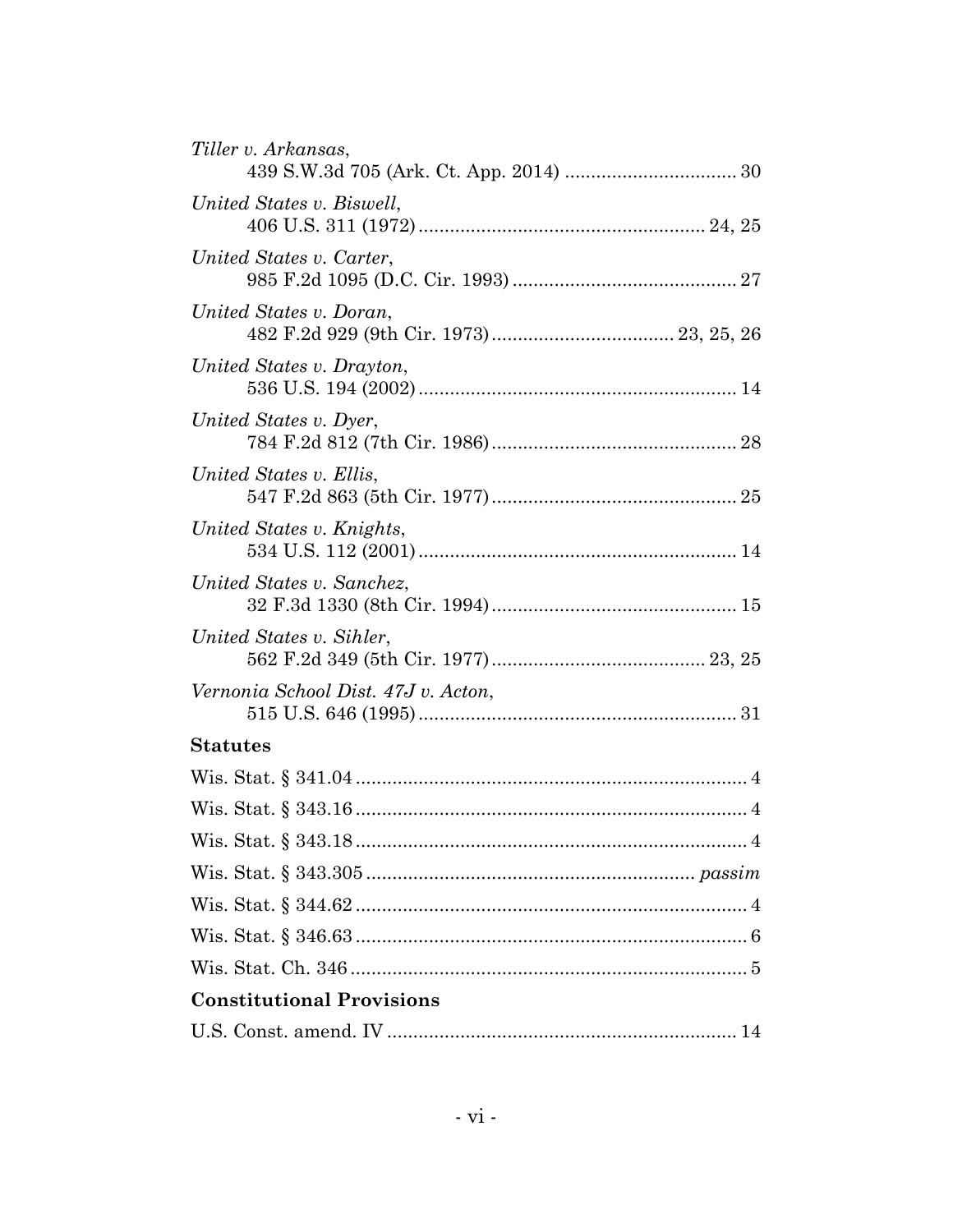| Tiller v. Arkansas,                 |
|-------------------------------------|
| United States v. Biswell,           |
| United States v. Carter,            |
| United States v. Doran,             |
| United States v. Drayton,           |
| United States v. Dyer,              |
| United States v. Ellis,             |
| United States v. Knights,           |
| United States v. Sanchez,           |
| United States v. Sihler,            |
| Vernonia School Dist. 47J v. Acton, |
| <b>Statutes</b>                     |
|                                     |
|                                     |
|                                     |
|                                     |
|                                     |
|                                     |
|                                     |
| <b>Constitutional Provisions</b>    |
|                                     |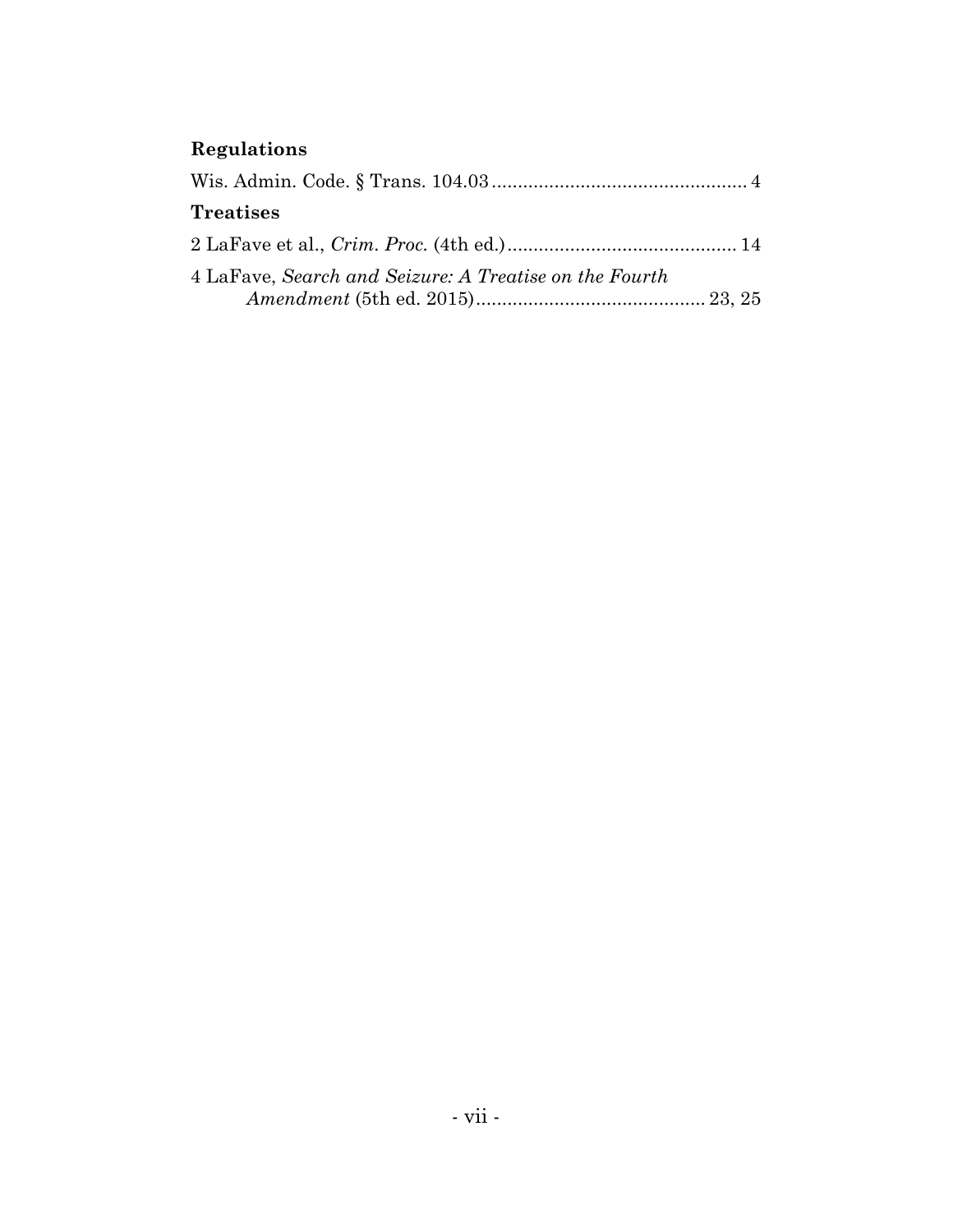# **Regulations**

| <b>Treatises</b>                                       |  |
|--------------------------------------------------------|--|
|                                                        |  |
| 4 LaFave, Search and Seizure: A Treatise on the Fourth |  |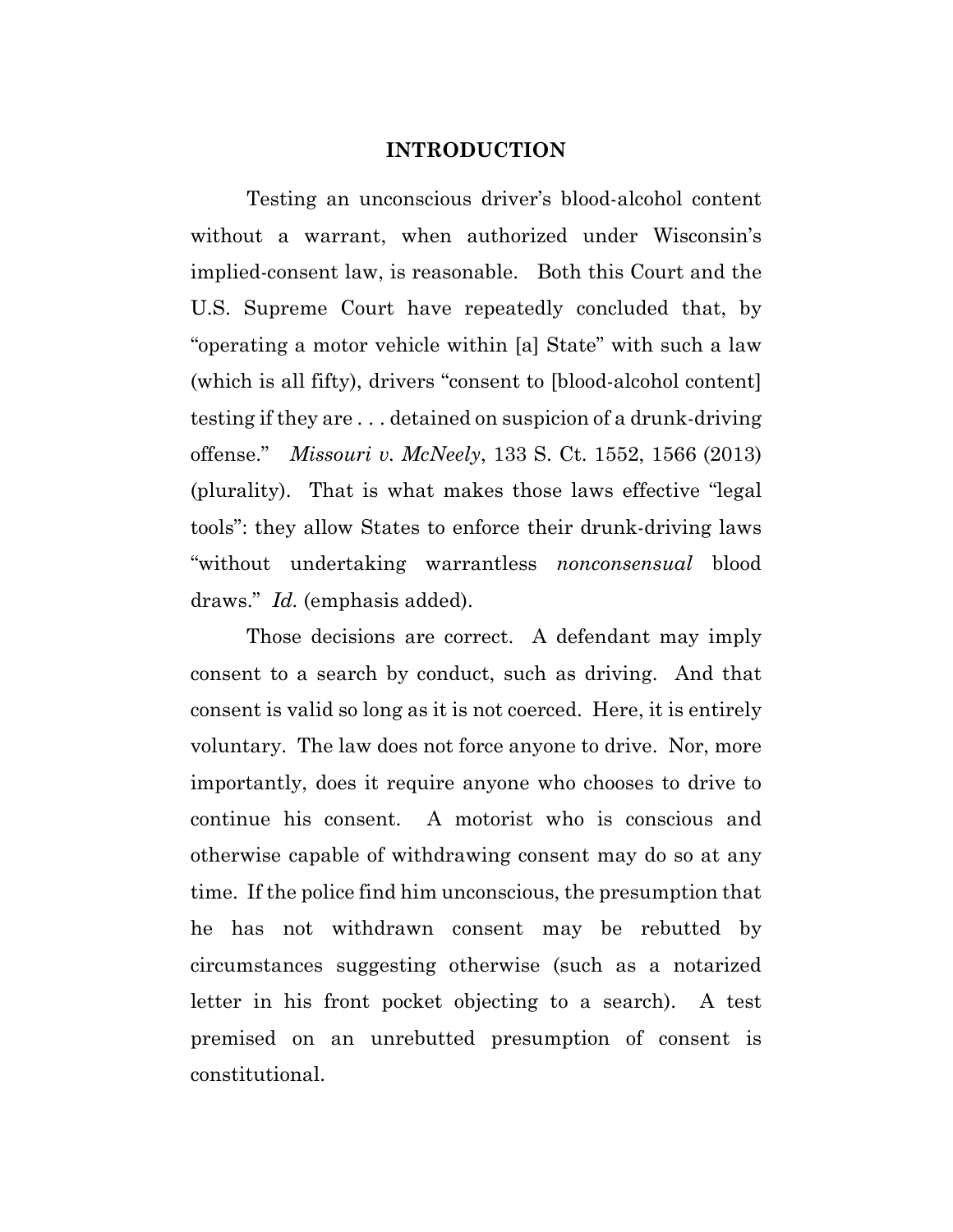#### **INTRODUCTION**

Testing an unconscious driver's blood-alcohol content without a warrant, when authorized under Wisconsin's implied-consent law, is reasonable. Both this Court and the U.S. Supreme Court have repeatedly concluded that, by "operating a motor vehicle within [a] State" with such a law (which is all fifty), drivers "consent to [blood-alcohol content] testing if they are . . . detained on suspicion of a drunk-driving offense." *Missouri v. McNeely*, 133 S. Ct. 1552, 1566 (2013) (plurality). That is what makes those laws effective "legal tools": they allow States to enforce their drunk-driving laws "without undertaking warrantless *nonconsensual* blood draws." *Id.* (emphasis added).

Those decisions are correct. A defendant may imply consent to a search by conduct, such as driving. And that consent is valid so long as it is not coerced. Here, it is entirely voluntary. The law does not force anyone to drive. Nor, more importantly, does it require anyone who chooses to drive to continue his consent. A motorist who is conscious and otherwise capable of withdrawing consent may do so at any time. If the police find him unconscious, the presumption that he has not withdrawn consent may be rebutted by circumstances suggesting otherwise (such as a notarized letter in his front pocket objecting to a search). A test premised on an unrebutted presumption of consent is constitutional.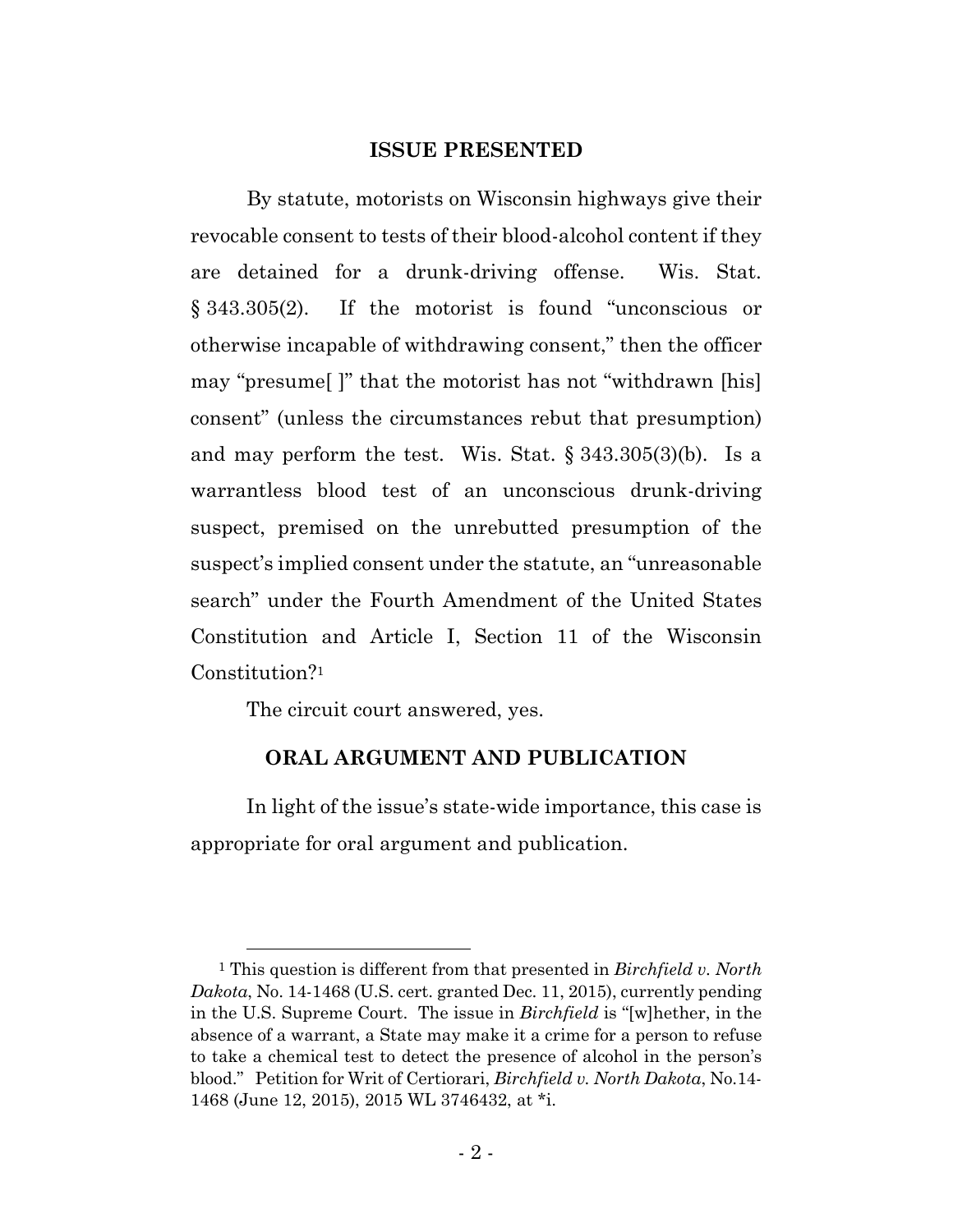#### **ISSUE PRESENTED**

By statute, motorists on Wisconsin highways give their revocable consent to tests of their blood-alcohol content if they are detained for a drunk-driving offense. Wis. Stat. § 343.305(2). If the motorist is found "unconscious or otherwise incapable of withdrawing consent," then the officer may "presume[ ]" that the motorist has not "withdrawn [his] consent" (unless the circumstances rebut that presumption) and may perform the test. Wis. Stat. § 343.305(3)(b). Is a warrantless blood test of an unconscious drunk-driving suspect, premised on the unrebutted presumption of the suspect's implied consent under the statute, an "unreasonable search" under the Fourth Amendment of the United States Constitution and Article I, Section 11 of the Wisconsin Constitution?1

The circuit court answered, yes.

## **ORAL ARGUMENT AND PUBLICATION**

In light of the issue's state-wide importance, this case is appropriate for oral argument and publication.

 <sup>1</sup> This question is different from that presented in *Birchfield v. North Dakota*, No. 14-1468 (U.S. cert. granted Dec. 11, 2015), currently pending in the U.S. Supreme Court. The issue in *Birchfield* is "[w]hether, in the absence of a warrant, a State may make it a crime for a person to refuse to take a chemical test to detect the presence of alcohol in the person's blood." Petition for Writ of Certiorari, *Birchfield v. North Dakota*, No.14- 1468 (June 12, 2015), 2015 WL 3746432, at \*i.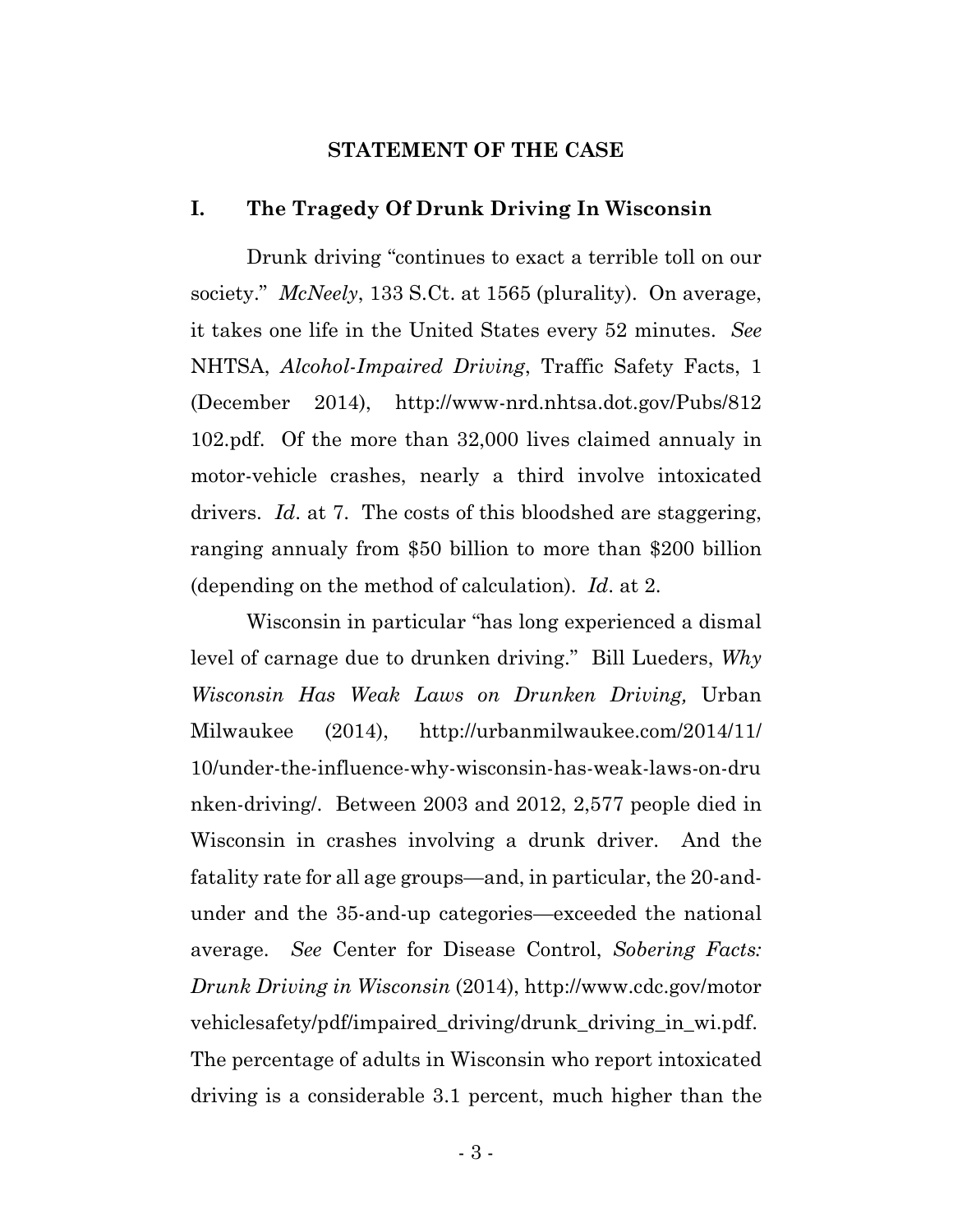#### **STATEMENT OF THE CASE**

#### **I. The Tragedy Of Drunk Driving In Wisconsin**

Drunk driving "continues to exact a terrible toll on our society." *McNeely*, 133 S.Ct. at 1565 (plurality). On average, it takes one life in the United States every 52 minutes. *See* NHTSA, *Alcohol-Impaired Driving*, Traffic Safety Facts, 1 (December 2014), http://www-nrd.nhtsa.dot.gov/Pubs/812 102.pdf. Of the more than 32,000 lives claimed annualy in motor-vehicle crashes, nearly a third involve intoxicated drivers. *Id*. at 7. The costs of this bloodshed are staggering, ranging annualy from \$50 billion to more than \$200 billion (depending on the method of calculation). *Id*. at 2.

Wisconsin in particular "has long experienced a dismal level of carnage due to drunken driving." Bill Lueders, *Why Wisconsin Has Weak Laws on Drunken Driving,* Urban Milwaukee (2014), http://urbanmilwaukee.com/2014/11/ 10/under-the-influence-why-wisconsin-has-weak-laws-on-dru nken-driving/. Between 2003 and 2012, 2,577 people died in Wisconsin in crashes involving a drunk driver. And the fatality rate for all age groups—and, in particular, the 20-andunder and the 35-and-up categories—exceeded the national average. *See* Center for Disease Control, *Sobering Facts: Drunk Driving in Wisconsin* (2014), http://www.cdc.gov/motor vehiclesafety/pdf/impaired\_driving/drunk\_driving\_in\_wi.pdf. The percentage of adults in Wisconsin who report intoxicated driving is a considerable 3.1 percent, much higher than the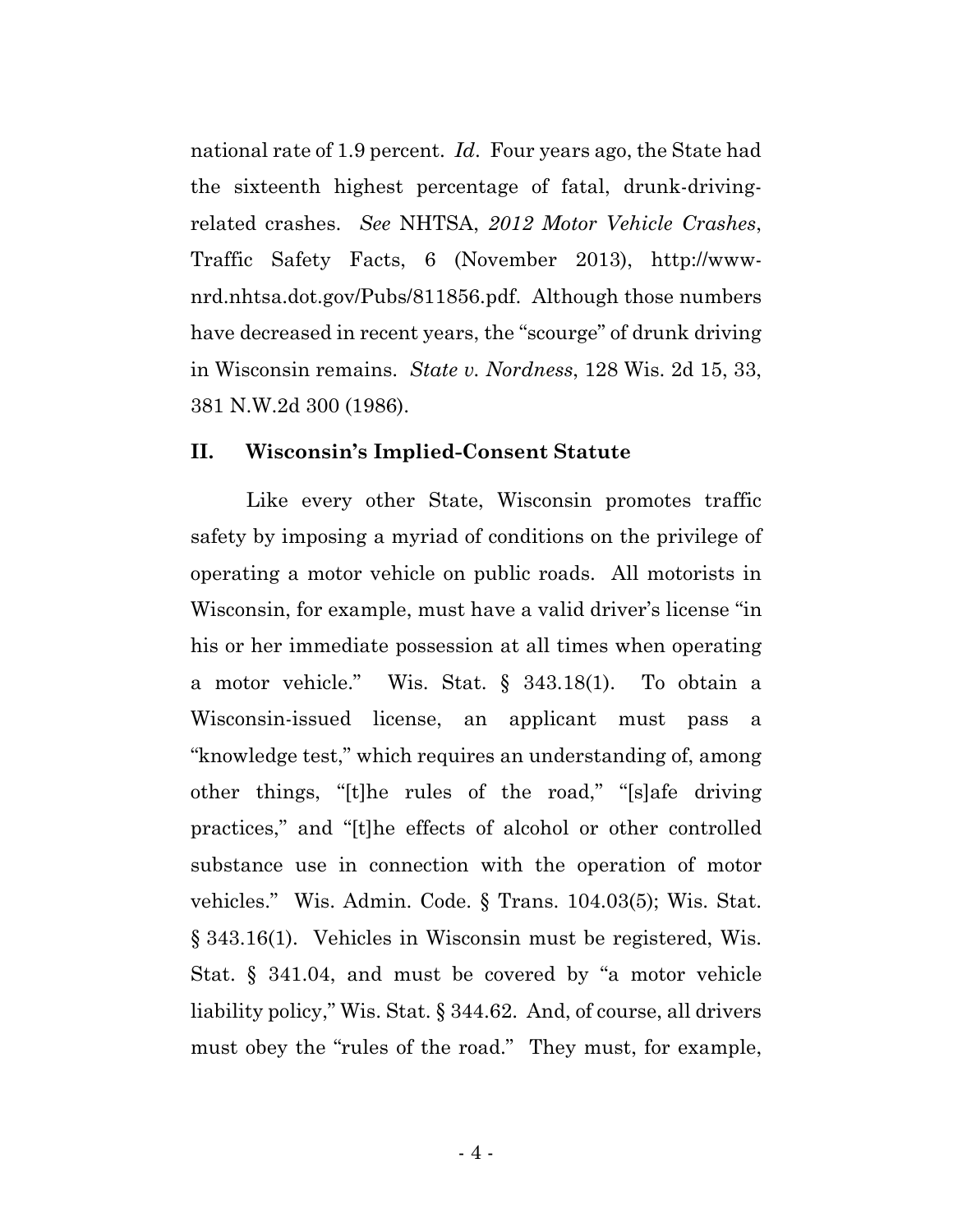national rate of 1.9 percent. *Id*. Four years ago, the State had the sixteenth highest percentage of fatal, drunk-drivingrelated crashes. *See* NHTSA, *2012 Motor Vehicle Crashes*, Traffic Safety Facts, 6 (November 2013), http://wwwnrd.nhtsa.dot.gov/Pubs/811856.pdf. Although those numbers have decreased in recent years, the "scourge" of drunk driving in Wisconsin remains. *State v. Nordness*, 128 Wis. 2d 15, 33, 381 N.W.2d 300 (1986).

### **II. Wisconsin's Implied-Consent Statute**

Like every other State, Wisconsin promotes traffic safety by imposing a myriad of conditions on the privilege of operating a motor vehicle on public roads. All motorists in Wisconsin, for example, must have a valid driver's license "in his or her immediate possession at all times when operating a motor vehicle." Wis. Stat. § 343.18(1). To obtain a Wisconsin-issued license, an applicant must pass a "knowledge test," which requires an understanding of, among other things, "[t]he rules of the road," "[s]afe driving practices," and "[t]he effects of alcohol or other controlled substance use in connection with the operation of motor vehicles." Wis. Admin. Code. § Trans. 104.03(5); Wis. Stat. § 343.16(1). Vehicles in Wisconsin must be registered, Wis. Stat. § 341.04, and must be covered by "a motor vehicle liability policy," Wis. Stat. § 344.62. And, of course, all drivers must obey the "rules of the road." They must, for example,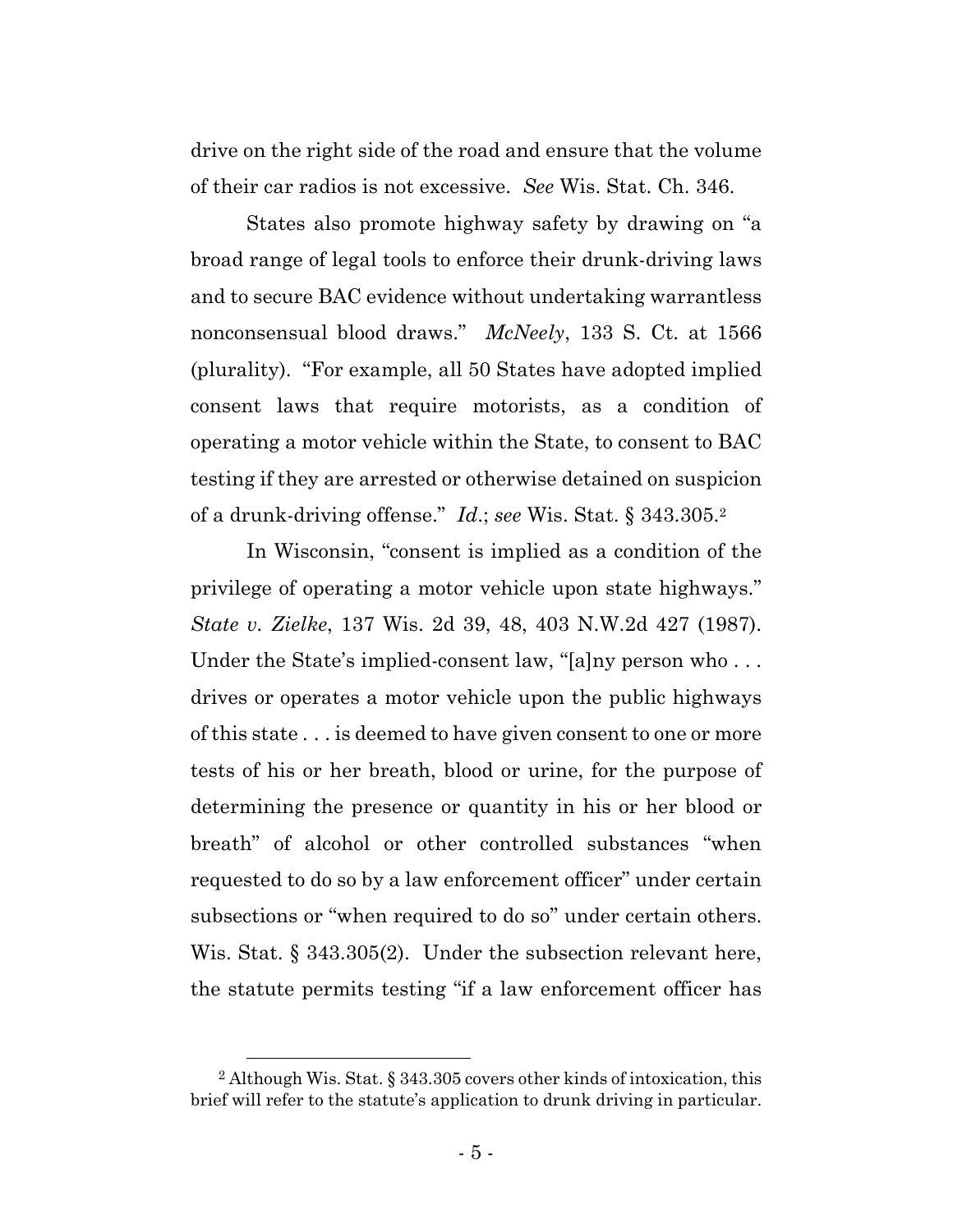drive on the right side of the road and ensure that the volume of their car radios is not excessive. *See* Wis. Stat. Ch. 346.

States also promote highway safety by drawing on "a broad range of legal tools to enforce their drunk-driving laws and to secure BAC evidence without undertaking warrantless nonconsensual blood draws." *McNeely*, 133 S. Ct. at 1566 (plurality). "For example, all 50 States have adopted implied consent laws that require motorists, as a condition of operating a motor vehicle within the State, to consent to BAC testing if they are arrested or otherwise detained on suspicion of a drunk-driving offense." *Id*.; *see* Wis. Stat. § 343.305.2

In Wisconsin, "consent is implied as a condition of the privilege of operating a motor vehicle upon state highways." *State v. Zielke*, 137 Wis. 2d 39, 48, 403 N.W.2d 427 (1987). Under the State's implied-consent law, "[a]ny person who... drives or operates a motor vehicle upon the public highways of this state . . . is deemed to have given consent to one or more tests of his or her breath, blood or urine, for the purpose of determining the presence or quantity in his or her blood or breath" of alcohol or other controlled substances "when requested to do so by a law enforcement officer" under certain subsections or "when required to do so" under certain others. Wis. Stat. § 343.305(2). Under the subsection relevant here, the statute permits testing "if a law enforcement officer has

 <sup>2</sup> Although Wis. Stat. § 343.305 covers other kinds of intoxication, this brief will refer to the statute's application to drunk driving in particular.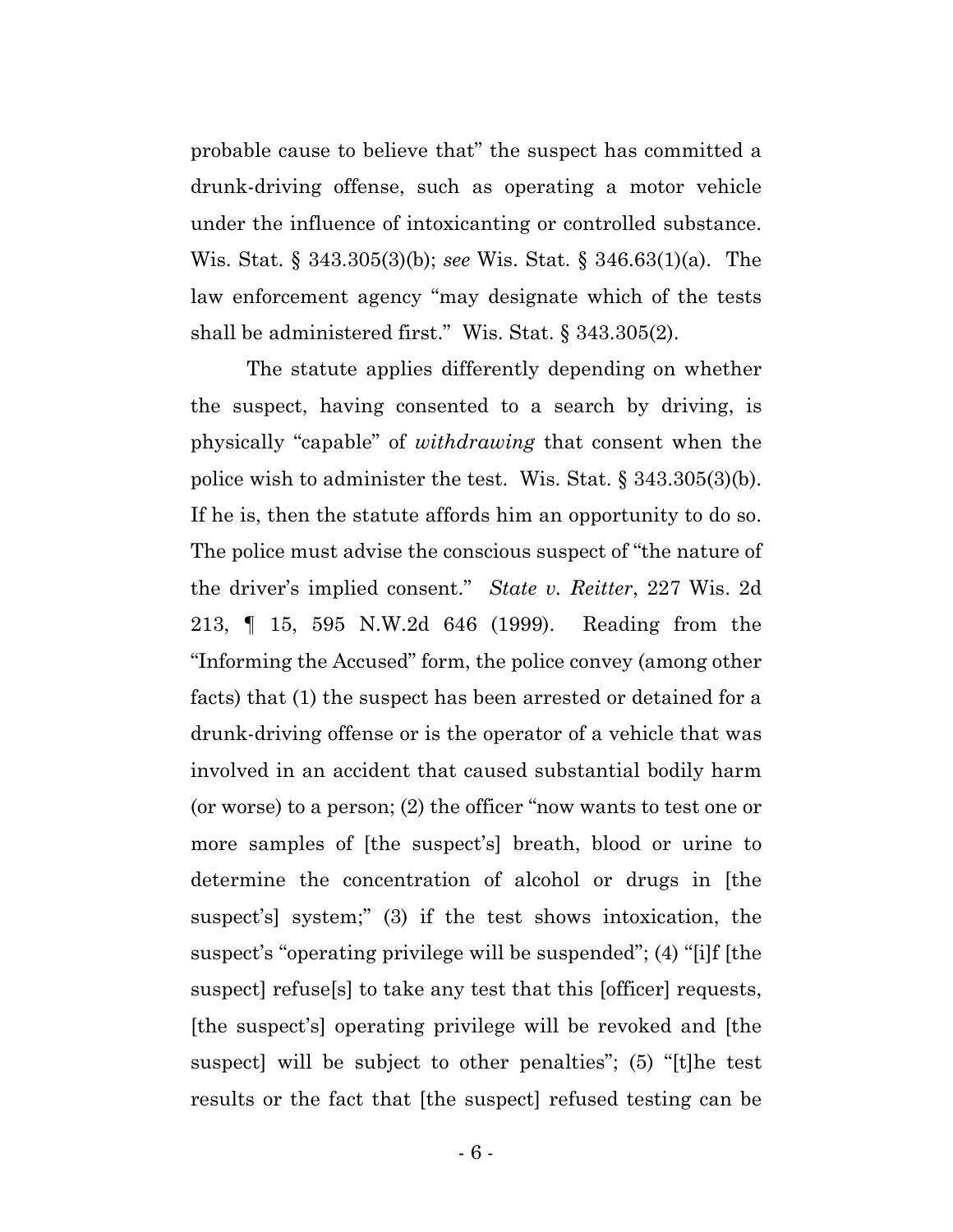probable cause to believe that" the suspect has committed a drunk-driving offense, such as operating a motor vehicle under the influence of intoxicanting or controlled substance. Wis. Stat. § 343.305(3)(b); *see* Wis. Stat. § 346.63(1)(a). The law enforcement agency "may designate which of the tests shall be administered first." Wis. Stat. § 343.305(2).

The statute applies differently depending on whether the suspect, having consented to a search by driving, is physically "capable" of *withdrawing* that consent when the police wish to administer the test. Wis. Stat. § 343.305(3)(b). If he is, then the statute affords him an opportunity to do so. The police must advise the conscious suspect of "the nature of the driver's implied consent." *State v. Reitter*, 227 Wis. 2d 213, ¶ 15, 595 N.W.2d 646 (1999). Reading from the "Informing the Accused" form, the police convey (among other facts) that (1) the suspect has been arrested or detained for a drunk-driving offense or is the operator of a vehicle that was involved in an accident that caused substantial bodily harm (or worse) to a person; (2) the officer "now wants to test one or more samples of [the suspect's] breath, blood or urine to determine the concentration of alcohol or drugs in [the suspect's] system;" (3) if the test shows intoxication, the suspect's "operating privilege will be suspended"; (4) "[i]f [the suspect] refuse[s] to take any test that this [officer] requests, [the suspect's] operating privilege will be revoked and [the suspect] will be subject to other penalties"; (5) "[t]he test results or the fact that [the suspect] refused testing can be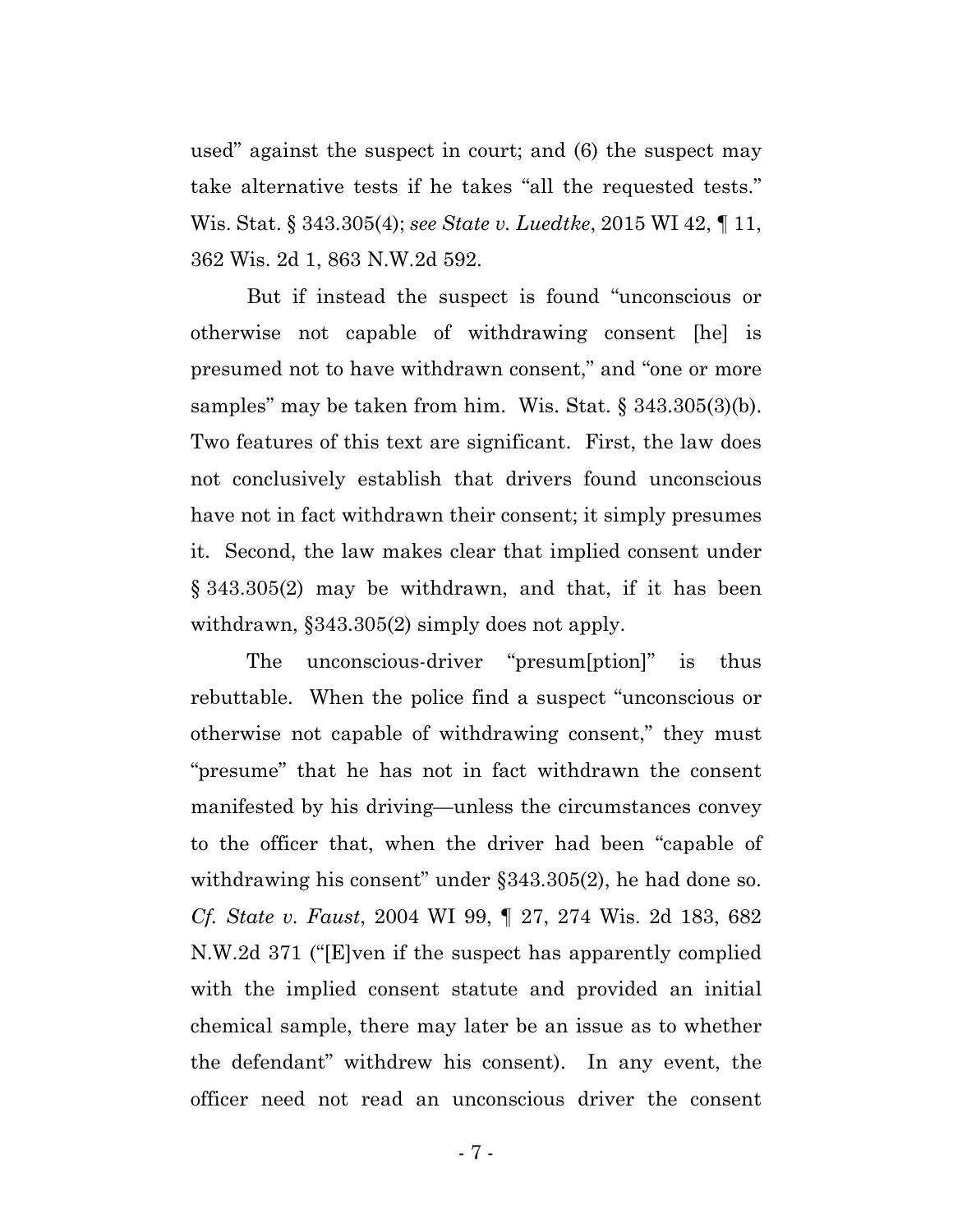used" against the suspect in court; and (6) the suspect may take alternative tests if he takes "all the requested tests." Wis. Stat. § 343.305(4); *see State v. Luedtke*, 2015 WI 42, ¶ 11, 362 Wis. 2d 1, 863 N.W.2d 592.

But if instead the suspect is found "unconscious or otherwise not capable of withdrawing consent [he] is presumed not to have withdrawn consent," and "one or more samples" may be taken from him. Wis. Stat. § 343.305(3)(b). Two features of this text are significant. First, the law does not conclusively establish that drivers found unconscious have not in fact withdrawn their consent; it simply presumes it. Second, the law makes clear that implied consent under § 343.305(2) may be withdrawn, and that, if it has been withdrawn, §343.305(2) simply does not apply.

The unconscious-driver "presum[ption]" is thus rebuttable. When the police find a suspect "unconscious or otherwise not capable of withdrawing consent," they must "presume" that he has not in fact withdrawn the consent manifested by his driving—unless the circumstances convey to the officer that, when the driver had been "capable of withdrawing his consent" under §343.305(2), he had done so. *Cf. State v. Faust*, 2004 WI 99, ¶ 27, 274 Wis. 2d 183, 682 N.W.2d 371 ("[E]ven if the suspect has apparently complied with the implied consent statute and provided an initial chemical sample, there may later be an issue as to whether the defendant" withdrew his consent). In any event, the officer need not read an unconscious driver the consent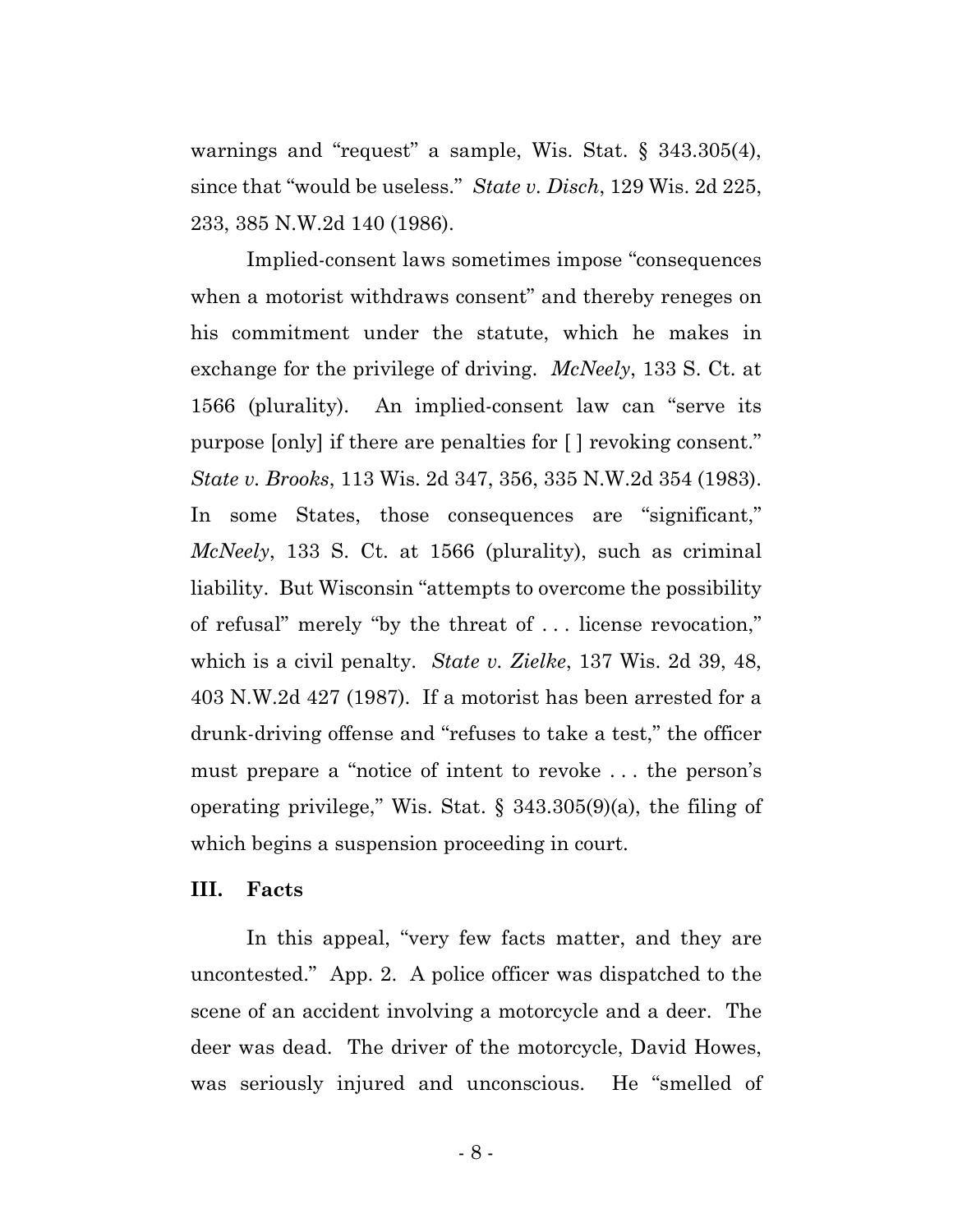warnings and "request" a sample, Wis. Stat. § 343.305(4), since that "would be useless." *State v. Disch*, 129 Wis. 2d 225, 233, 385 N.W.2d 140 (1986).

Implied-consent laws sometimes impose "consequences when a motorist withdraws consent" and thereby reneges on his commitment under the statute, which he makes in exchange for the privilege of driving. *McNeely*, 133 S. Ct. at 1566 (plurality). An implied-consent law can "serve its purpose [only] if there are penalties for [ ] revoking consent." *State v. Brooks*, 113 Wis. 2d 347, 356, 335 N.W.2d 354 (1983). In some States, those consequences are "significant," *McNeely*, 133 S. Ct. at 1566 (plurality), such as criminal liability. But Wisconsin "attempts to overcome the possibility of refusal" merely "by the threat of . . . license revocation," which is a civil penalty. *State v. Zielke*, 137 Wis. 2d 39, 48, 403 N.W.2d 427 (1987). If a motorist has been arrested for a drunk-driving offense and "refuses to take a test," the officer must prepare a "notice of intent to revoke . . . the person's operating privilege," Wis. Stat. § 343.305(9)(a), the filing of which begins a suspension proceeding in court.

### **III. Facts**

In this appeal, "very few facts matter, and they are uncontested." App. 2. A police officer was dispatched to the scene of an accident involving a motorcycle and a deer. The deer was dead. The driver of the motorcycle, David Howes, was seriously injured and unconscious. He "smelled of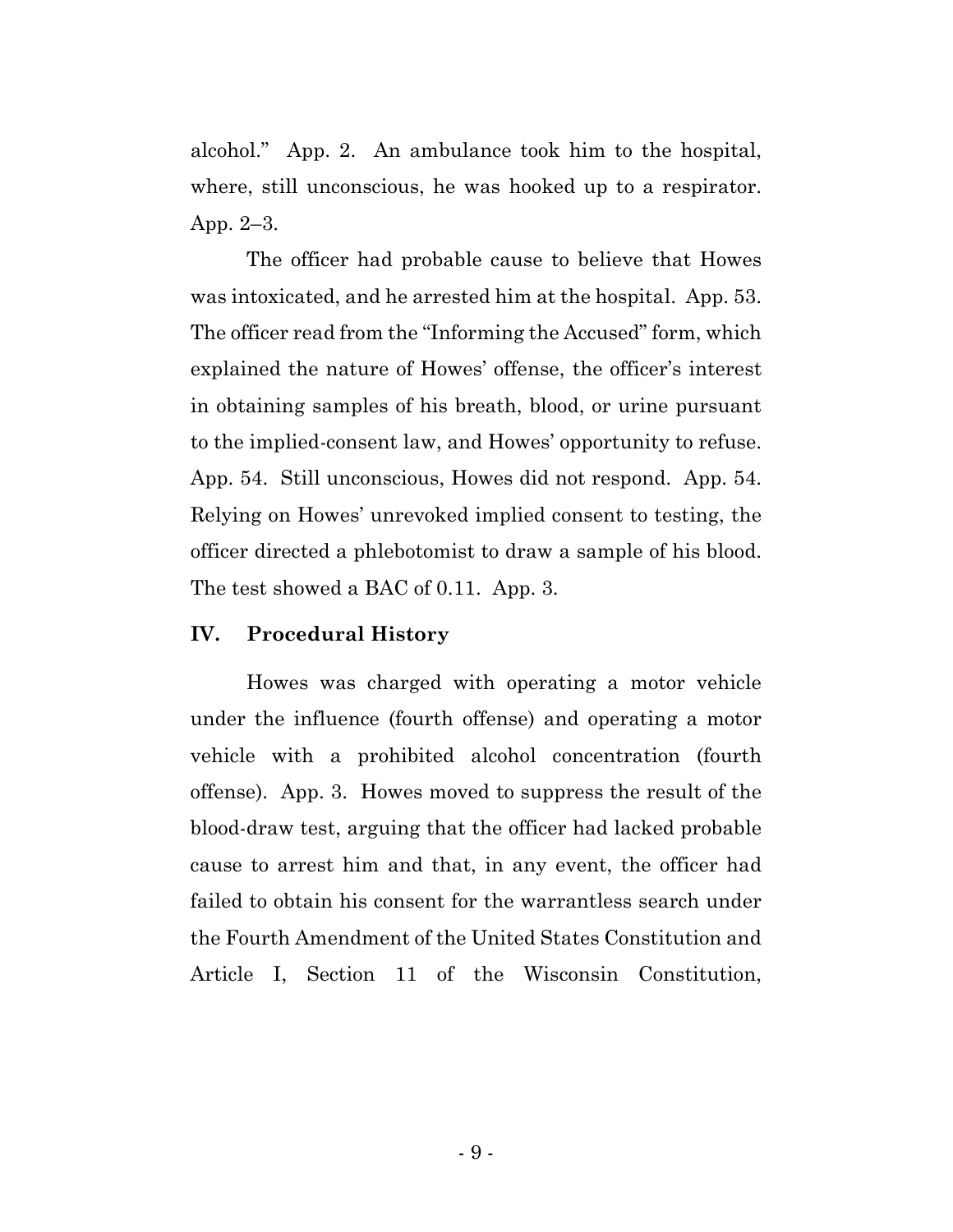alcohol." App. 2. An ambulance took him to the hospital, where, still unconscious, he was hooked up to a respirator. App. 2–3.

The officer had probable cause to believe that Howes was intoxicated, and he arrested him at the hospital. App. 53. The officer read from the "Informing the Accused" form, which explained the nature of Howes' offense, the officer's interest in obtaining samples of his breath, blood, or urine pursuant to the implied-consent law, and Howes' opportunity to refuse. App. 54. Still unconscious, Howes did not respond. App. 54. Relying on Howes' unrevoked implied consent to testing, the officer directed a phlebotomist to draw a sample of his blood. The test showed a BAC of 0.11. App. 3.

### **IV. Procedural History**

Howes was charged with operating a motor vehicle under the influence (fourth offense) and operating a motor vehicle with a prohibited alcohol concentration (fourth offense). App. 3. Howes moved to suppress the result of the blood-draw test, arguing that the officer had lacked probable cause to arrest him and that, in any event, the officer had failed to obtain his consent for the warrantless search under the Fourth Amendment of the United States Constitution and Article I, Section 11 of the Wisconsin Constitution,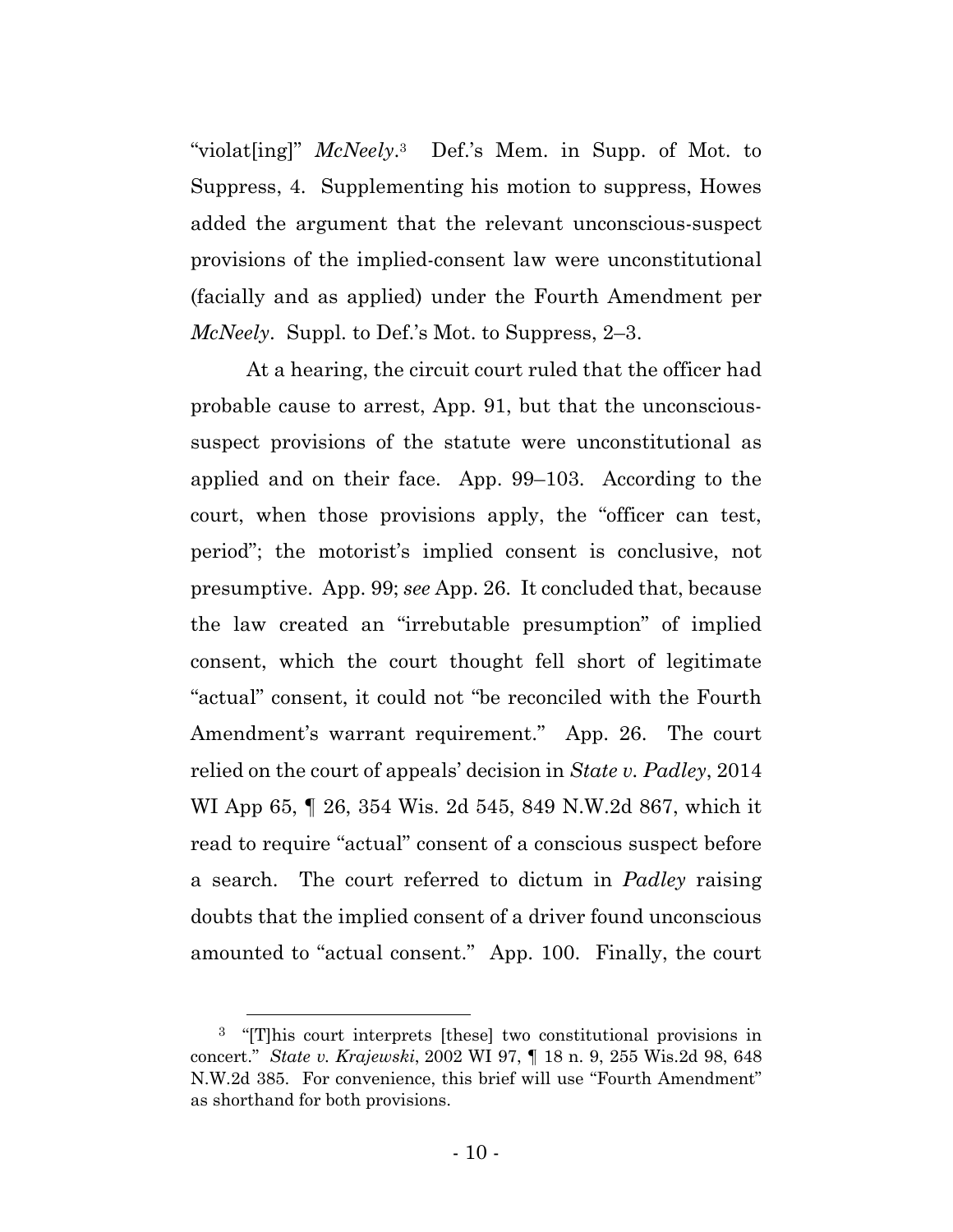"violat[ing]" *McNeely*.3 Def.'s Mem. in Supp. of Mot. to Suppress, 4. Supplementing his motion to suppress, Howes added the argument that the relevant unconscious-suspect provisions of the implied-consent law were unconstitutional (facially and as applied) under the Fourth Amendment per *McNeely*. Suppl. to Def.'s Mot. to Suppress, 2–3.

At a hearing, the circuit court ruled that the officer had probable cause to arrest, App. 91, but that the unconscioussuspect provisions of the statute were unconstitutional as applied and on their face. App. 99–103. According to the court, when those provisions apply, the "officer can test, period"; the motorist's implied consent is conclusive, not presumptive. App. 99; *see* App. 26. It concluded that, because the law created an "irrebutable presumption" of implied consent, which the court thought fell short of legitimate "actual" consent, it could not "be reconciled with the Fourth Amendment's warrant requirement." App. 26. The court relied on the court of appeals' decision in *State v. Padley*, 2014 WI App 65, ¶ 26, 354 Wis. 2d 545, 849 N.W.2d 867, which it read to require "actual" consent of a conscious suspect before a search. The court referred to dictum in *Padley* raising doubts that the implied consent of a driver found unconscious amounted to "actual consent." App. 100. Finally, the court

 <sup>3</sup> "[T]his court interprets [these] two constitutional provisions in concert." *State v. Krajewski*, 2002 WI 97, ¶ 18 n. 9, 255 Wis.2d 98, 648 N.W.2d 385. For convenience, this brief will use "Fourth Amendment" as shorthand for both provisions.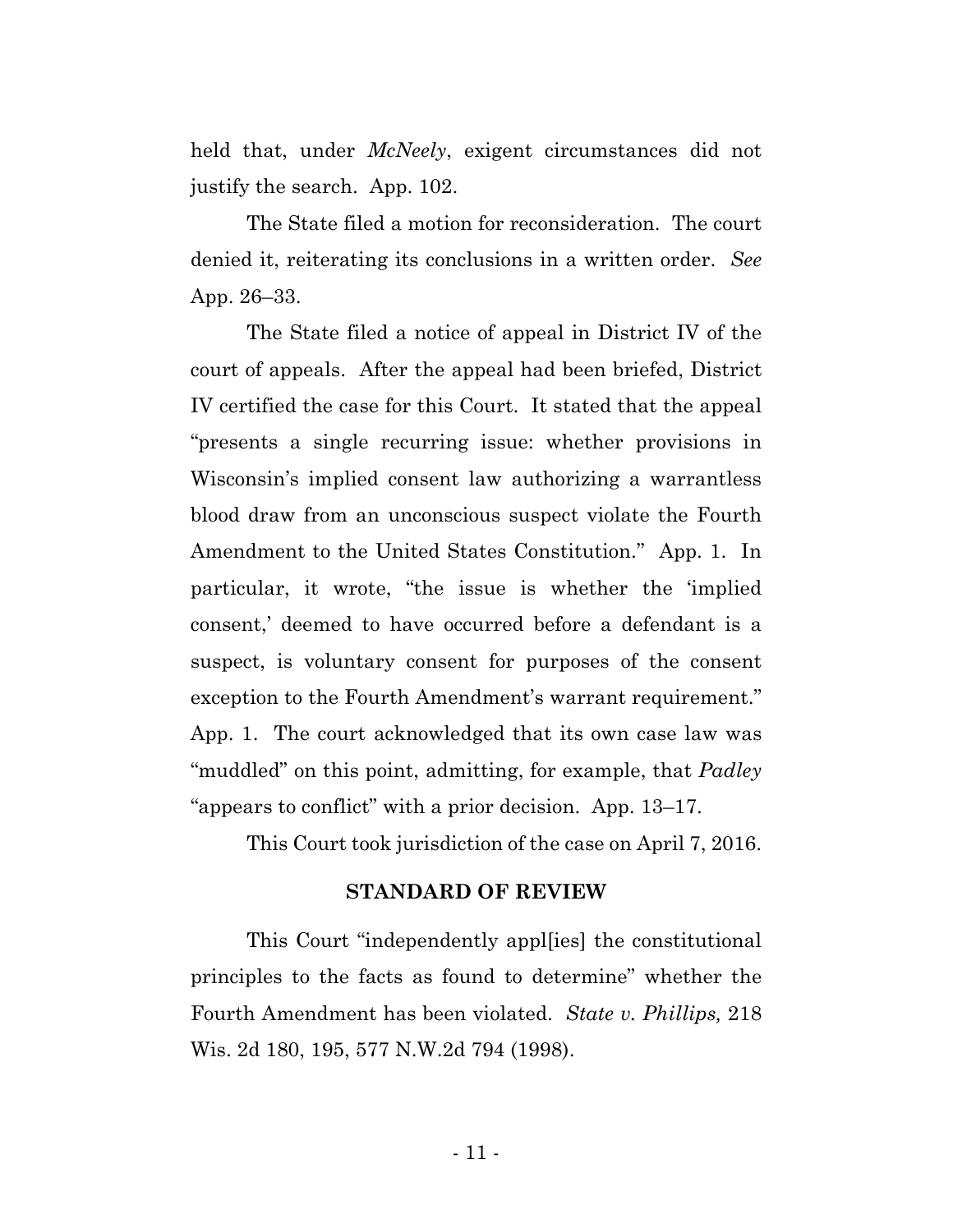held that, under *McNeely*, exigent circumstances did not justify the search. App. 102.

The State filed a motion for reconsideration. The court denied it, reiterating its conclusions in a written order. *See* App. 26–33.

The State filed a notice of appeal in District IV of the court of appeals. After the appeal had been briefed, District IV certified the case for this Court. It stated that the appeal "presents a single recurring issue: whether provisions in Wisconsin's implied consent law authorizing a warrantless blood draw from an unconscious suspect violate the Fourth Amendment to the United States Constitution." App. 1. In particular, it wrote, "the issue is whether the 'implied consent,' deemed to have occurred before a defendant is a suspect, is voluntary consent for purposes of the consent exception to the Fourth Amendment's warrant requirement." App. 1. The court acknowledged that its own case law was "muddled" on this point, admitting, for example, that *Padley* "appears to conflict" with a prior decision. App. 13–17.

This Court took jurisdiction of the case on April 7, 2016.

### **STANDARD OF REVIEW**

This Court "independently appl[ies] the constitutional principles to the facts as found to determine" whether the Fourth Amendment has been violated. *State v. Phillips,* 218 Wis. 2d 180, 195, 577 N.W.2d 794 (1998).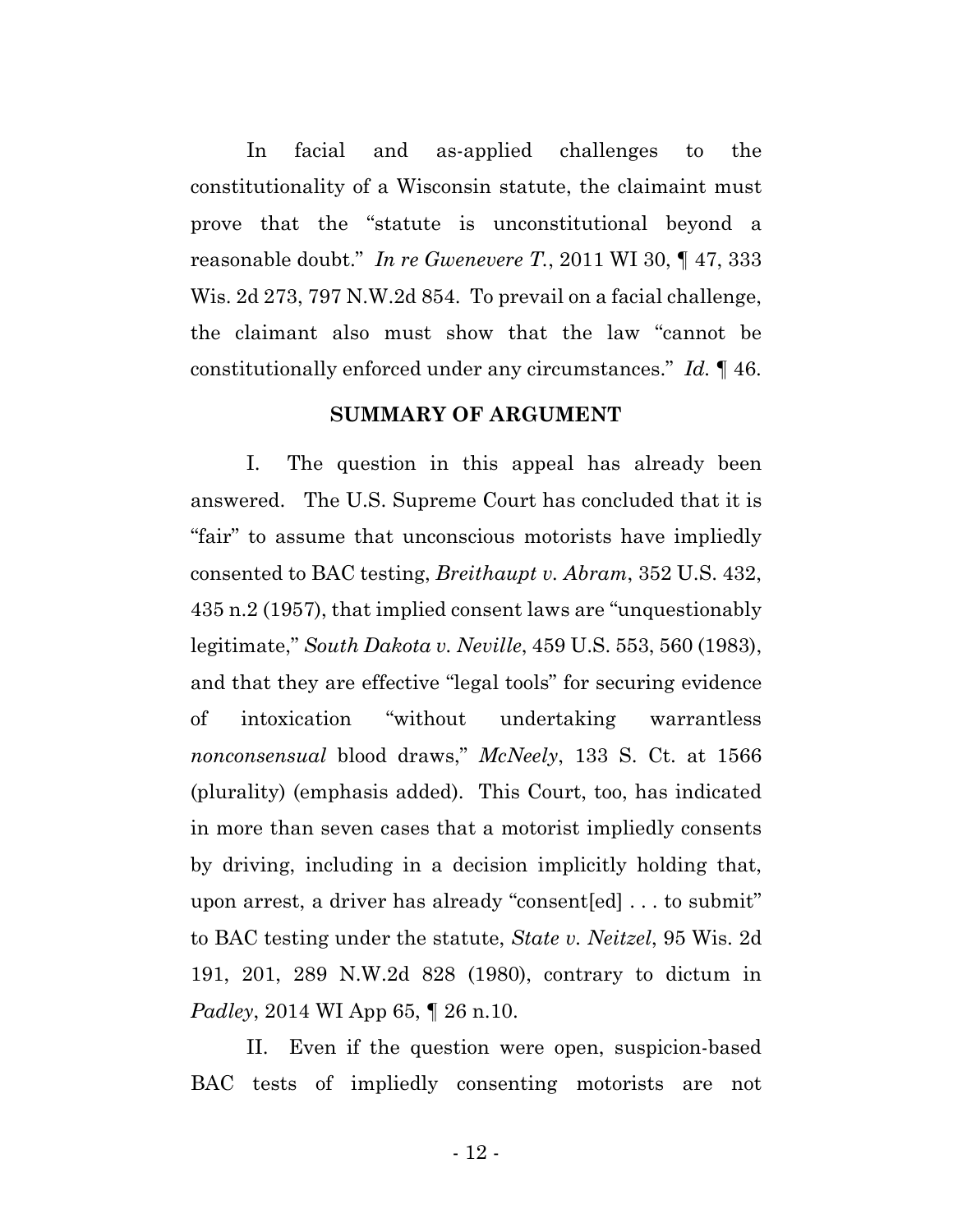In facial and as-applied challenges to the constitutionality of a Wisconsin statute, the claimaint must prove that the "statute is unconstitutional beyond a reasonable doubt." *In re Gwenevere T.*, 2011 WI 30, ¶ 47, 333 Wis. 2d 273, 797 N.W.2d 854. To prevail on a facial challenge, the claimant also must show that the law "cannot be constitutionally enforced under any circumstances." *Id.* ¶ 46.

#### **SUMMARY OF ARGUMENT**

I. The question in this appeal has already been answered. The U.S. Supreme Court has concluded that it is "fair" to assume that unconscious motorists have impliedly consented to BAC testing, *Breithaupt v. Abram*, 352 U.S. 432, 435 n.2 (1957), that implied consent laws are "unquestionably legitimate," *South Dakota v. Neville*, 459 U.S. 553, 560 (1983), and that they are effective "legal tools" for securing evidence of intoxication "without undertaking warrantless *nonconsensual* blood draws," *McNeely*, 133 S. Ct. at 1566 (plurality) (emphasis added). This Court, too, has indicated in more than seven cases that a motorist impliedly consents by driving, including in a decision implicitly holding that, upon arrest, a driver has already "consent[ed] . . . to submit" to BAC testing under the statute, *State v. Neitzel*, 95 Wis. 2d 191, 201, 289 N.W.2d 828 (1980), contrary to dictum in *Padley*, 2014 WI App 65, 1 26 n.10.

II. Even if the question were open, suspicion-based BAC tests of impliedly consenting motorists are not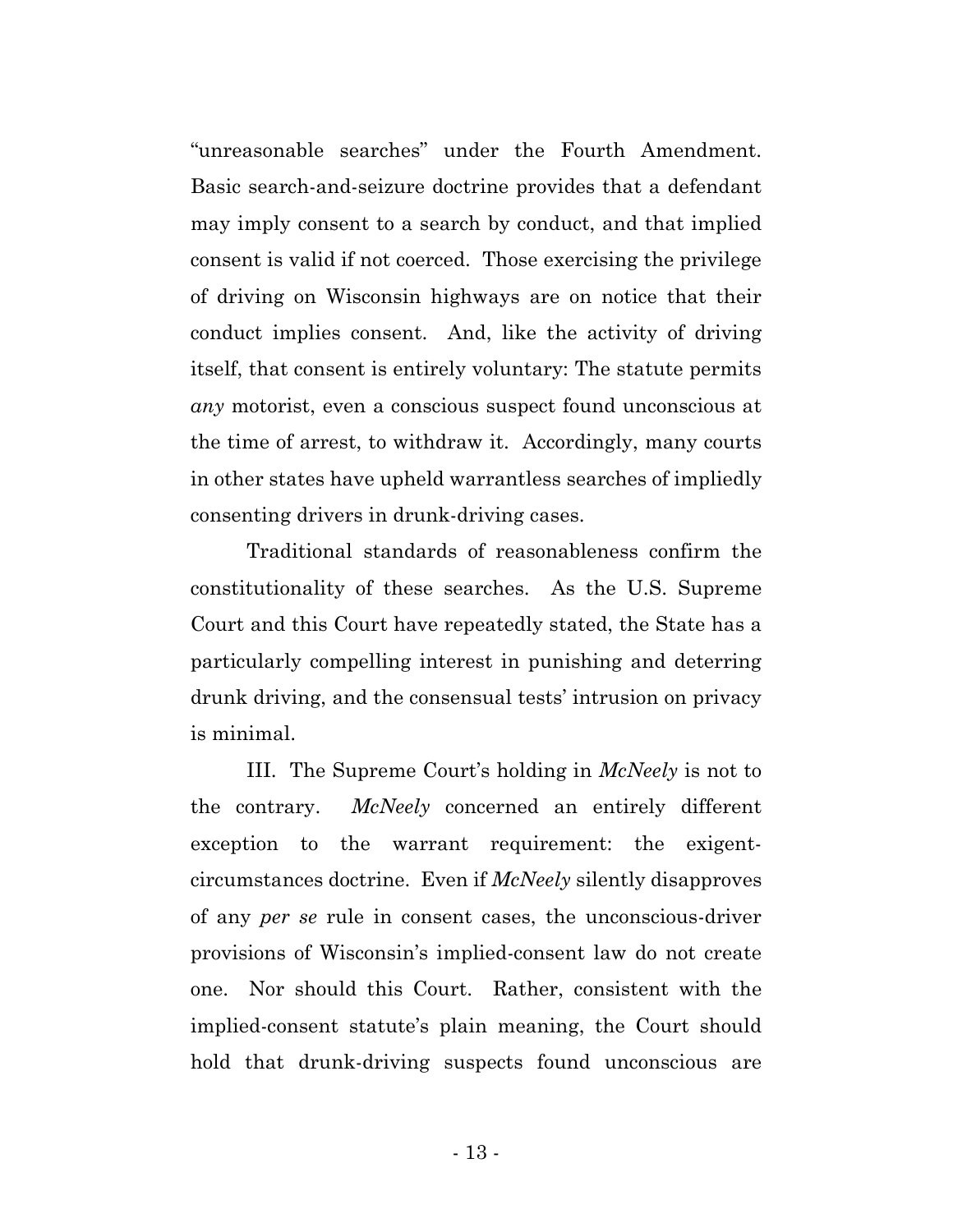"unreasonable searches" under the Fourth Amendment. Basic search-and-seizure doctrine provides that a defendant may imply consent to a search by conduct, and that implied consent is valid if not coerced. Those exercising the privilege of driving on Wisconsin highways are on notice that their conduct implies consent. And, like the activity of driving itself, that consent is entirely voluntary: The statute permits *any* motorist, even a conscious suspect found unconscious at the time of arrest, to withdraw it. Accordingly, many courts in other states have upheld warrantless searches of impliedly consenting drivers in drunk-driving cases.

Traditional standards of reasonableness confirm the constitutionality of these searches. As the U.S. Supreme Court and this Court have repeatedly stated, the State has a particularly compelling interest in punishing and deterring drunk driving, and the consensual tests' intrusion on privacy is minimal.

III. The Supreme Court's holding in *McNeely* is not to the contrary. *McNeely* concerned an entirely different exception to the warrant requirement: the exigentcircumstances doctrine. Even if *McNeely* silently disapproves of any *per se* rule in consent cases, the unconscious-driver provisions of Wisconsin's implied-consent law do not create one. Nor should this Court. Rather, consistent with the implied-consent statute's plain meaning, the Court should hold that drunk-driving suspects found unconscious are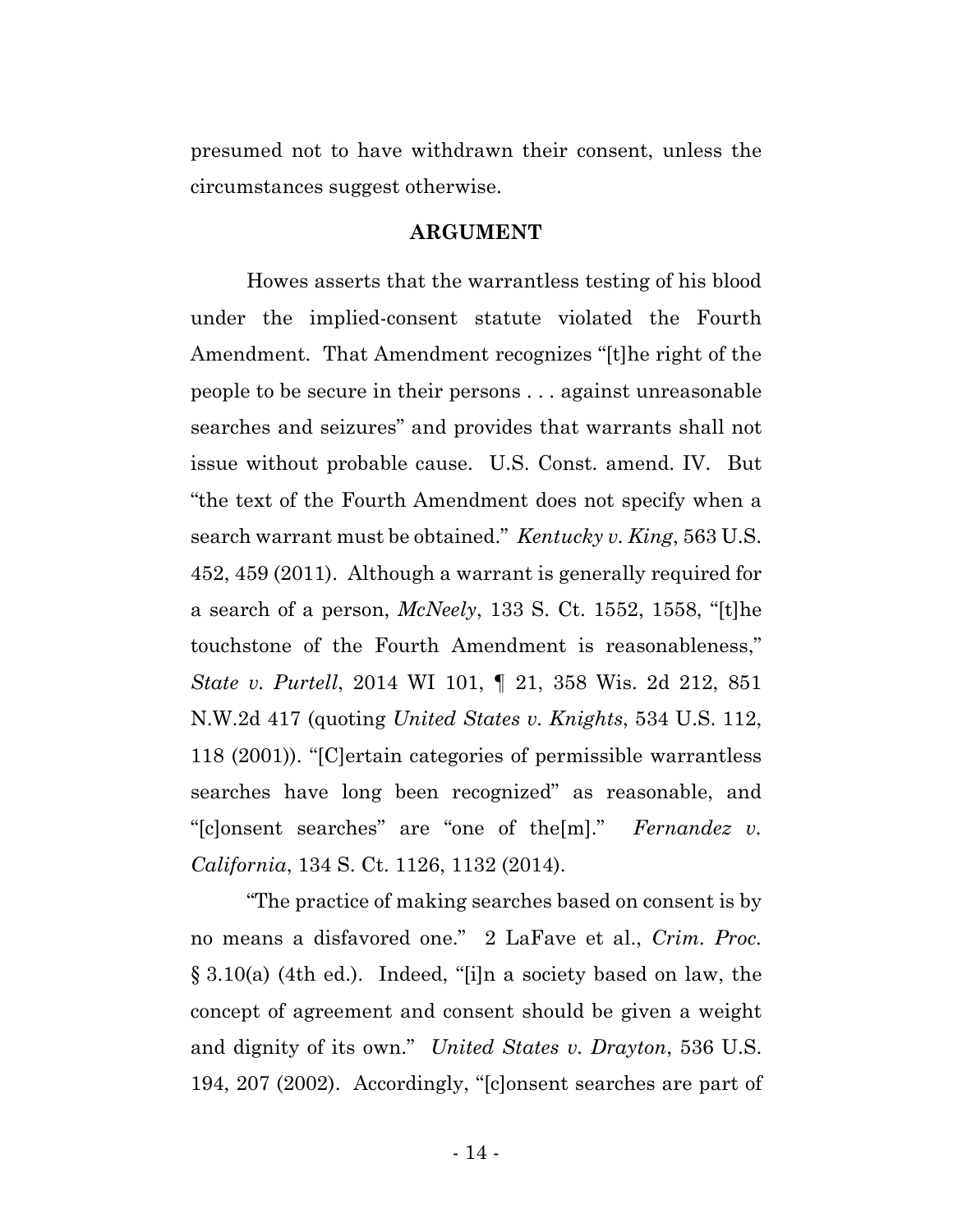presumed not to have withdrawn their consent, unless the circumstances suggest otherwise.

## **ARGUMENT**

Howes asserts that the warrantless testing of his blood under the implied-consent statute violated the Fourth Amendment. That Amendment recognizes "[t]he right of the people to be secure in their persons . . . against unreasonable searches and seizures" and provides that warrants shall not issue without probable cause. U.S. Const. amend. IV. But "the text of the Fourth Amendment does not specify when a search warrant must be obtained." *Kentucky v. King*, 563 U.S. 452, 459 (2011). Although a warrant is generally required for a search of a person, *McNeely*, 133 S. Ct. 1552, 1558, "[t]he touchstone of the Fourth Amendment is reasonableness," *State v. Purtell*, 2014 WI 101, ¶ 21, 358 Wis. 2d 212, 851 N.W.2d 417 (quoting *United States v. Knights*, 534 U.S. 112, 118 (2001)). "[C]ertain categories of permissible warrantless searches have long been recognized" as reasonable, and "[c]onsent searches" are "one of the[m]." *Fernandez v. California*, 134 S. Ct. 1126, 1132 (2014).

"The practice of making searches based on consent is by no means a disfavored one." 2 LaFave et al., *Crim. Proc.* § 3.10(a) (4th ed.). Indeed, "[i]n a society based on law, the concept of agreement and consent should be given a weight and dignity of its own." *United States v. Drayton*, 536 U.S. 194, 207 (2002). Accordingly, "[c]onsent searches are part of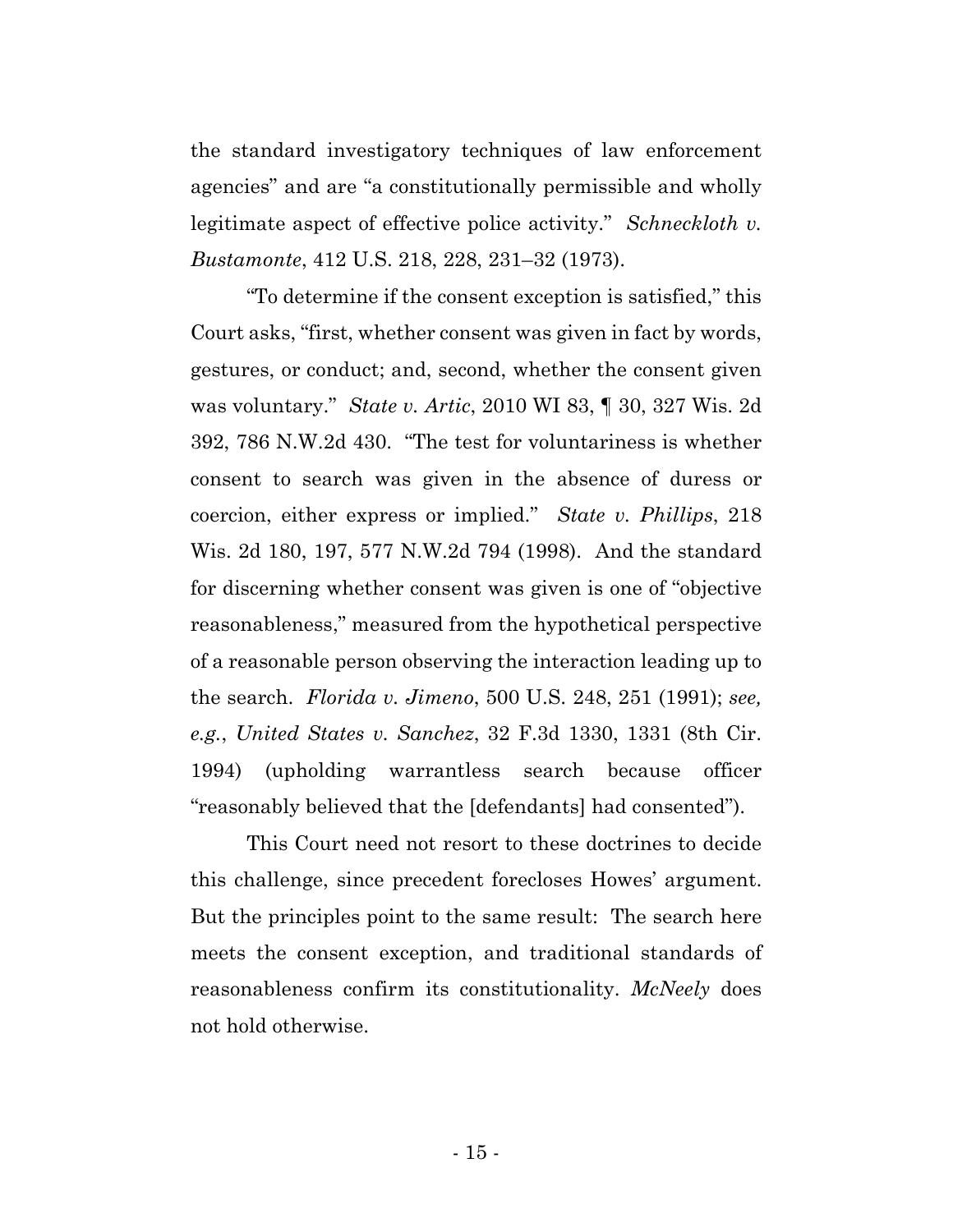the standard investigatory techniques of law enforcement agencies" and are "a constitutionally permissible and wholly legitimate aspect of effective police activity." *Schneckloth v. Bustamonte*, 412 U.S. 218, 228, 231–32 (1973).

"To determine if the consent exception is satisfied," this Court asks, "first, whether consent was given in fact by words, gestures, or conduct; and, second, whether the consent given was voluntary." *State v. Artic*, 2010 WI 83, ¶ 30, 327 Wis. 2d 392, 786 N.W.2d 430. "The test for voluntariness is whether consent to search was given in the absence of duress or coercion, either express or implied." *State v. Phillips*, 218 Wis. 2d 180, 197, 577 N.W.2d 794 (1998). And the standard for discerning whether consent was given is one of "objective reasonableness," measured from the hypothetical perspective of a reasonable person observing the interaction leading up to the search. *Florida v. Jimeno*, 500 U.S. 248, 251 (1991); *see, e.g.*, *United States v. Sanchez*, 32 F.3d 1330, 1331 (8th Cir. 1994) (upholding warrantless search because officer "reasonably believed that the [defendants] had consented").

This Court need not resort to these doctrines to decide this challenge, since precedent forecloses Howes' argument. But the principles point to the same result: The search here meets the consent exception, and traditional standards of reasonableness confirm its constitutionality. *McNeely* does not hold otherwise.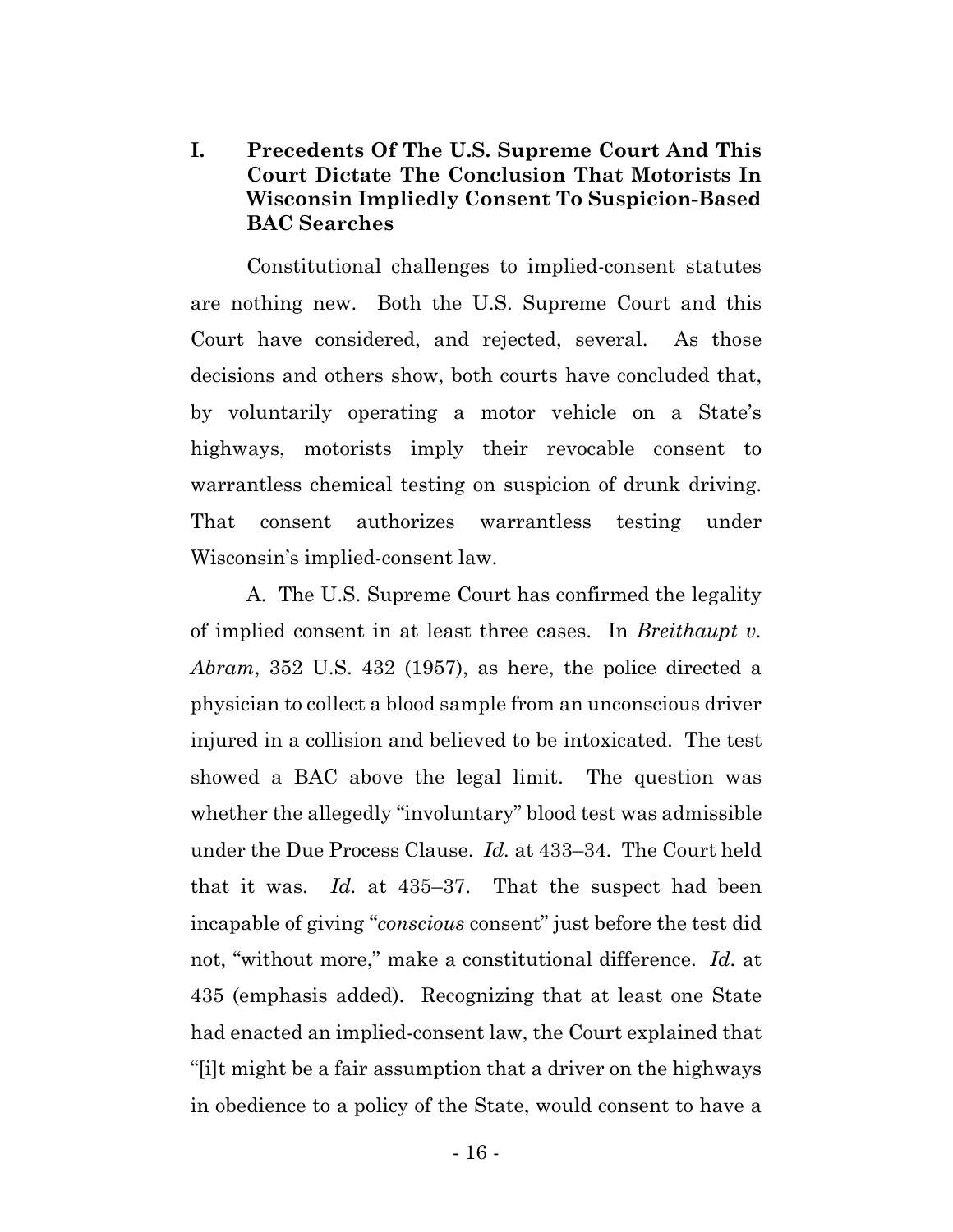## **I. Precedents Of The U.S. Supreme Court And This Court Dictate The Conclusion That Motorists In Wisconsin Impliedly Consent To Suspicion-Based BAC Searches**

Constitutional challenges to implied-consent statutes are nothing new. Both the U.S. Supreme Court and this Court have considered, and rejected, several. As those decisions and others show, both courts have concluded that, by voluntarily operating a motor vehicle on a State's highways, motorists imply their revocable consent to warrantless chemical testing on suspicion of drunk driving. That consent authorizes warrantless testing under Wisconsin's implied-consent law.

A. The U.S. Supreme Court has confirmed the legality of implied consent in at least three cases. In *Breithaupt v. Abram*, 352 U.S. 432 (1957), as here, the police directed a physician to collect a blood sample from an unconscious driver injured in a collision and believed to be intoxicated. The test showed a BAC above the legal limit. The question was whether the allegedly "involuntary" blood test was admissible under the Due Process Clause. *Id.* at 433–34. The Court held that it was. *Id.* at 435–37. That the suspect had been incapable of giving "*conscious* consent" just before the test did not, "without more," make a constitutional difference. *Id.* at 435 (emphasis added). Recognizing that at least one State had enacted an implied-consent law, the Court explained that "[i]t might be a fair assumption that a driver on the highways in obedience to a policy of the State, would consent to have a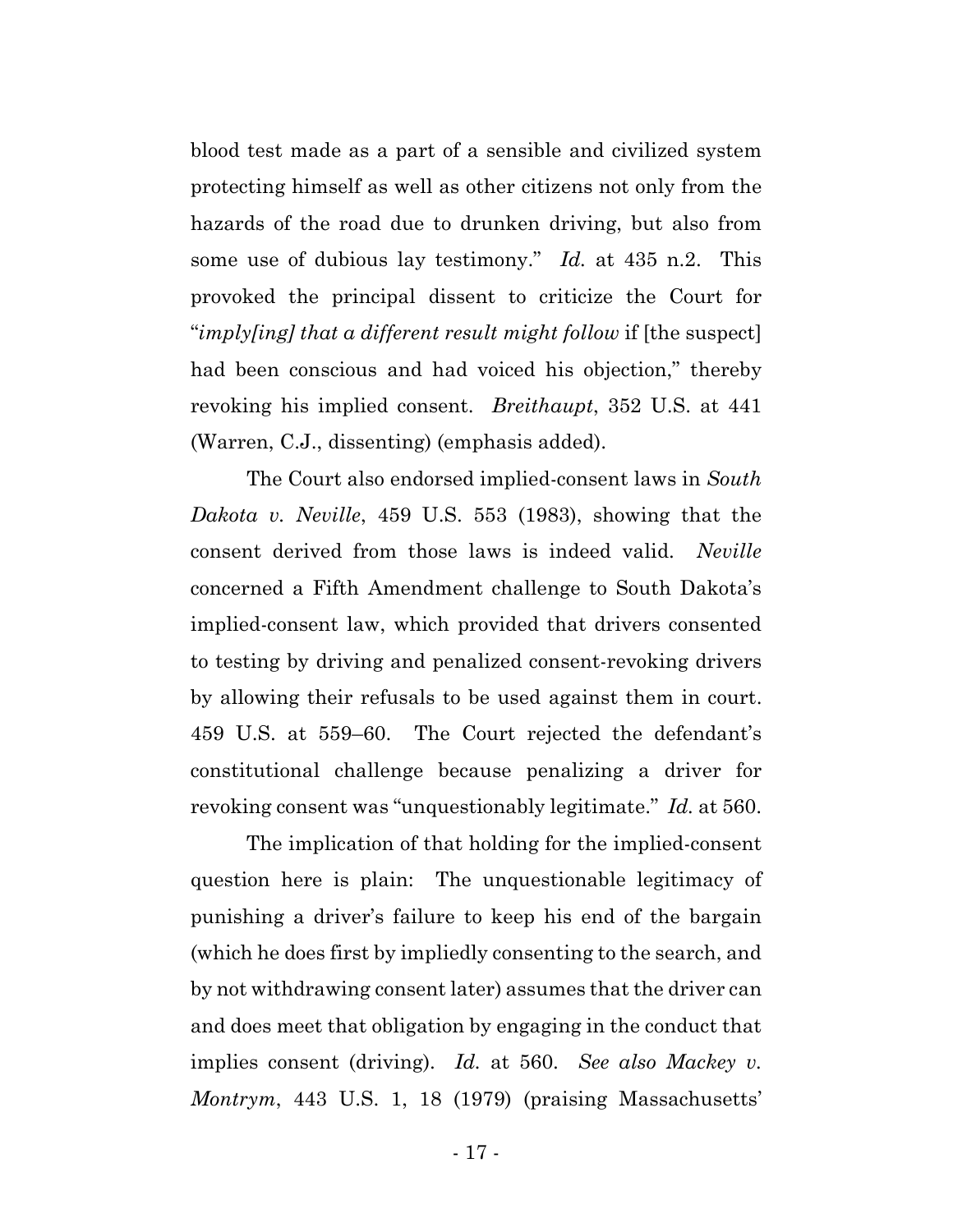blood test made as a part of a sensible and civilized system protecting himself as well as other citizens not only from the hazards of the road due to drunken driving, but also from some use of dubious lay testimony." *Id.* at 435 n.2. This provoked the principal dissent to criticize the Court for "*imply[ing] that a different result might follow* if [the suspect] had been conscious and had voiced his objection," thereby revoking his implied consent. *Breithaupt*, 352 U.S. at 441 (Warren, C.J., dissenting) (emphasis added).

The Court also endorsed implied-consent laws in *South Dakota v. Neville*, 459 U.S. 553 (1983), showing that the consent derived from those laws is indeed valid. *Neville* concerned a Fifth Amendment challenge to South Dakota's implied-consent law, which provided that drivers consented to testing by driving and penalized consent-revoking drivers by allowing their refusals to be used against them in court. 459 U.S. at 559–60. The Court rejected the defendant's constitutional challenge because penalizing a driver for revoking consent was "unquestionably legitimate." *Id.* at 560.

The implication of that holding for the implied-consent question here is plain: The unquestionable legitimacy of punishing a driver's failure to keep his end of the bargain (which he does first by impliedly consenting to the search, and by not withdrawing consent later) assumes that the driver can and does meet that obligation by engaging in the conduct that implies consent (driving). *Id.* at 560. *See also Mackey v. Montrym*, 443 U.S. 1, 18 (1979) (praising Massachusetts'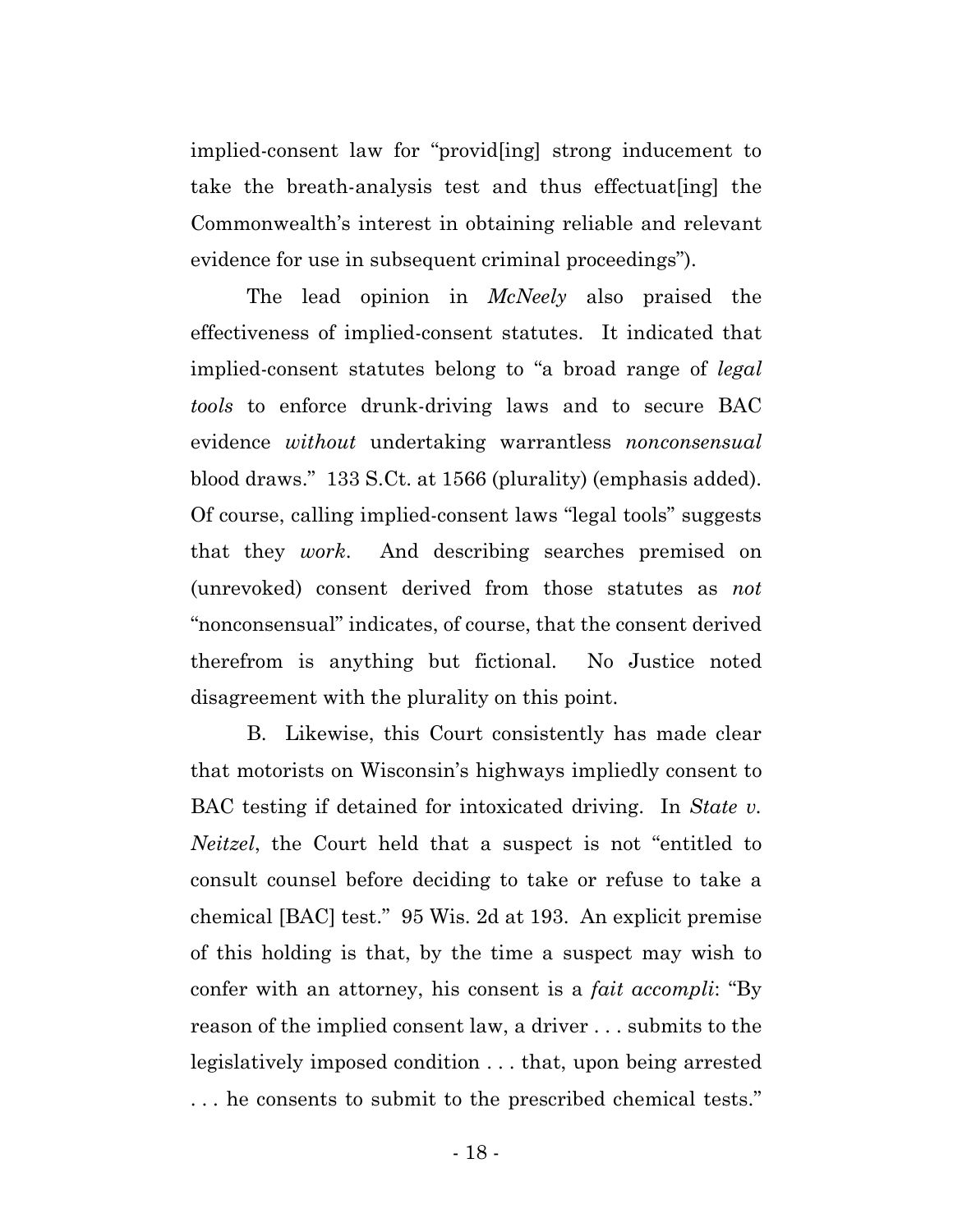implied-consent law for "provid[ing] strong inducement to take the breath-analysis test and thus effectuat[ing] the Commonwealth's interest in obtaining reliable and relevant evidence for use in subsequent criminal proceedings").

The lead opinion in *McNeely* also praised the effectiveness of implied-consent statutes. It indicated that implied-consent statutes belong to "a broad range of *legal tools* to enforce drunk-driving laws and to secure BAC evidence *without* undertaking warrantless *nonconsensual* blood draws." 133 S.Ct. at 1566 (plurality) (emphasis added). Of course, calling implied-consent laws "legal tools" suggests that they *work*. And describing searches premised on (unrevoked) consent derived from those statutes as *not* "nonconsensual" indicates, of course, that the consent derived therefrom is anything but fictional. No Justice noted disagreement with the plurality on this point.

B. Likewise, this Court consistently has made clear that motorists on Wisconsin's highways impliedly consent to BAC testing if detained for intoxicated driving. In *State v. Neitzel*, the Court held that a suspect is not "entitled to consult counsel before deciding to take or refuse to take a chemical [BAC] test." 95 Wis. 2d at 193. An explicit premise of this holding is that, by the time a suspect may wish to confer with an attorney, his consent is a *fait accompli*: "By reason of the implied consent law, a driver . . . submits to the legislatively imposed condition . . . that, upon being arrested . . . he consents to submit to the prescribed chemical tests."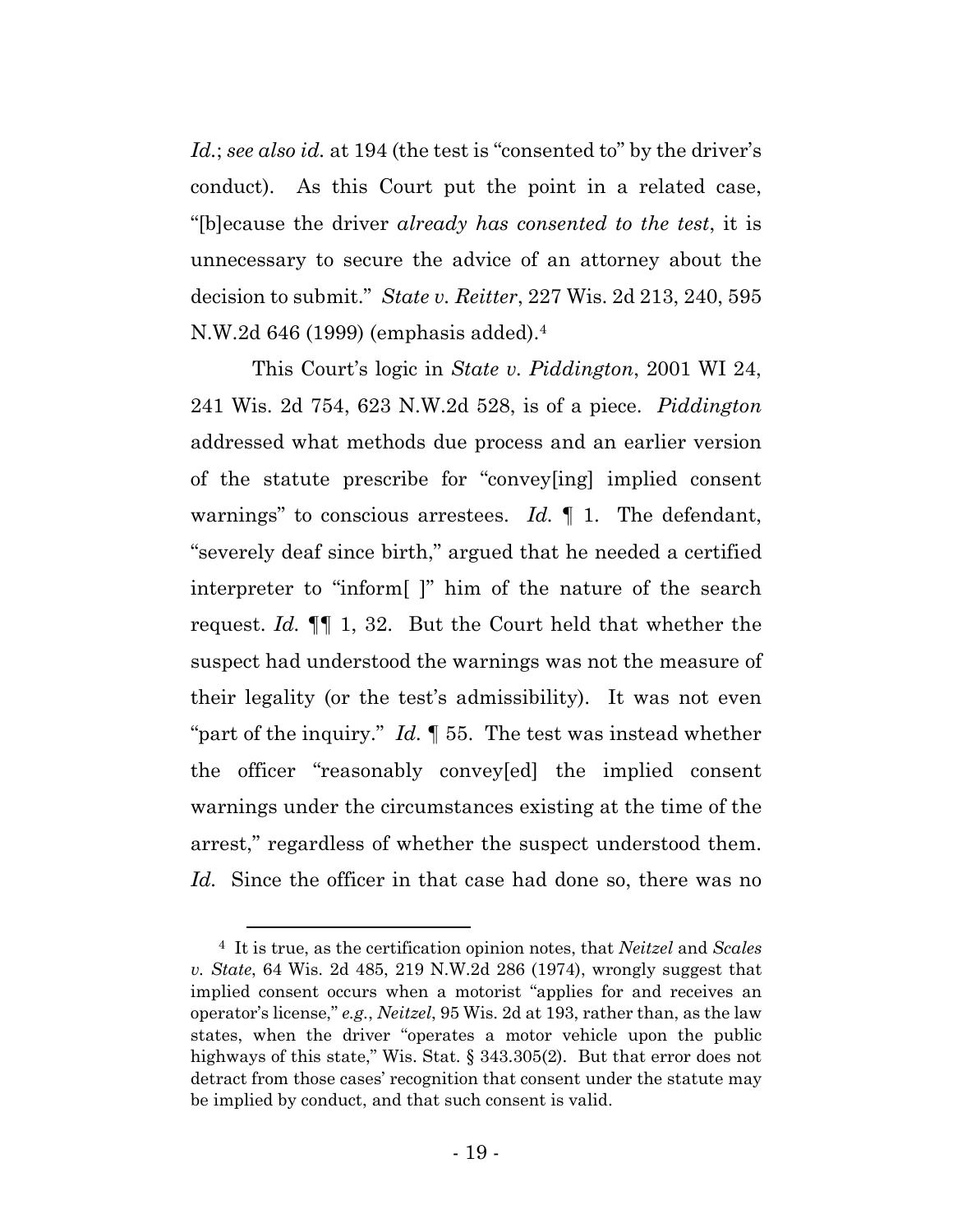*Id.*; *see also id.* at 194 (the test is "consented to" by the driver's conduct). As this Court put the point in a related case, "[b]ecause the driver *already has consented to the test*, it is unnecessary to secure the advice of an attorney about the decision to submit." *State v. Reitter*, 227 Wis. 2d 213, 240, 595 N.W.2d 646 (1999) (emphasis added).4

This Court's logic in *State v. Piddington*, 2001 WI 24, 241 Wis. 2d 754, 623 N.W.2d 528, is of a piece. *Piddington* addressed what methods due process and an earlier version of the statute prescribe for "convey[ing] implied consent warnings" to conscious arrestees. *Id.* ¶ 1. The defendant, "severely deaf since birth," argued that he needed a certified interpreter to "inform[ ]" him of the nature of the search request. *Id.* ¶¶ 1, 32. But the Court held that whether the suspect had understood the warnings was not the measure of their legality (or the test's admissibility). It was not even "part of the inquiry." *Id.* ¶ 55. The test was instead whether the officer "reasonably convey[ed] the implied consent warnings under the circumstances existing at the time of the arrest," regardless of whether the suspect understood them. *Id.* Since the officer in that case had done so, there was no

 <sup>4</sup> It is true, as the certification opinion notes, that *Neitzel* and *Scales v. State*, 64 Wis. 2d 485, 219 N.W.2d 286 (1974), wrongly suggest that implied consent occurs when a motorist "applies for and receives an operator's license," *e.g.*, *Neitzel*, 95 Wis. 2d at 193, rather than, as the law states, when the driver "operates a motor vehicle upon the public highways of this state," Wis. Stat. § 343.305(2). But that error does not detract from those cases' recognition that consent under the statute may be implied by conduct, and that such consent is valid.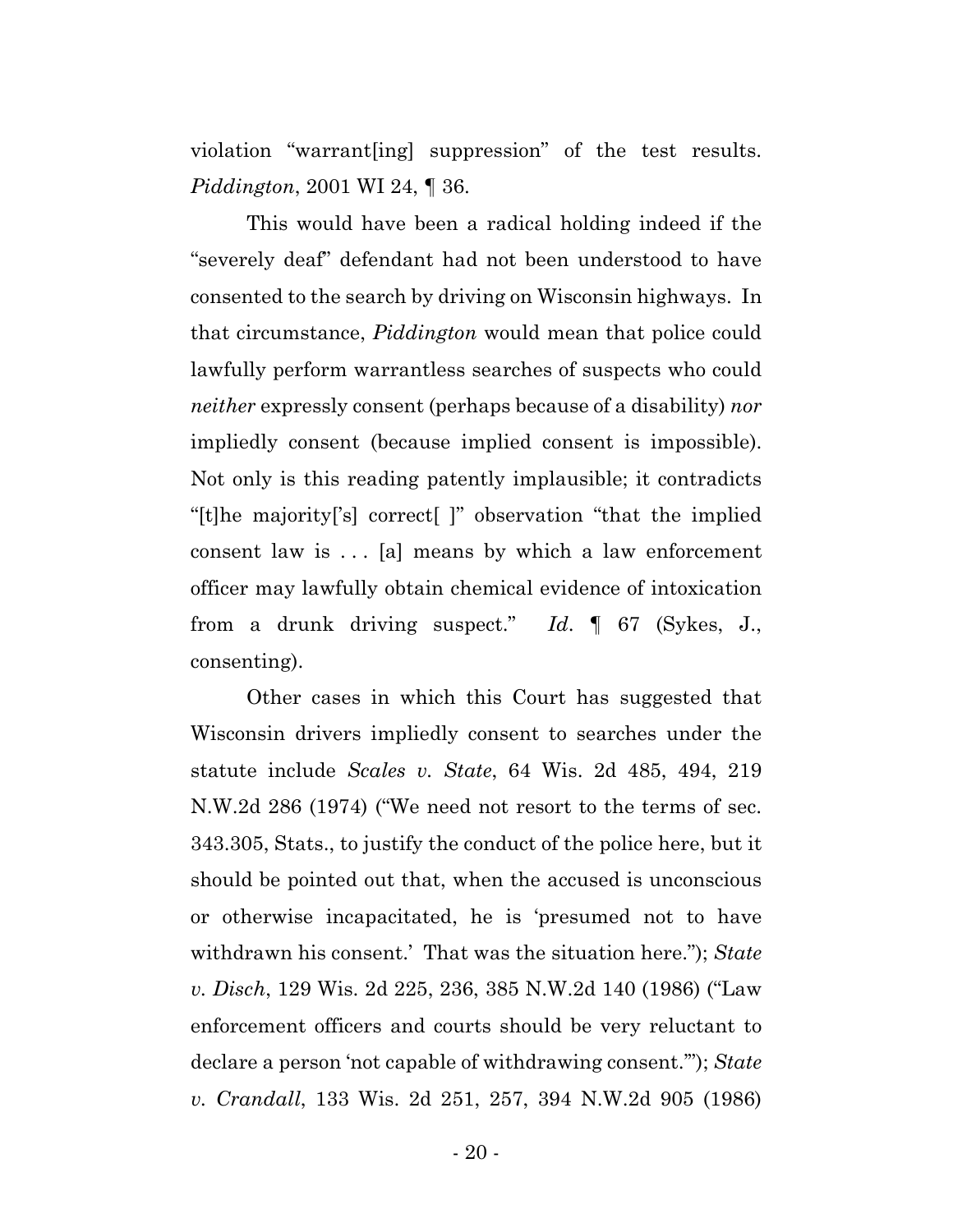violation "warrant[ing] suppression" of the test results. *Piddington*, 2001 WI 24, ¶ 36.

This would have been a radical holding indeed if the "severely deaf" defendant had not been understood to have consented to the search by driving on Wisconsin highways. In that circumstance, *Piddington* would mean that police could lawfully perform warrantless searches of suspects who could *neither* expressly consent (perhaps because of a disability) *nor* impliedly consent (because implied consent is impossible). Not only is this reading patently implausible; it contradicts "[t]he majority['s] correct[ ]" observation "that the implied consent law is  $\dots$  [a] means by which a law enforcement officer may lawfully obtain chemical evidence of intoxication from a drunk driving suspect." *Id*. ¶ 67 (Sykes, J., consenting).

Other cases in which this Court has suggested that Wisconsin drivers impliedly consent to searches under the statute include *Scales v. State*, 64 Wis. 2d 485, 494, 219 N.W.2d 286 (1974) ("We need not resort to the terms of sec. 343.305, Stats., to justify the conduct of the police here, but it should be pointed out that, when the accused is unconscious or otherwise incapacitated, he is 'presumed not to have withdrawn his consent.' That was the situation here."); *State v. Disch*, 129 Wis. 2d 225, 236, 385 N.W.2d 140 (1986) ("Law enforcement officers and courts should be very reluctant to declare a person 'not capable of withdrawing consent.'"); *State v. Crandall*, 133 Wis. 2d 251, 257, 394 N.W.2d 905 (1986)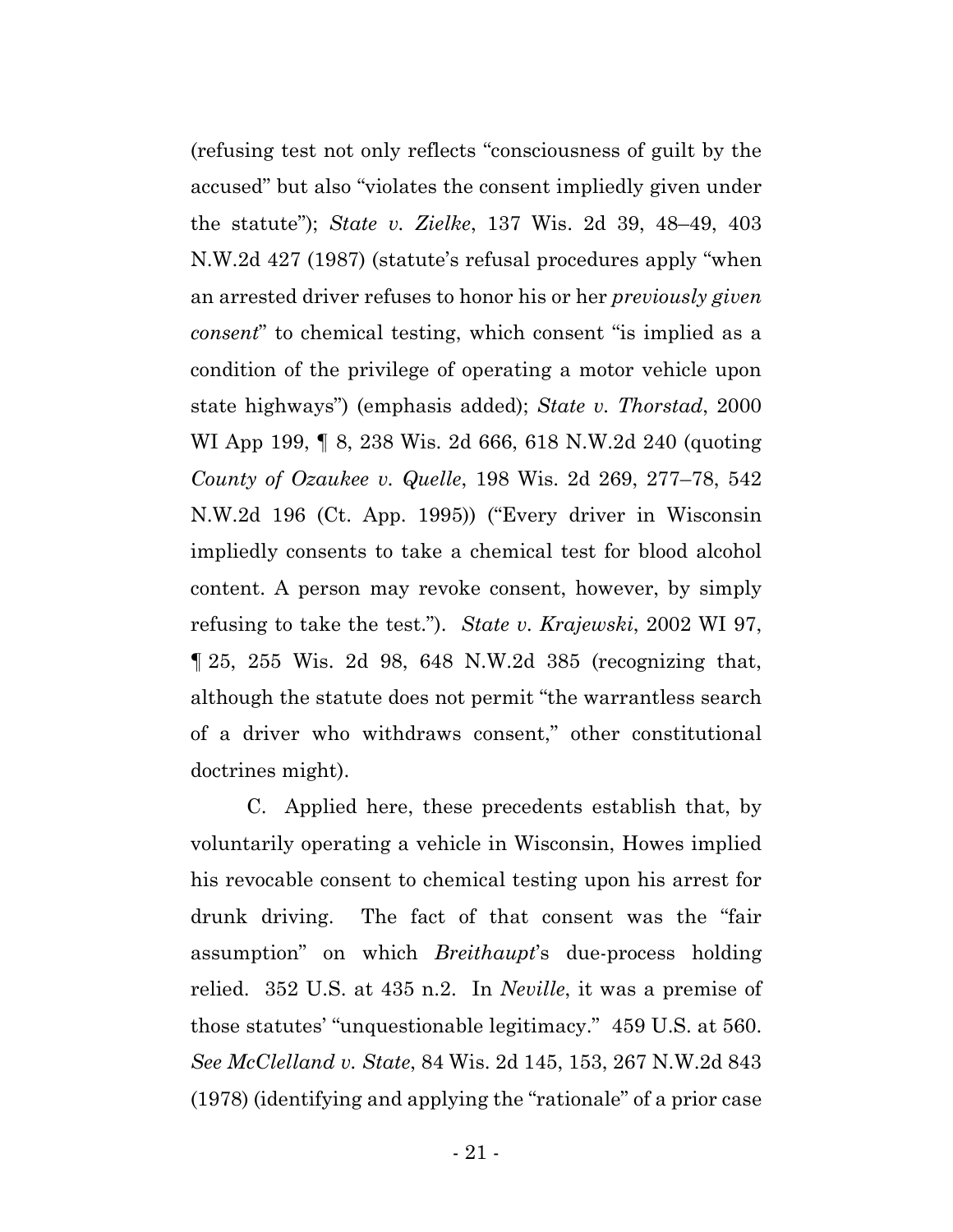(refusing test not only reflects "consciousness of guilt by the accused" but also "violates the consent impliedly given under the statute"); *State v. Zielke*, 137 Wis. 2d 39, 48–49, 403 N.W.2d 427 (1987) (statute's refusal procedures apply "when an arrested driver refuses to honor his or her *previously given consent*" to chemical testing, which consent "is implied as a condition of the privilege of operating a motor vehicle upon state highways") (emphasis added); *State v. Thorstad*, 2000 WI App 199, ¶ 8, 238 Wis. 2d 666, 618 N.W.2d 240 (quoting *County of Ozaukee v. Quelle*, 198 Wis. 2d 269, 277–78, 542 N.W.2d 196 (Ct. App. 1995)) ("Every driver in Wisconsin impliedly consents to take a chemical test for blood alcohol content. A person may revoke consent, however, by simply refusing to take the test."). *State v. Krajewski*, 2002 WI 97, ¶ 25, 255 Wis. 2d 98, 648 N.W.2d 385 (recognizing that, although the statute does not permit "the warrantless search of a driver who withdraws consent," other constitutional doctrines might).

C. Applied here, these precedents establish that, by voluntarily operating a vehicle in Wisconsin, Howes implied his revocable consent to chemical testing upon his arrest for drunk driving. The fact of that consent was the "fair assumption" on which *Breithaupt*'s due-process holding relied. 352 U.S. at 435 n.2. In *Neville*, it was a premise of those statutes' "unquestionable legitimacy." 459 U.S. at 560. *See McClelland v. State*, 84 Wis. 2d 145, 153, 267 N.W.2d 843 (1978) (identifying and applying the "rationale" of a prior case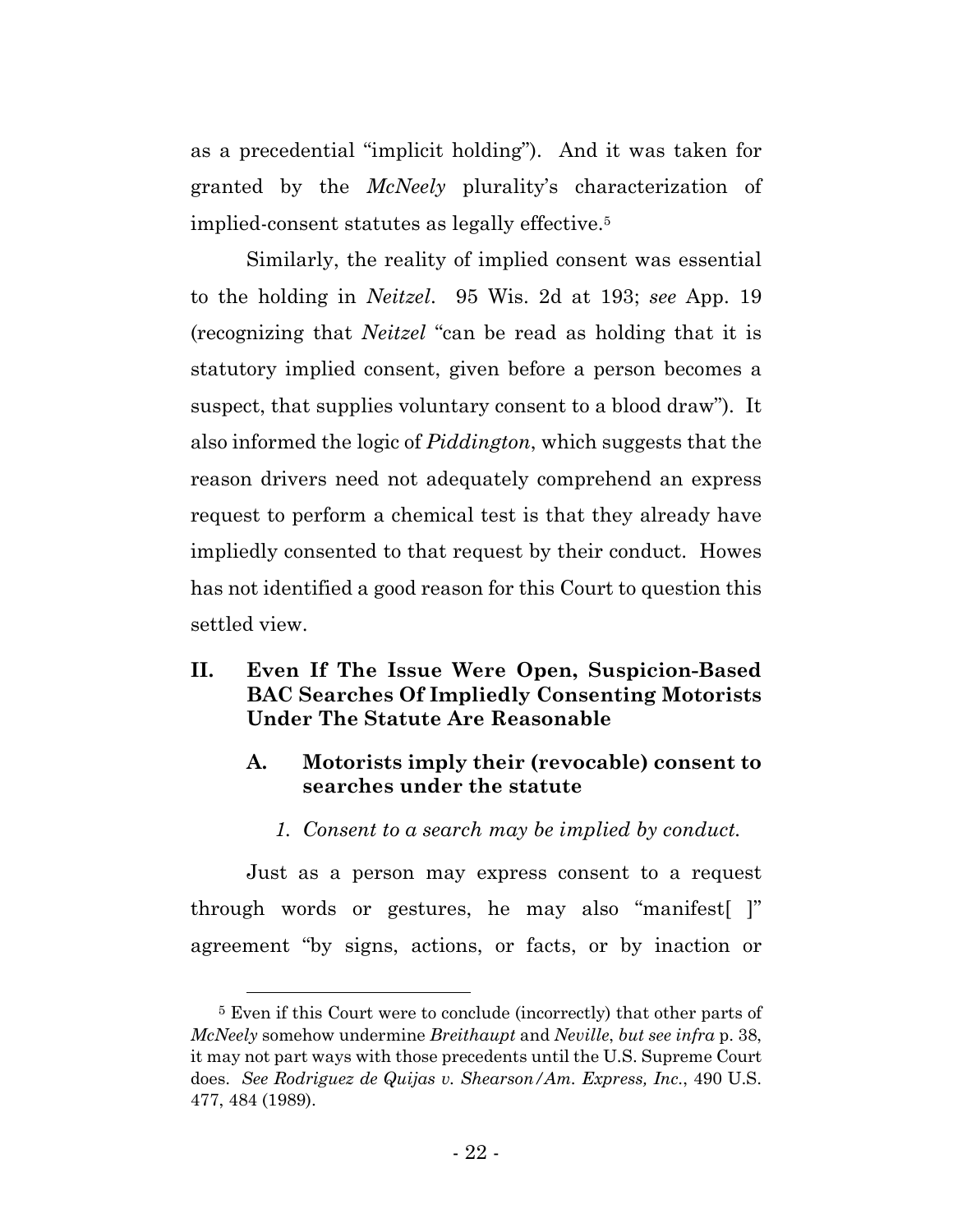as a precedential "implicit holding"). And it was taken for granted by the *McNeely* plurality's characterization of implied-consent statutes as legally effective.5

Similarly, the reality of implied consent was essential to the holding in *Neitzel*. 95 Wis. 2d at 193; *see* App. 19 (recognizing that *Neitzel* "can be read as holding that it is statutory implied consent, given before a person becomes a suspect, that supplies voluntary consent to a blood draw"). It also informed the logic of *Piddington*, which suggests that the reason drivers need not adequately comprehend an express request to perform a chemical test is that they already have impliedly consented to that request by their conduct. Howes has not identified a good reason for this Court to question this settled view.

# **II. Even If The Issue Were Open, Suspicion-Based BAC Searches Of Impliedly Consenting Motorists Under The Statute Are Reasonable**

- **A. Motorists imply their (revocable) consent to searches under the statute**
	- *1. Consent to a search may be implied by conduct.*

Just as a person may express consent to a request through words or gestures, he may also "manifest[ ]" agreement "by signs, actions, or facts, or by inaction or

<sup>&</sup>lt;sup>5</sup> Even if this Court were to conclude (incorrectly) that other parts of *McNeely* somehow undermine *Breithaupt* and *Neville*, *but see infra* p. 38, it may not part ways with those precedents until the U.S. Supreme Court does. *See Rodriguez de Quijas v. Shearson/Am. Express, Inc.*, 490 U.S. 477, 484 (1989).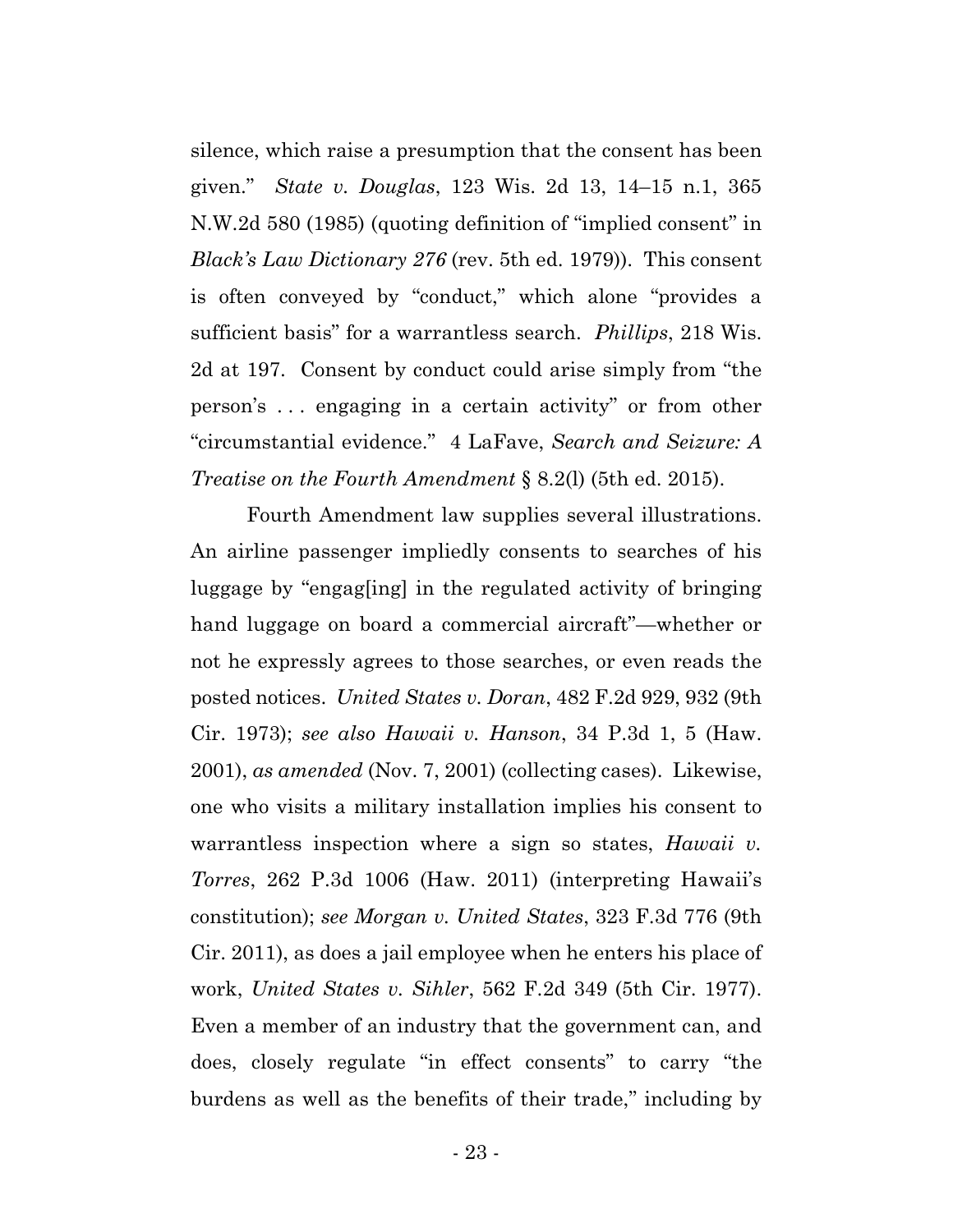silence, which raise a presumption that the consent has been given." *State v. Douglas*, 123 Wis. 2d 13, 14–15 n.1, 365 N.W.2d 580 (1985) (quoting definition of "implied consent" in *Black's Law Dictionary 276* (rev. 5th ed. 1979)). This consent is often conveyed by "conduct," which alone "provides a sufficient basis" for a warrantless search. *Phillips*, 218 Wis. 2d at 197. Consent by conduct could arise simply from "the person's . . . engaging in a certain activity" or from other "circumstantial evidence." 4 LaFave, *Search and Seizure: A Treatise on the Fourth Amendment* § 8.2(l) (5th ed. 2015).

Fourth Amendment law supplies several illustrations. An airline passenger impliedly consents to searches of his luggage by "engag[ing] in the regulated activity of bringing hand luggage on board a commercial aircraft"—whether or not he expressly agrees to those searches, or even reads the posted notices. *United States v. Doran*, 482 F.2d 929, 932 (9th Cir. 1973); *see also Hawaii v. Hanson*, 34 P.3d 1, 5 (Haw. 2001), *as amended* (Nov. 7, 2001) (collecting cases). Likewise, one who visits a military installation implies his consent to warrantless inspection where a sign so states, *Hawaii v. Torres*, 262 P.3d 1006 (Haw. 2011) (interpreting Hawaii's constitution); *see Morgan v. United States*, 323 F.3d 776 (9th Cir. 2011), as does a jail employee when he enters his place of work, *United States v. Sihler*, 562 F.2d 349 (5th Cir. 1977). Even a member of an industry that the government can, and does, closely regulate "in effect consents" to carry "the burdens as well as the benefits of their trade," including by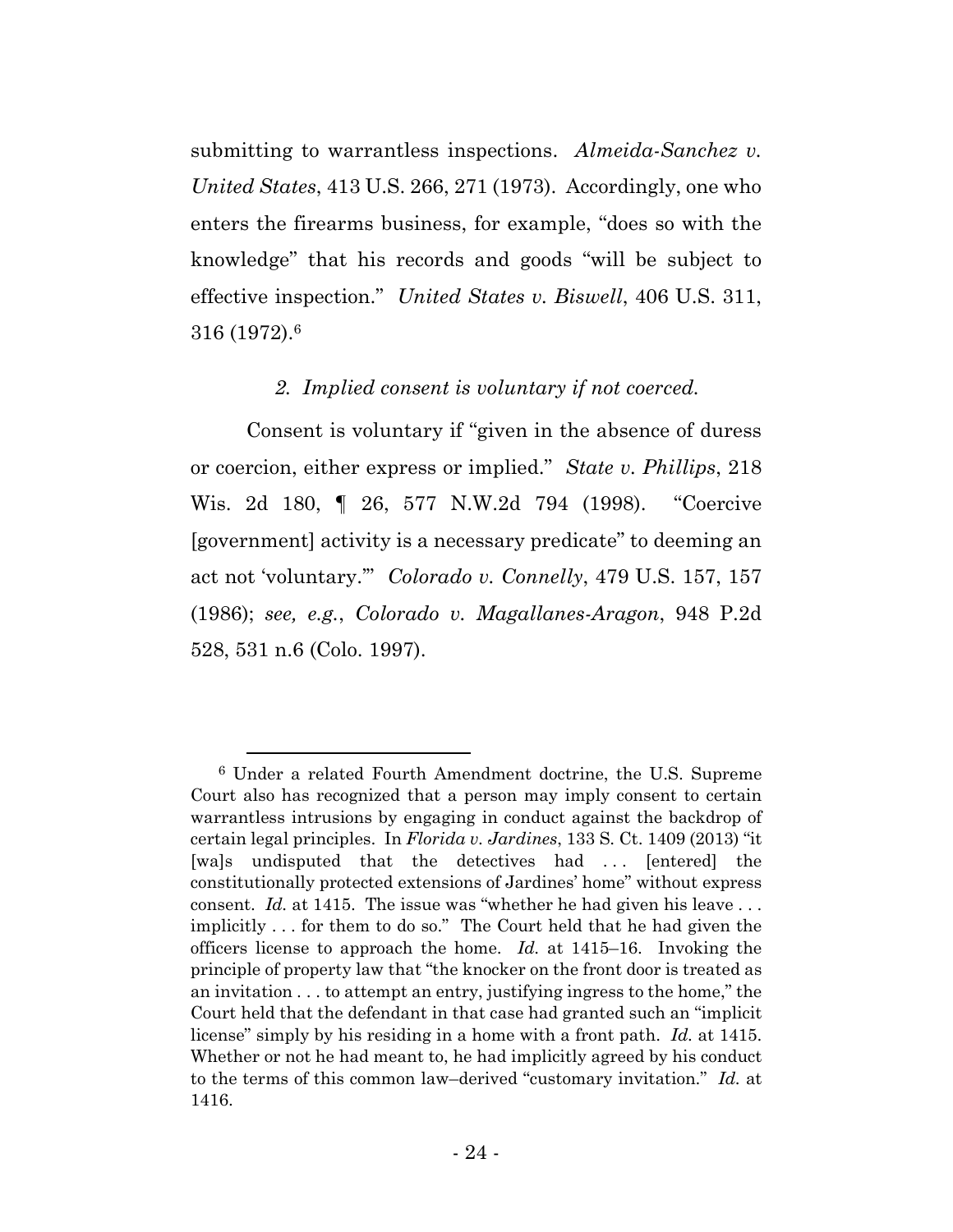submitting to warrantless inspections. *Almeida-Sanchez v. United States*, 413 U.S. 266, 271 (1973). Accordingly, one who enters the firearms business, for example, "does so with the knowledge" that his records and goods "will be subject to effective inspection." *United States v. Biswell*, 406 U.S. 311, 316 (1972).6

## *2. Implied consent is voluntary if not coerced.*

Consent is voluntary if "given in the absence of duress or coercion, either express or implied." *State v. Phillips*, 218 Wis. 2d 180, ¶ 26, 577 N.W.2d 794 (1998). "Coercive [government] activity is a necessary predicate" to deeming an act not 'voluntary.'" *Colorado v. Connelly*, 479 U.S. 157, 157 (1986); *see, e.g.*, *Colorado v. Magallanes-Aragon*, 948 P.2d 528, 531 n.6 (Colo. 1997).

 <sup>6</sup> Under a related Fourth Amendment doctrine, the U.S. Supreme Court also has recognized that a person may imply consent to certain warrantless intrusions by engaging in conduct against the backdrop of certain legal principles. In *Florida v. Jardines*, 133 S. Ct. 1409 (2013) "it [wa]s undisputed that the detectives had ... [entered] the constitutionally protected extensions of Jardines' home" without express consent. *Id.* at 1415. The issue was "whether he had given his leave . . . implicitly . . . for them to do so." The Court held that he had given the officers license to approach the home. *Id.* at 1415–16.Invoking the principle of property law that "the knocker on the front door is treated as an invitation . . . to attempt an entry, justifying ingress to the home," the Court held that the defendant in that case had granted such an "implicit license" simply by his residing in a home with a front path. *Id.* at 1415. Whether or not he had meant to, he had implicitly agreed by his conduct to the terms of this common law–derived "customary invitation." *Id.* at 1416.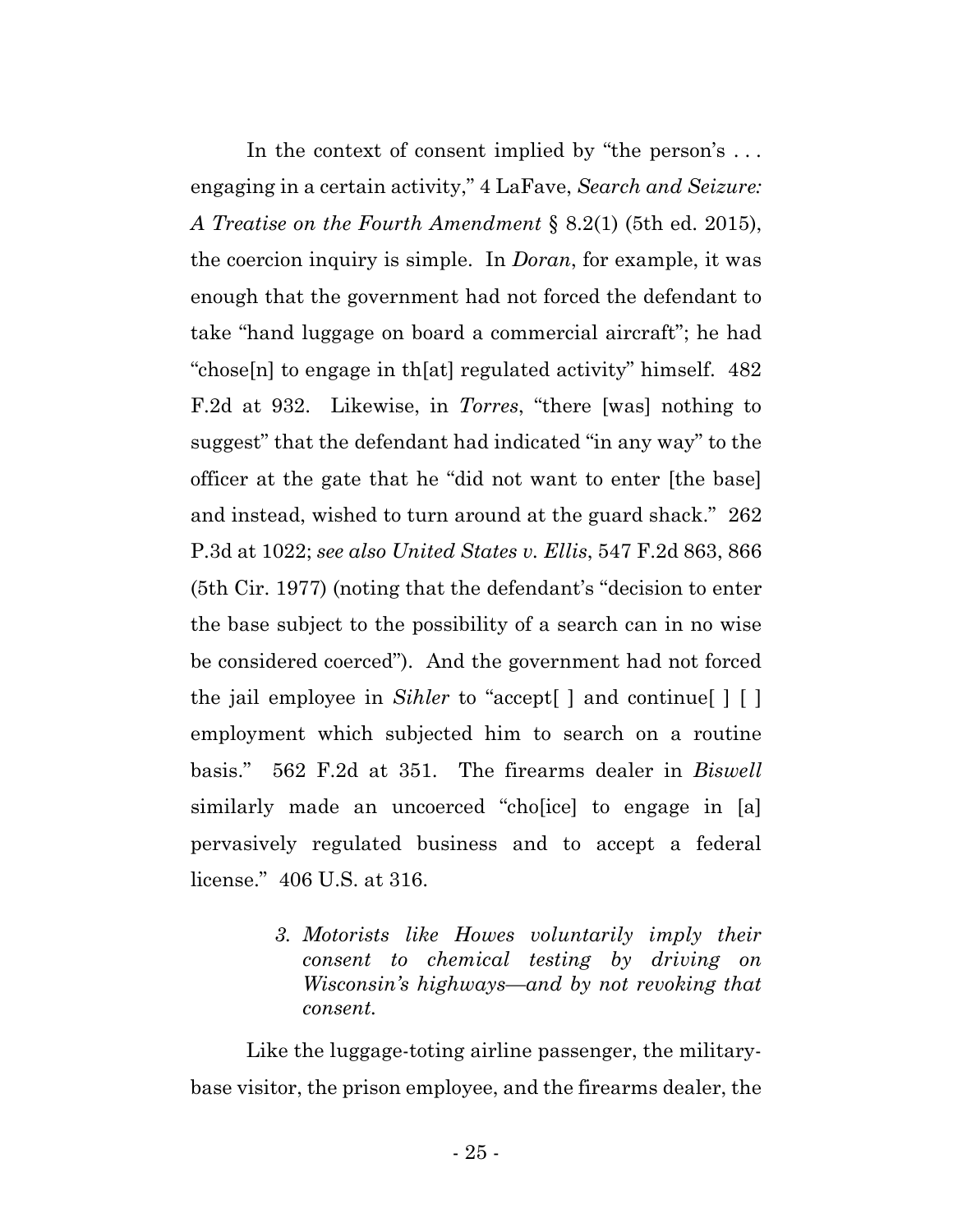In the context of consent implied by "the person's ... engaging in a certain activity," 4 LaFave, *Search and Seizure: A Treatise on the Fourth Amendment* § 8.2(1) (5th ed. 2015), the coercion inquiry is simple. In *Doran*, for example, it was enough that the government had not forced the defendant to take "hand luggage on board a commercial aircraft"; he had "chose[n] to engage in th[at] regulated activity" himself. 482 F.2d at 932. Likewise, in *Torres*, "there [was] nothing to suggest" that the defendant had indicated "in any way" to the officer at the gate that he "did not want to enter [the base] and instead, wished to turn around at the guard shack." 262 P.3d at 1022; *see also United States v. Ellis*, 547 F.2d 863, 866 (5th Cir. 1977) (noting that the defendant's "decision to enter the base subject to the possibility of a search can in no wise be considered coerced"). And the government had not forced the jail employee in *Sihler* to "accept[ ] and continue[ ] [ ] employment which subjected him to search on a routine basis." 562 F.2d at 351. The firearms dealer in *Biswell* similarly made an uncoerced "cho[ice] to engage in [a] pervasively regulated business and to accept a federal license." 406 U.S. at 316.

> *3. Motorists like Howes voluntarily imply their consent to chemical testing by driving on Wisconsin's highways—and by not revoking that consent.*

Like the luggage-toting airline passenger, the militarybase visitor, the prison employee, and the firearms dealer, the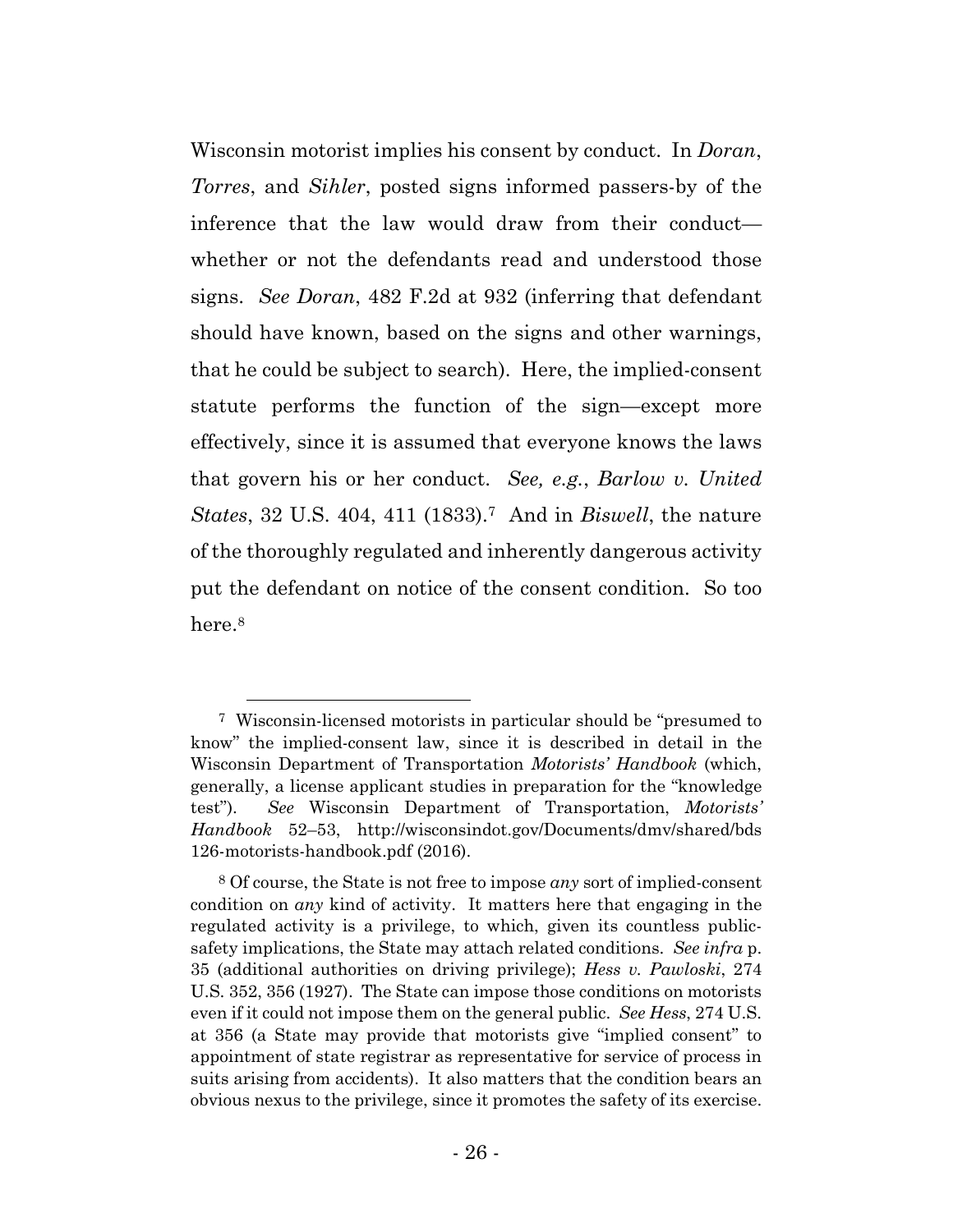Wisconsin motorist implies his consent by conduct. In *Doran*, *Torres*, and *Sihler*, posted signs informed passers-by of the inference that the law would draw from their conduct whether or not the defendants read and understood those signs. *See Doran*, 482 F.2d at 932 (inferring that defendant should have known, based on the signs and other warnings, that he could be subject to search). Here, the implied-consent statute performs the function of the sign—except more effectively, since it is assumed that everyone knows the laws that govern his or her conduct. *See, e.g.*, *Barlow v. United States*, 32 U.S. 404, 411 (1833).7 And in *Biswell*, the nature of the thoroughly regulated and inherently dangerous activity put the defendant on notice of the consent condition. So too here.<sup>8</sup>

 <sup>7</sup> Wisconsin-licensed motorists in particular should be "presumed to know" the implied-consent law, since it is described in detail in the Wisconsin Department of Transportation *Motorists' Handbook* (which, generally, a license applicant studies in preparation for the "knowledge test"). *See* Wisconsin Department of Transportation, *Motorists' Handbook* 52–53, http://wisconsindot.gov/Documents/dmv/shared/bds 126-motorists-handbook.pdf (2016).

<sup>8</sup> Of course, the State is not free to impose *any* sort of implied-consent condition on *any* kind of activity. It matters here that engaging in the regulated activity is a privilege, to which, given its countless publicsafety implications, the State may attach related conditions. *See infra* p. 35 (additional authorities on driving privilege); *Hess v. Pawloski*, 274 U.S. 352, 356 (1927). The State can impose those conditions on motorists even if it could not impose them on the general public. *See Hess*, 274 U.S. at 356 (a State may provide that motorists give "implied consent" to appointment of state registrar as representative for service of process in suits arising from accidents). It also matters that the condition bears an obvious nexus to the privilege, since it promotes the safety of its exercise.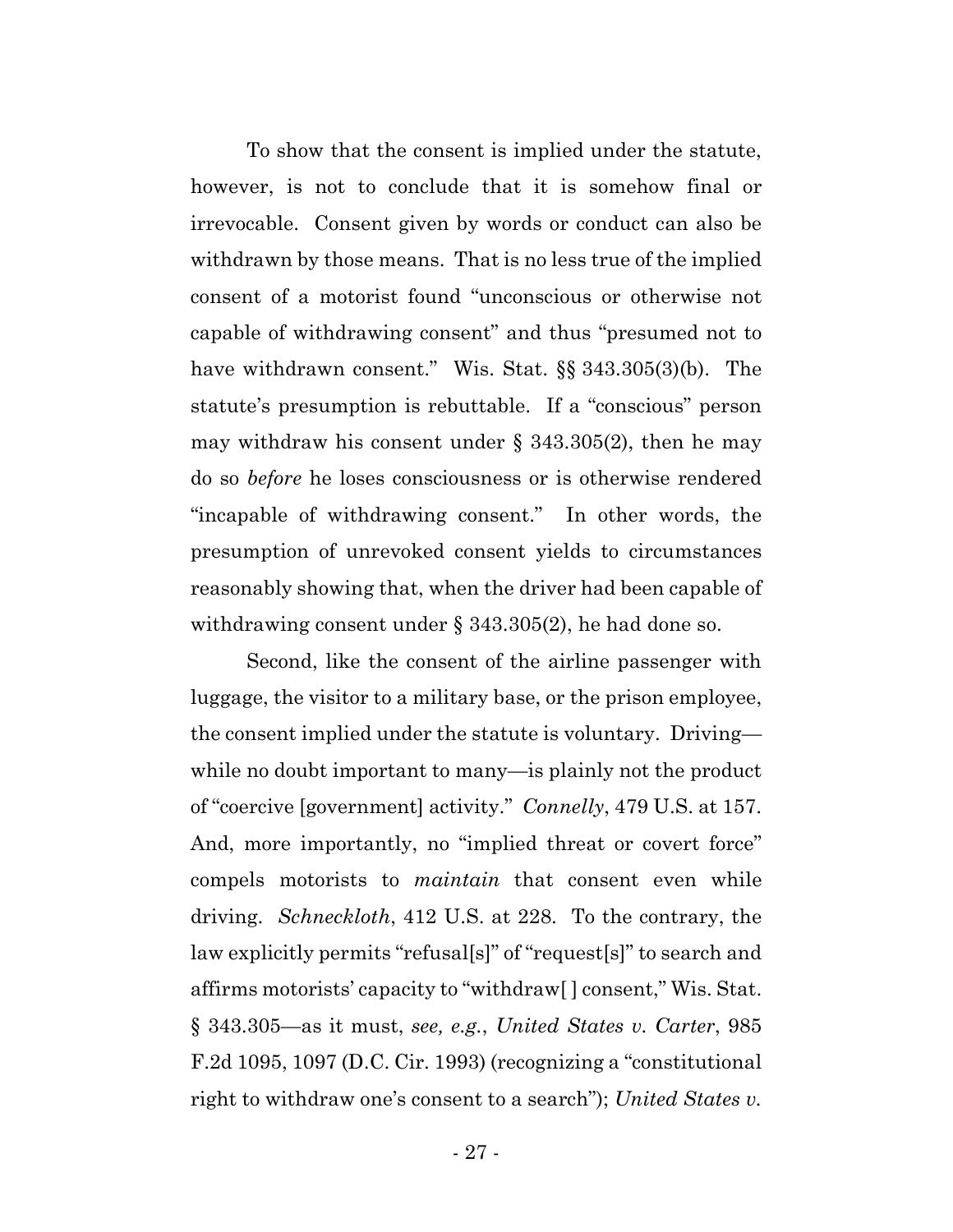To show that the consent is implied under the statute, however, is not to conclude that it is somehow final or irrevocable. Consent given by words or conduct can also be withdrawn by those means. That is no less true of the implied consent of a motorist found "unconscious or otherwise not capable of withdrawing consent" and thus "presumed not to have withdrawn consent." Wis. Stat. §§ 343.305(3)(b). The statute's presumption is rebuttable. If a "conscious" person may withdraw his consent under  $\S$  343.305(2), then he may do so *before* he loses consciousness or is otherwise rendered "incapable of withdrawing consent." In other words, the presumption of unrevoked consent yields to circumstances reasonably showing that, when the driver had been capable of withdrawing consent under § 343.305(2), he had done so.

Second, like the consent of the airline passenger with luggage, the visitor to a military base, or the prison employee, the consent implied under the statute is voluntary. Driving while no doubt important to many—is plainly not the product of "coercive [government] activity." *Connelly*, 479 U.S. at 157. And, more importantly, no "implied threat or covert force" compels motorists to *maintain* that consent even while driving. *Schneckloth*, 412 U.S. at 228. To the contrary, the law explicitly permits "refusal[s]" of "request[s]" to search and affirms motorists' capacity to "withdraw[ ] consent," Wis. Stat. § 343.305—as it must, *see, e.g.*, *United States v. Carter*, 985 F.2d 1095, 1097 (D.C. Cir. 1993) (recognizing a "constitutional right to withdraw one's consent to a search"); *United States v.*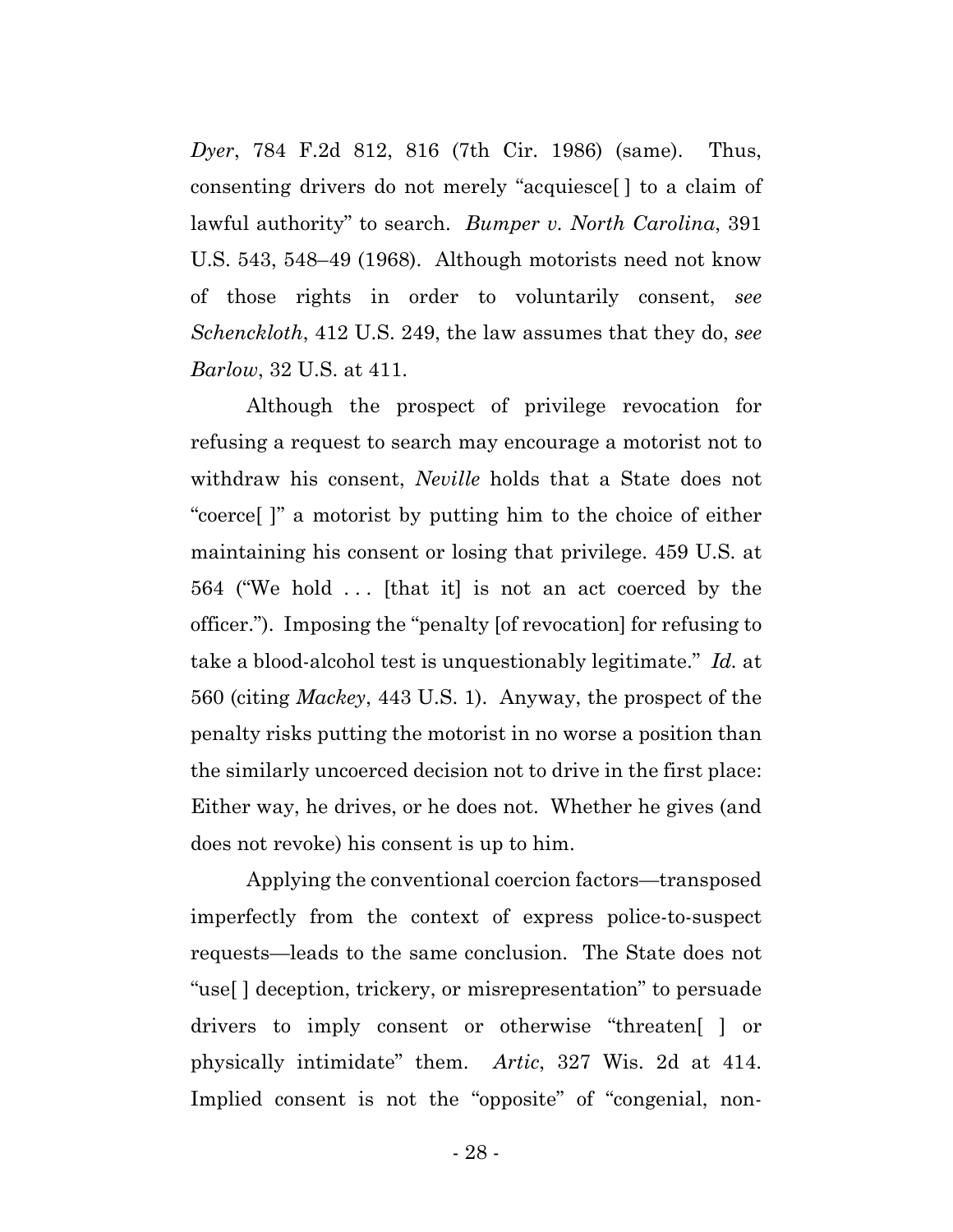*Dyer*, 784 F.2d 812, 816 (7th Cir. 1986) (same). Thus, consenting drivers do not merely "acquiesce[ ] to a claim of lawful authority" to search. *Bumper v. North Carolina*, 391 U.S. 543, 548–49 (1968). Although motorists need not know of those rights in order to voluntarily consent, *see Schenckloth*, 412 U.S. 249, the law assumes that they do, *see Barlow*, 32 U.S. at 411.

Although the prospect of privilege revocation for refusing a request to search may encourage a motorist not to withdraw his consent, *Neville* holds that a State does not "coerce[ ]" a motorist by putting him to the choice of either maintaining his consent or losing that privilege. 459 U.S. at 564 ("We hold . . . [that it] is not an act coerced by the officer."). Imposing the "penalty [of revocation] for refusing to take a blood-alcohol test is unquestionably legitimate." *Id.* at 560 (citing *Mackey*, 443 U.S. 1). Anyway, the prospect of the penalty risks putting the motorist in no worse a position than the similarly uncoerced decision not to drive in the first place: Either way, he drives, or he does not. Whether he gives (and does not revoke) his consent is up to him.

Applying the conventional coercion factors—transposed imperfectly from the context of express police-to-suspect requests—leads to the same conclusion. The State does not "use[ ] deception, trickery, or misrepresentation" to persuade drivers to imply consent or otherwise "threaten[ ] or physically intimidate" them. *Artic*, 327 Wis. 2d at 414. Implied consent is not the "opposite" of "congenial, non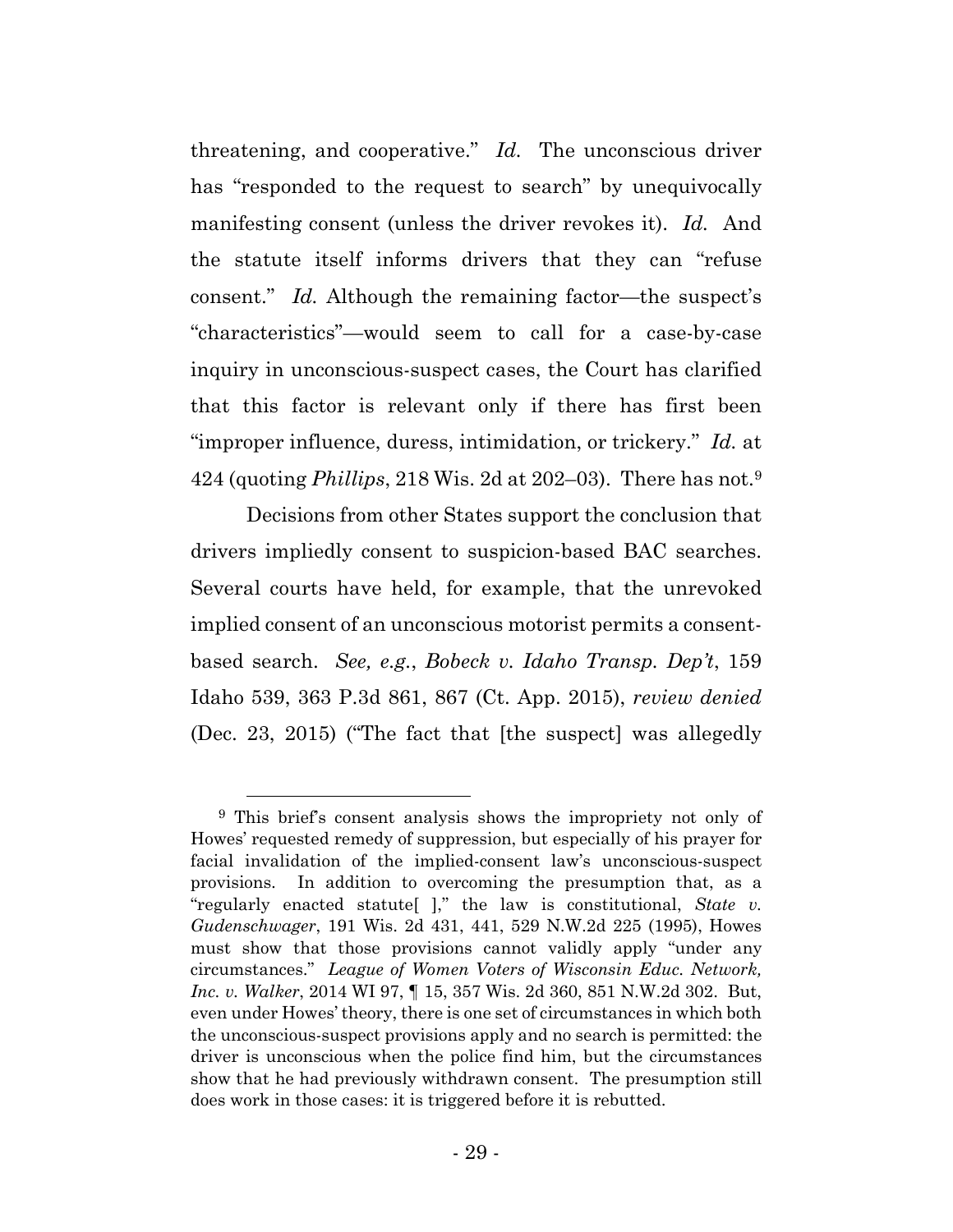threatening, and cooperative." *Id.* The unconscious driver has "responded to the request to search" by unequivocally manifesting consent (unless the driver revokes it). *Id.* And the statute itself informs drivers that they can "refuse consent." *Id.* Although the remaining factor—the suspect's "characteristics"—would seem to call for a case-by-case inquiry in unconscious-suspect cases, the Court has clarified that this factor is relevant only if there has first been "improper influence, duress, intimidation, or trickery." *Id.* at 424 (quoting *Phillips*, 218 Wis. 2d at 202–03). There has not.9

Decisions from other States support the conclusion that drivers impliedly consent to suspicion-based BAC searches. Several courts have held, for example, that the unrevoked implied consent of an unconscious motorist permits a consentbased search. *See, e.g.*, *Bobeck v. Idaho Transp. Dep't*, 159 Idaho 539, 363 P.3d 861, 867 (Ct. App. 2015), *review denied* (Dec. 23, 2015) ("The fact that [the suspect] was allegedly

 <sup>9</sup> This brief's consent analysis shows the impropriety not only of Howes' requested remedy of suppression, but especially of his prayer for facial invalidation of the implied-consent law's unconscious-suspect provisions. In addition to overcoming the presumption that, as a "regularly enacted statute[ ]," the law is constitutional, *State v. Gudenschwager*, 191 Wis. 2d 431, 441, 529 N.W.2d 225 (1995), Howes must show that those provisions cannot validly apply "under any circumstances." *League of Women Voters of Wisconsin Educ. Network, Inc. v. Walker*, 2014 WI 97, ¶ 15, 357 Wis. 2d 360, 851 N.W.2d 302. But, even under Howes' theory, there is one set of circumstances in which both the unconscious-suspect provisions apply and no search is permitted: the driver is unconscious when the police find him, but the circumstances show that he had previously withdrawn consent. The presumption still does work in those cases: it is triggered before it is rebutted.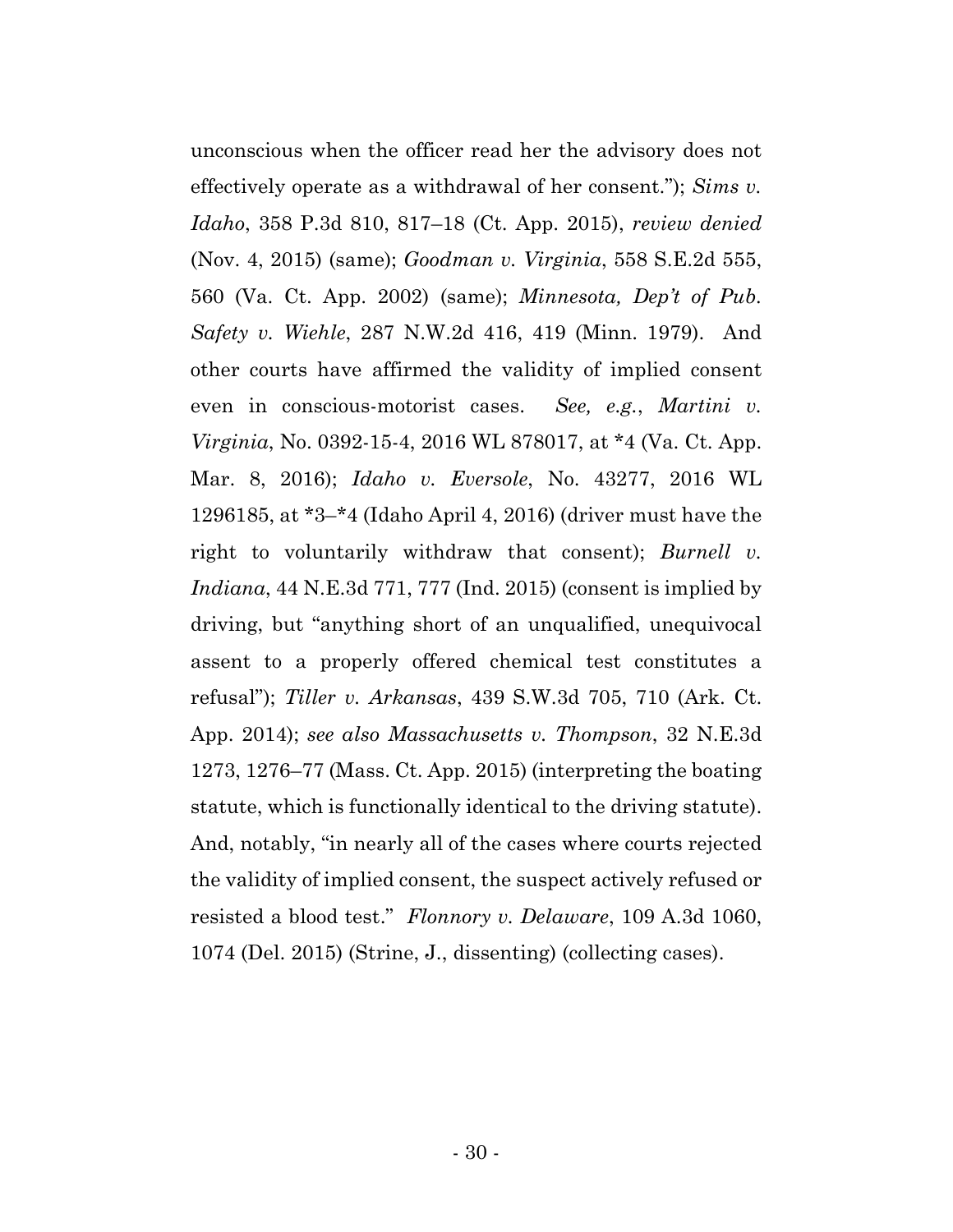unconscious when the officer read her the advisory does not effectively operate as a withdrawal of her consent."); *Sims v. Idaho*, 358 P.3d 810, 817–18 (Ct. App. 2015), *review denied* (Nov. 4, 2015) (same); *Goodman v. Virginia*, 558 S.E.2d 555, 560 (Va. Ct. App. 2002) (same); *Minnesota, Dep't of Pub. Safety v. Wiehle*, 287 N.W.2d 416, 419 (Minn. 1979). And other courts have affirmed the validity of implied consent even in conscious-motorist cases. *See, e.g.*, *Martini v. Virginia*, No. 0392-15-4, 2016 WL 878017, at \*4 (Va. Ct. App. Mar. 8, 2016); *Idaho v. Eversole*, No. 43277, 2016 WL 1296185, at \*3–\*4 (Idaho April 4, 2016) (driver must have the right to voluntarily withdraw that consent); *Burnell v. Indiana*, 44 N.E.3d 771, 777 (Ind. 2015) (consent is implied by driving, but "anything short of an unqualified, unequivocal assent to a properly offered chemical test constitutes a refusal"); *Tiller v. Arkansas*, 439 S.W.3d 705, 710 (Ark. Ct. App. 2014); *see also Massachusetts v. Thompson*, 32 N.E.3d 1273, 1276–77 (Mass. Ct. App. 2015) (interpreting the boating statute, which is functionally identical to the driving statute). And, notably, "in nearly all of the cases where courts rejected the validity of implied consent, the suspect actively refused or resisted a blood test." *Flonnory v. Delaware*, 109 A.3d 1060, 1074 (Del. 2015) (Strine, J., dissenting) (collecting cases).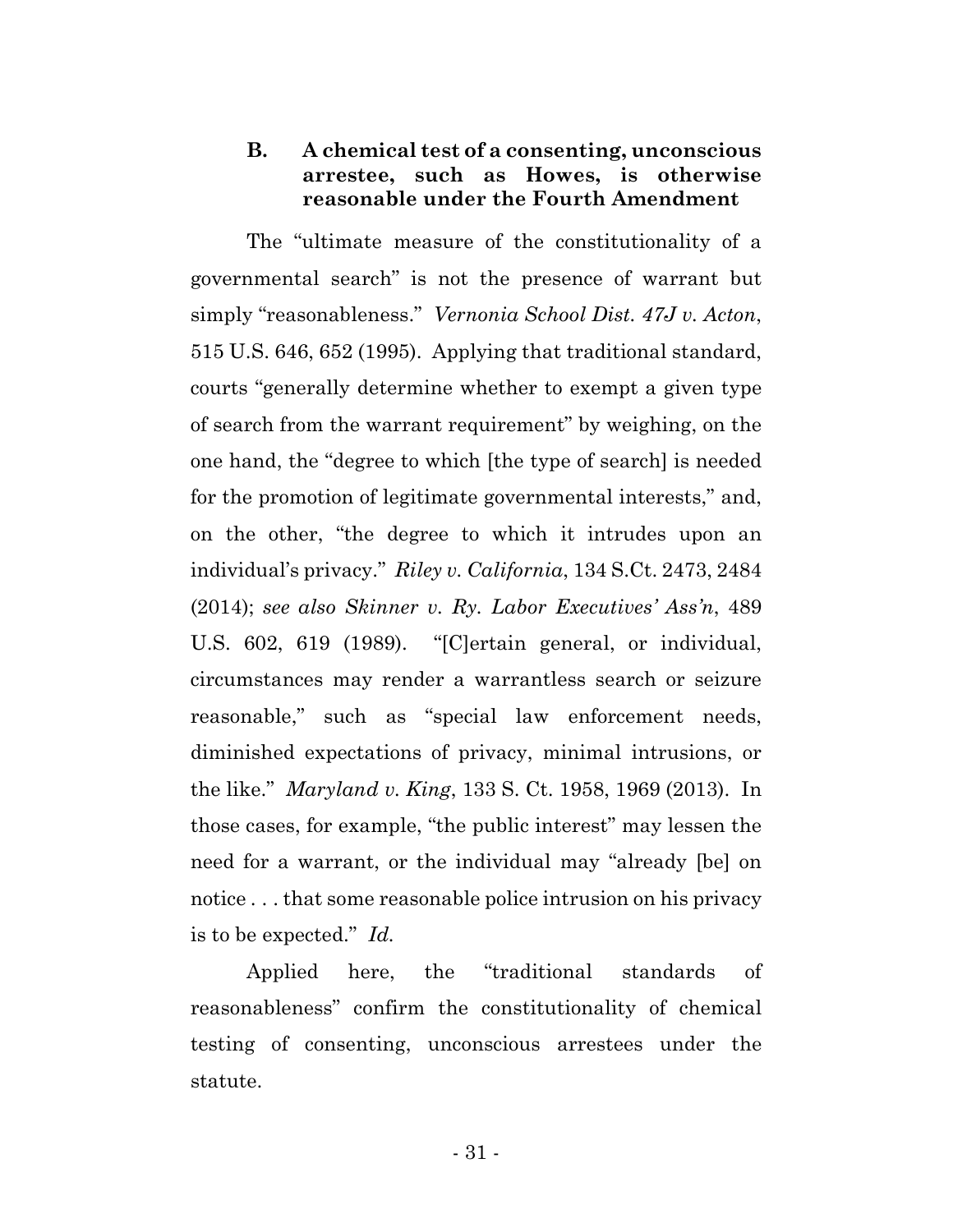## **B. A chemical test of a consenting, unconscious arrestee, such as Howes, is otherwise reasonable under the Fourth Amendment**

The "ultimate measure of the constitutionality of a governmental search" is not the presence of warrant but simply "reasonableness." *Vernonia School Dist. 47J v. Acton*, 515 U.S. 646, 652 (1995). Applying that traditional standard, courts "generally determine whether to exempt a given type of search from the warrant requirement" by weighing, on the one hand, the "degree to which [the type of search] is needed for the promotion of legitimate governmental interests," and, on the other, "the degree to which it intrudes upon an individual's privacy." *Riley v. California*, 134 S.Ct. 2473, 2484 (2014); *see also Skinner v. Ry. Labor Executives' Ass'n*, 489 U.S. 602, 619 (1989). "[C]ertain general, or individual, circumstances may render a warrantless search or seizure reasonable," such as "special law enforcement needs, diminished expectations of privacy, minimal intrusions, or the like." *Maryland v. King*, 133 S. Ct. 1958, 1969 (2013). In those cases, for example, "the public interest" may lessen the need for a warrant, or the individual may "already [be] on notice . . . that some reasonable police intrusion on his privacy is to be expected." *Id.*

Applied here, the "traditional standards of reasonableness" confirm the constitutionality of chemical testing of consenting, unconscious arrestees under the statute.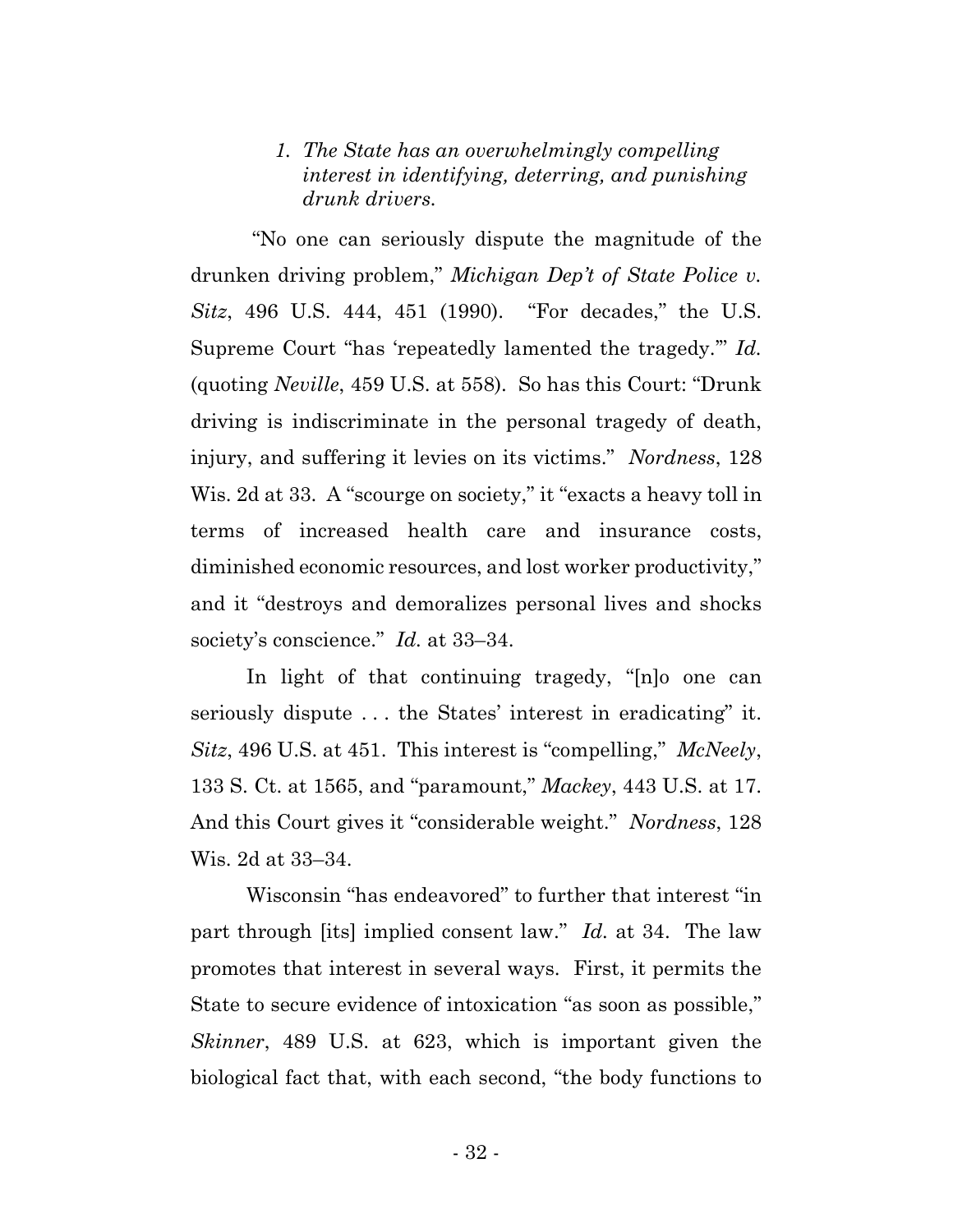## *1. The State has an overwhelmingly compelling interest in identifying, deterring, and punishing drunk drivers.*

"No one can seriously dispute the magnitude of the drunken driving problem," *Michigan Dep't of State Police v. Sitz*, 496 U.S. 444, 451 (1990). "For decades," the U.S. Supreme Court "has 'repeatedly lamented the tragedy.'" *Id.* (quoting *Neville*, 459 U.S. at 558). So has this Court: "Drunk driving is indiscriminate in the personal tragedy of death, injury, and suffering it levies on its victims." *Nordness*, 128 Wis. 2d at 33. A "scourge on society," it "exacts a heavy toll in terms of increased health care and insurance costs, diminished economic resources, and lost worker productivity," and it "destroys and demoralizes personal lives and shocks society's conscience." *Id.* at 33–34.

In light of that continuing tragedy, "[n]o one can seriously dispute ... the States' interest in eradicating" it. *Sitz*, 496 U.S. at 451. This interest is "compelling," *McNeely*, 133 S. Ct. at 1565, and "paramount," *Mackey*, 443 U.S. at 17. And this Court gives it "considerable weight." *Nordness*, 128 Wis. 2d at 33–34.

Wisconsin "has endeavored" to further that interest "in part through [its] implied consent law." *Id.* at 34. The law promotes that interest in several ways. First, it permits the State to secure evidence of intoxication "as soon as possible," *Skinner*, 489 U.S. at 623, which is important given the biological fact that, with each second, "the body functions to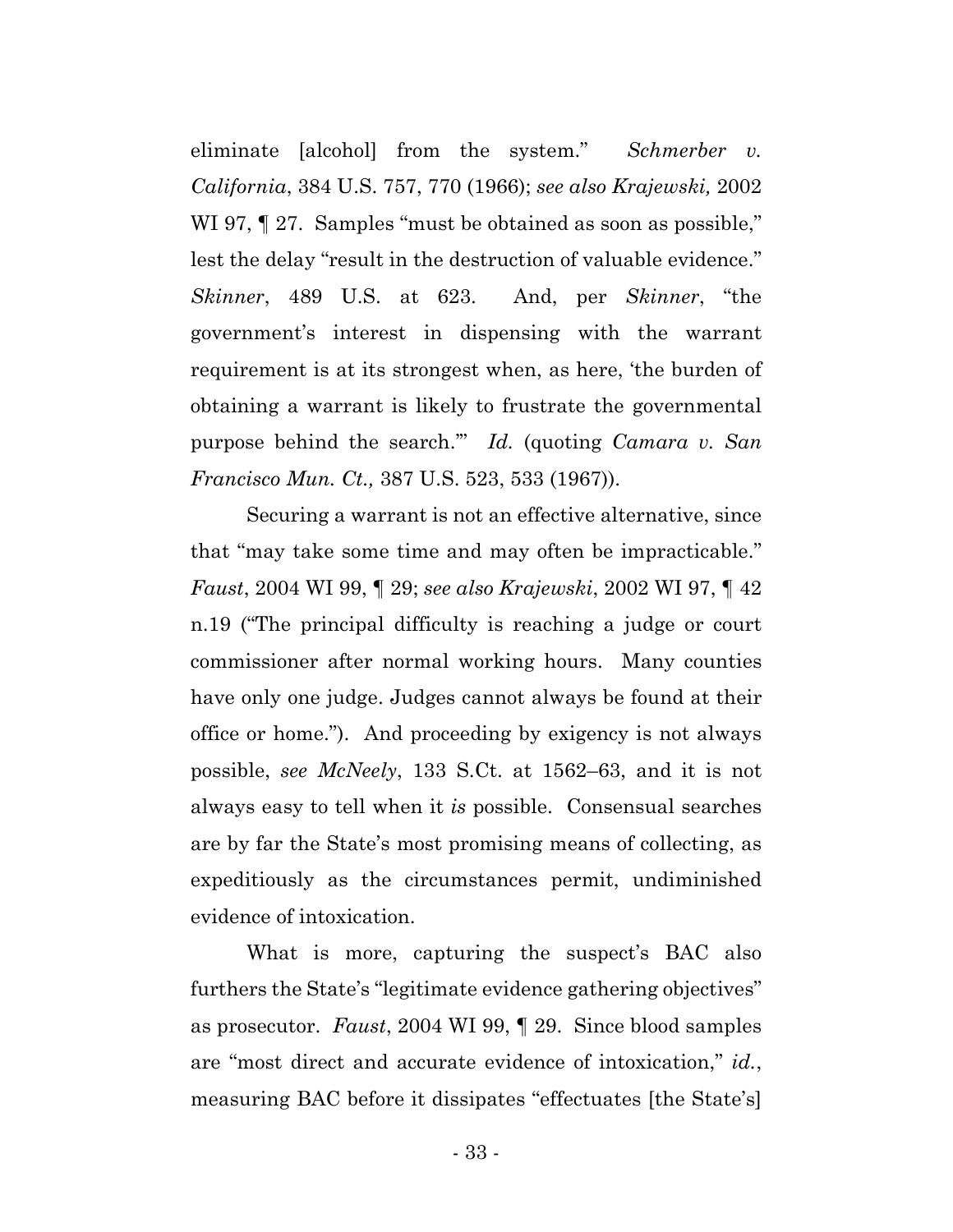eliminate [alcohol] from the system." *Schmerber v. California*, 384 U.S. 757, 770 (1966); *see also Krajewski,* 2002 WI 97,  $\parallel$  27. Samples "must be obtained as soon as possible," lest the delay "result in the destruction of valuable evidence." *Skinner*, 489 U.S. at 623. And, per *Skinner*, "the government's interest in dispensing with the warrant requirement is at its strongest when, as here, 'the burden of obtaining a warrant is likely to frustrate the governmental purpose behind the search.'" *Id.* (quoting *Camara v. San Francisco Mun. Ct.,* 387 U.S. 523, 533 (1967)).

Securing a warrant is not an effective alternative, since that "may take some time and may often be impracticable." *Faust*, 2004 WI 99, ¶ 29; *see also Krajewski*, 2002 WI 97, ¶ 42 n.19 ("The principal difficulty is reaching a judge or court commissioner after normal working hours. Many counties have only one judge. Judges cannot always be found at their office or home."). And proceeding by exigency is not always possible, *see McNeely*, 133 S.Ct. at 1562–63, and it is not always easy to tell when it *is* possible. Consensual searches are by far the State's most promising means of collecting, as expeditiously as the circumstances permit, undiminished evidence of intoxication.

What is more, capturing the suspect's BAC also furthers the State's "legitimate evidence gathering objectives" as prosecutor. *Faust*, 2004 WI 99, ¶ 29. Since blood samples are "most direct and accurate evidence of intoxication," *id.*, measuring BAC before it dissipates "effectuates [the State's]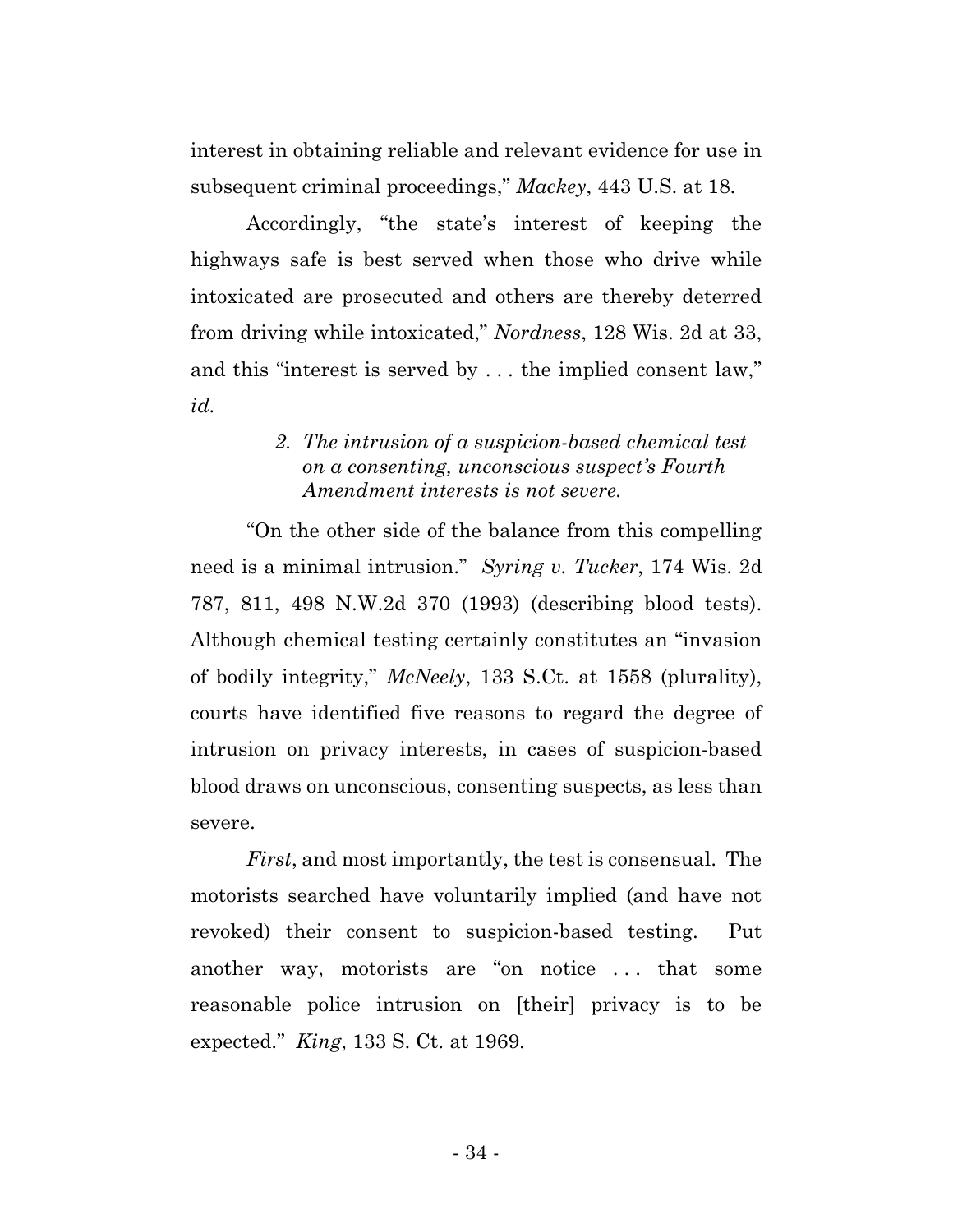interest in obtaining reliable and relevant evidence for use in subsequent criminal proceedings," *Mackey*, 443 U.S. at 18.

Accordingly, "the state's interest of keeping the highways safe is best served when those who drive while intoxicated are prosecuted and others are thereby deterred from driving while intoxicated," *Nordness*, 128 Wis. 2d at 33, and this "interest is served by . . . the implied consent law," *id.*

## *2. The intrusion of a suspicion-based chemical test on a consenting, unconscious suspect's Fourth Amendment interests is not severe.*

"On the other side of the balance from this compelling need is a minimal intrusion." *Syring v. Tucker*, 174 Wis. 2d 787, 811, 498 N.W.2d 370 (1993) (describing blood tests). Although chemical testing certainly constitutes an "invasion of bodily integrity," *McNeely*, 133 S.Ct. at 1558 (plurality), courts have identified five reasons to regard the degree of intrusion on privacy interests, in cases of suspicion-based blood draws on unconscious, consenting suspects, as less than severe.

*First*, and most importantly, the test is consensual. The motorists searched have voluntarily implied (and have not revoked) their consent to suspicion-based testing. Put another way, motorists are "on notice . . . that some reasonable police intrusion on [their] privacy is to be expected." *King*, 133 S. Ct. at 1969.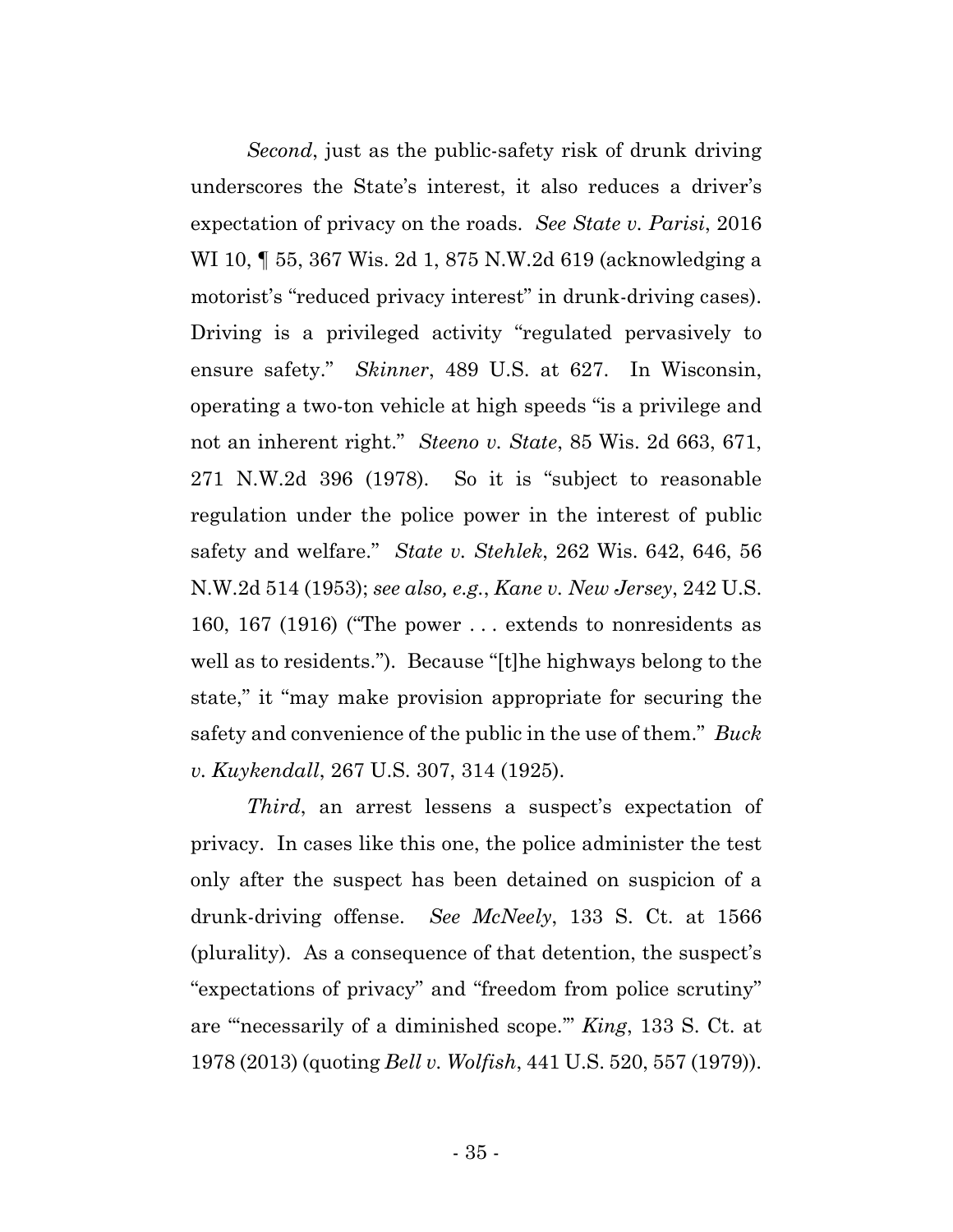*Second*, just as the public-safety risk of drunk driving underscores the State's interest, it also reduces a driver's expectation of privacy on the roads. *See State v. Parisi*, 2016 WI 10, ¶ 55, 367 Wis. 2d 1, 875 N.W.2d 619 (acknowledging a motorist's "reduced privacy interest" in drunk-driving cases). Driving is a privileged activity "regulated pervasively to ensure safety." *Skinner*, 489 U.S. at 627. In Wisconsin, operating a two-ton vehicle at high speeds "is a privilege and not an inherent right." *Steeno v. State*, 85 Wis. 2d 663, 671, 271 N.W.2d 396 (1978). So it is "subject to reasonable regulation under the police power in the interest of public safety and welfare." *State v. Stehlek*, 262 Wis. 642, 646, 56 N.W.2d 514 (1953); *see also, e.g.*, *Kane v. New Jersey*, 242 U.S. 160, 167 (1916) ("The power . . . extends to nonresidents as well as to residents."). Because "[t]he highways belong to the state," it "may make provision appropriate for securing the safety and convenience of the public in the use of them." *Buck v. Kuykendall*, 267 U.S. 307, 314 (1925).

*Third*, an arrest lessens a suspect's expectation of privacy. In cases like this one, the police administer the test only after the suspect has been detained on suspicion of a drunk-driving offense. *See McNeely*, 133 S. Ct. at 1566 (plurality). As a consequence of that detention, the suspect's "expectations of privacy" and "freedom from police scrutiny" are "'necessarily of a diminished scope.'" *King*, 133 S. Ct. at 1978 (2013) (quoting *Bell v. Wolfish*, 441 U.S. 520, 557 (1979)).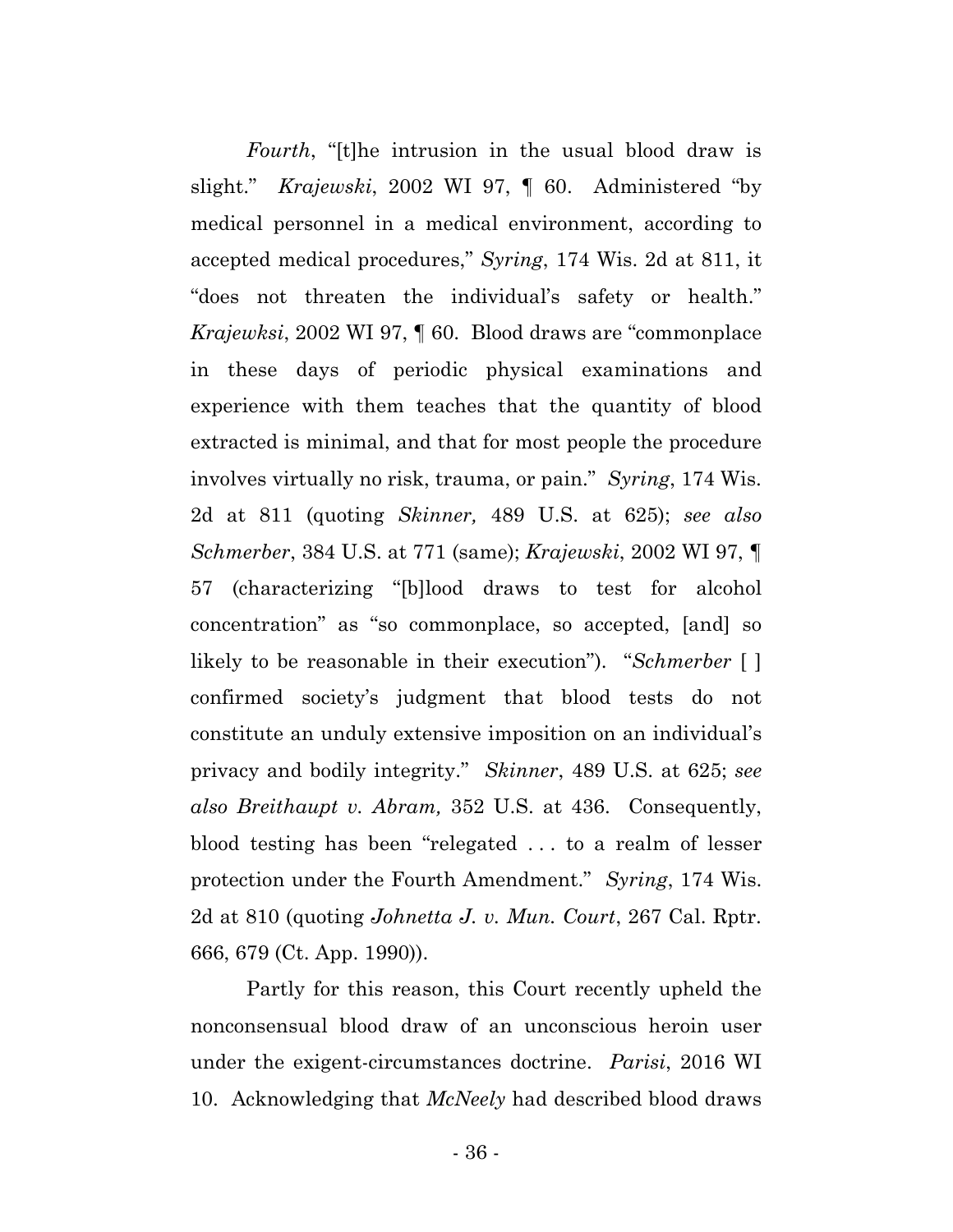*Fourth*, "[t]he intrusion in the usual blood draw is slight." *Krajewski*, 2002 WI 97, ¶ 60. Administered "by medical personnel in a medical environment, according to accepted medical procedures," *Syring*, 174 Wis. 2d at 811, it "does not threaten the individual's safety or health." *Krajewksi*, 2002 WI 97, ¶ 60. Blood draws are "commonplace in these days of periodic physical examinations and experience with them teaches that the quantity of blood extracted is minimal, and that for most people the procedure involves virtually no risk, trauma, or pain." *Syring*, 174 Wis. 2d at 811 (quoting *Skinner,* 489 U.S. at 625); *see also Schmerber*, 384 U.S. at 771 (same); *Krajewski*, 2002 WI 97, ¶ 57 (characterizing "[b]lood draws to test for alcohol concentration" as "so commonplace, so accepted, [and] so likely to be reasonable in their execution"). "*Schmerber* [ ] confirmed society's judgment that blood tests do not constitute an unduly extensive imposition on an individual's privacy and bodily integrity." *Skinner*, 489 U.S. at 625; *see also Breithaupt v. Abram,* 352 U.S. at 436. Consequently, blood testing has been "relegated . . . to a realm of lesser protection under the Fourth Amendment." *Syring*, 174 Wis. 2d at 810 (quoting *Johnetta J. v. Mun. Court*, 267 Cal. Rptr. 666, 679 (Ct. App. 1990)).

Partly for this reason, this Court recently upheld the nonconsensual blood draw of an unconscious heroin user under the exigent-circumstances doctrine. *Parisi*, 2016 WI 10. Acknowledging that *McNeely* had described blood draws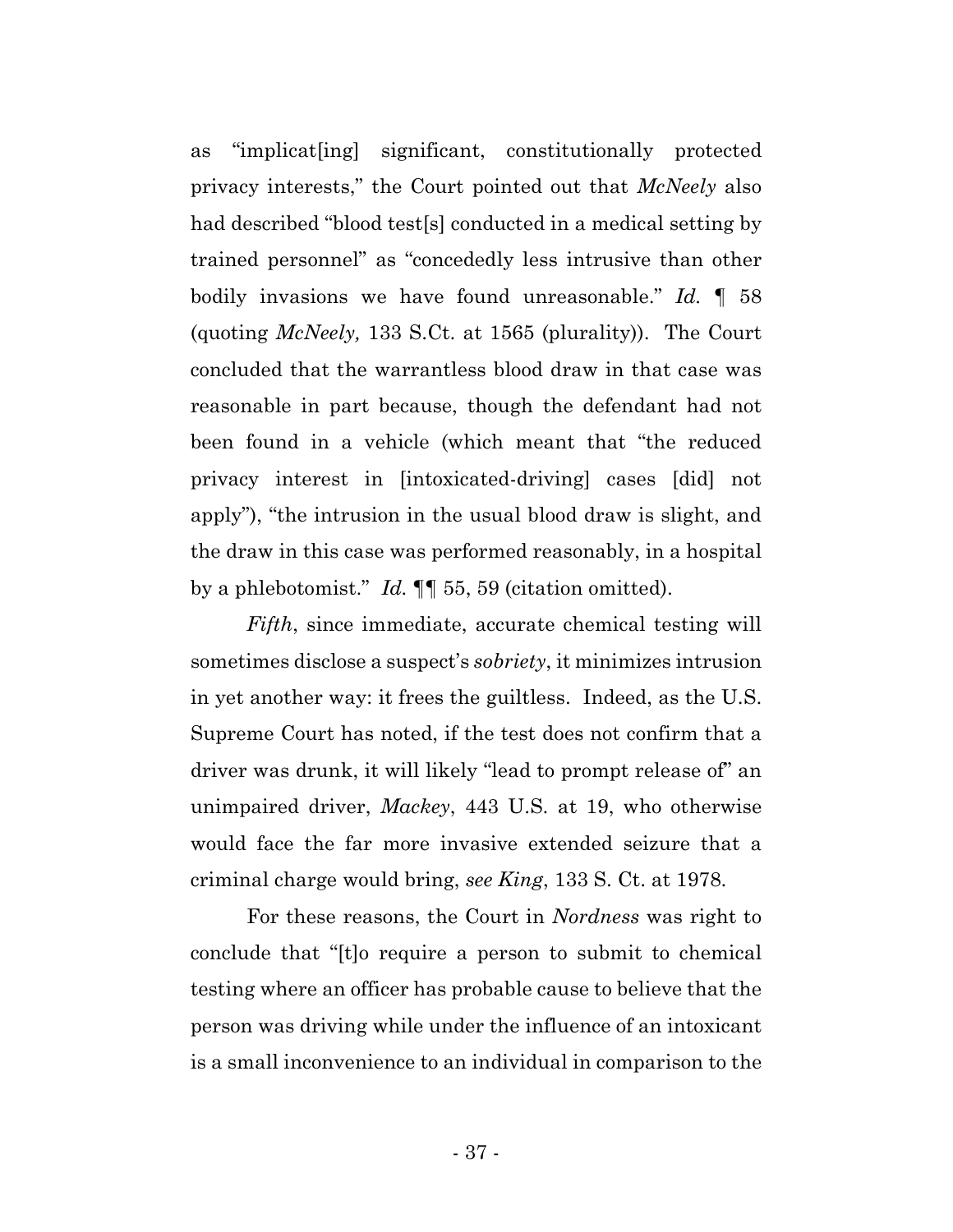as "implicat[ing] significant, constitutionally protected privacy interests," the Court pointed out that *McNeely* also had described "blood test[s] conducted in a medical setting by trained personnel" as "concededly less intrusive than other bodily invasions we have found unreasonable." *Id.* ¶ 58 (quoting *McNeely,* 133 S.Ct. at 1565 (plurality)). The Court concluded that the warrantless blood draw in that case was reasonable in part because, though the defendant had not been found in a vehicle (which meant that "the reduced privacy interest in [intoxicated-driving] cases [did] not apply"), "the intrusion in the usual blood draw is slight, and the draw in this case was performed reasonably, in a hospital by a phlebotomist." *Id.* ¶¶ 55, 59 (citation omitted).

*Fifth*, since immediate, accurate chemical testing will sometimes disclose a suspect's *sobriety*, it minimizes intrusion in yet another way: it frees the guiltless. Indeed, as the U.S. Supreme Court has noted, if the test does not confirm that a driver was drunk, it will likely "lead to prompt release of" an unimpaired driver, *Mackey*, 443 U.S. at 19, who otherwise would face the far more invasive extended seizure that a criminal charge would bring, *see King*, 133 S. Ct. at 1978.

For these reasons, the Court in *Nordness* was right to conclude that "[t]o require a person to submit to chemical testing where an officer has probable cause to believe that the person was driving while under the influence of an intoxicant is a small inconvenience to an individual in comparison to the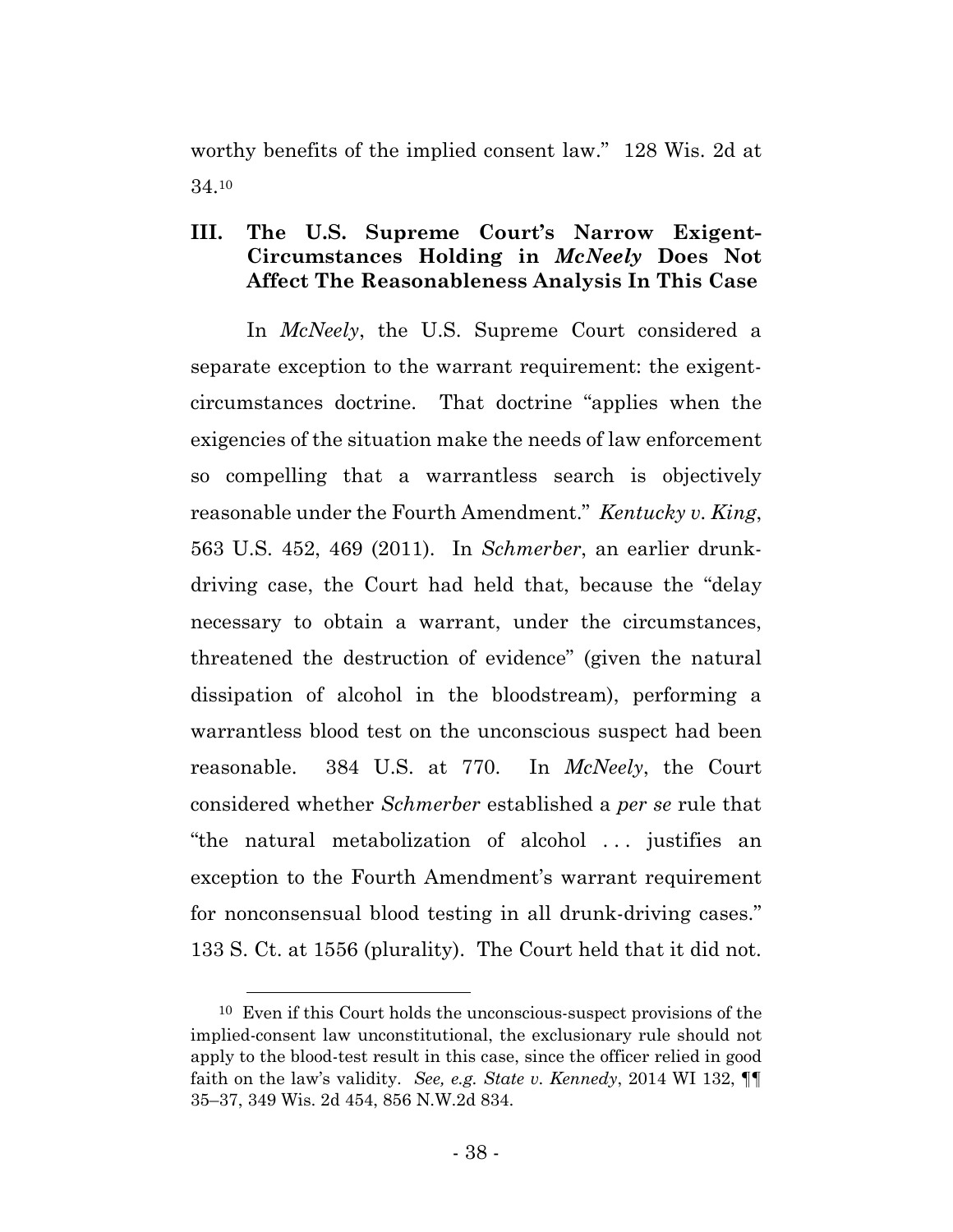worthy benefits of the implied consent law." 128 Wis. 2d at 34.10

## **III. The U.S. Supreme Court's Narrow Exigent-Circumstances Holding in** *McNeely* **Does Not Affect The Reasonableness Analysis In This Case**

In *McNeely*, the U.S. Supreme Court considered a separate exception to the warrant requirement: the exigentcircumstances doctrine. That doctrine "applies when the exigencies of the situation make the needs of law enforcement so compelling that a warrantless search is objectively reasonable under the Fourth Amendment." *Kentucky v. King*, 563 U.S. 452, 469 (2011). In *Schmerber*, an earlier drunkdriving case, the Court had held that, because the "delay necessary to obtain a warrant, under the circumstances, threatened the destruction of evidence" (given the natural dissipation of alcohol in the bloodstream), performing a warrantless blood test on the unconscious suspect had been reasonable. 384 U.S. at 770. In *McNeely*, the Court considered whether *Schmerber* established a *per se* rule that "the natural metabolization of alcohol . . . justifies an exception to the Fourth Amendment's warrant requirement for nonconsensual blood testing in all drunk-driving cases." 133 S. Ct. at 1556 (plurality). The Court held that it did not.

 <sup>10</sup> Even if this Court holds the unconscious-suspect provisions of the implied-consent law unconstitutional, the exclusionary rule should not apply to the blood-test result in this case, since the officer relied in good faith on the law's validity. *See, e.g. State v. Kennedy*, 2014 WI 132, ¶¶ 35–37, 349 Wis. 2d 454, 856 N.W.2d 834.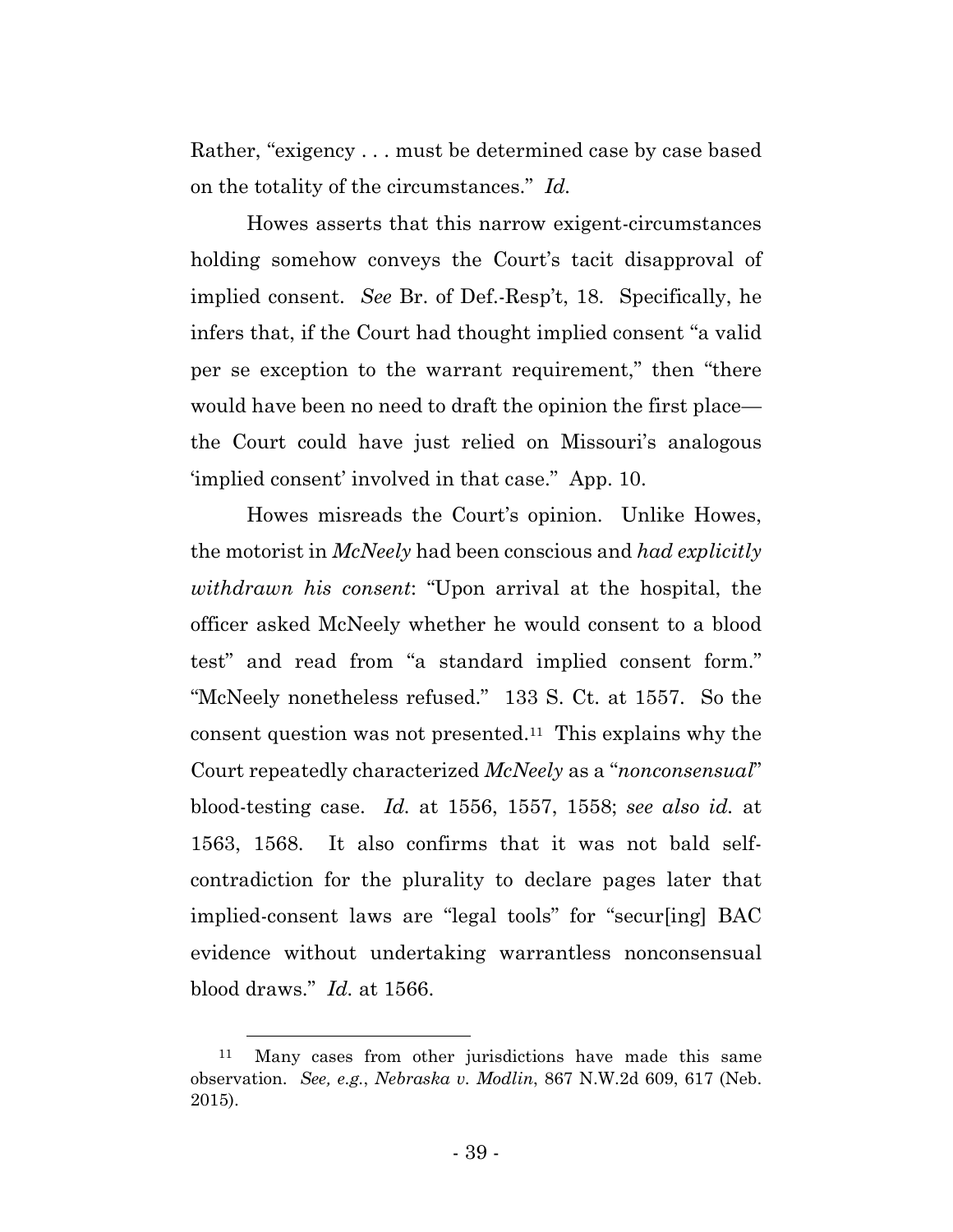Rather, "exigency . . . must be determined case by case based on the totality of the circumstances." *Id.*

Howes asserts that this narrow exigent-circumstances holding somehow conveys the Court's tacit disapproval of implied consent. *See* Br. of Def.-Resp't, 18. Specifically, he infers that, if the Court had thought implied consent "a valid per se exception to the warrant requirement," then "there would have been no need to draft the opinion the first place the Court could have just relied on Missouri's analogous 'implied consent' involved in that case." App. 10.

Howes misreads the Court's opinion. Unlike Howes, the motorist in *McNeely* had been conscious and *had explicitly withdrawn his consent*: "Upon arrival at the hospital, the officer asked McNeely whether he would consent to a blood test" and read from "a standard implied consent form." "McNeely nonetheless refused." 133 S. Ct. at 1557. So the consent question was not presented.11 This explains why the Court repeatedly characterized *McNeely* as a "*nonconsensual*" blood-testing case. *Id.* at 1556, 1557, 1558; *see also id.* at 1563, 1568. It also confirms that it was not bald selfcontradiction for the plurality to declare pages later that implied-consent laws are "legal tools" for "secur[ing] BAC evidence without undertaking warrantless nonconsensual blood draws." *Id.* at 1566.

 <sup>11</sup> Many cases from other jurisdictions have made this same observation. *See, e.g.*, *Nebraska v. Modlin*, 867 N.W.2d 609, 617 (Neb. 2015).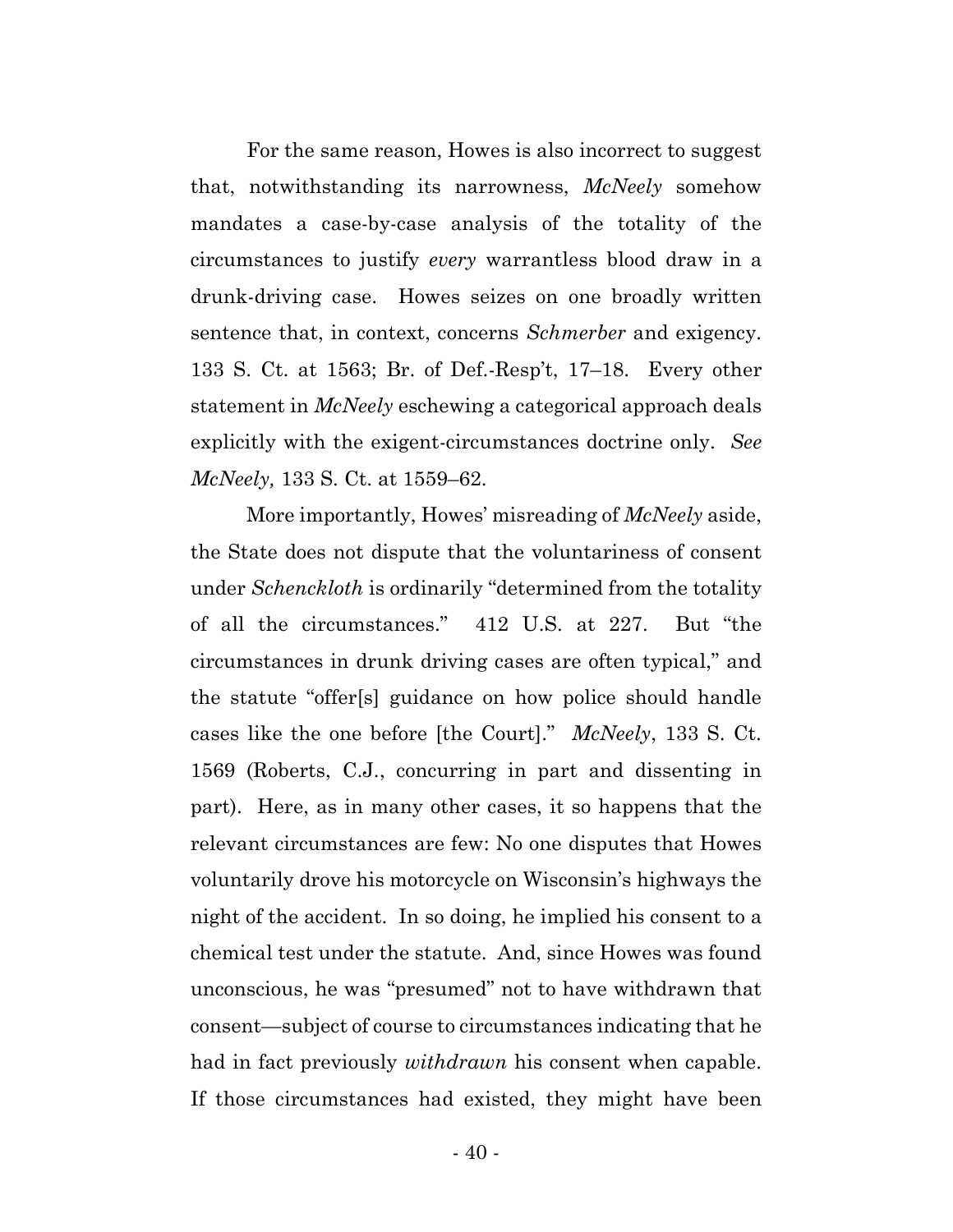For the same reason, Howes is also incorrect to suggest that, notwithstanding its narrowness, *McNeely* somehow mandates a case-by-case analysis of the totality of the circumstances to justify *every* warrantless blood draw in a drunk-driving case. Howes seizes on one broadly written sentence that, in context, concerns *Schmerber* and exigency. 133 S. Ct. at 1563; Br. of Def.-Resp't, 17–18. Every other statement in *McNeely* eschewing a categorical approach deals explicitly with the exigent-circumstances doctrine only. *See McNeely,* 133 S. Ct. at 1559–62.

More importantly, Howes' misreading of *McNeely* aside, the State does not dispute that the voluntariness of consent under *Schenckloth* is ordinarily "determined from the totality of all the circumstances." 412 U.S. at 227. But "the circumstances in drunk driving cases are often typical," and the statute "offer[s] guidance on how police should handle cases like the one before [the Court]." *McNeely*, 133 S. Ct. 1569 (Roberts, C.J., concurring in part and dissenting in part). Here, as in many other cases, it so happens that the relevant circumstances are few: No one disputes that Howes voluntarily drove his motorcycle on Wisconsin's highways the night of the accident. In so doing, he implied his consent to a chemical test under the statute. And, since Howes was found unconscious, he was "presumed" not to have withdrawn that consent—subject of course to circumstances indicating that he had in fact previously *withdrawn* his consent when capable. If those circumstances had existed, they might have been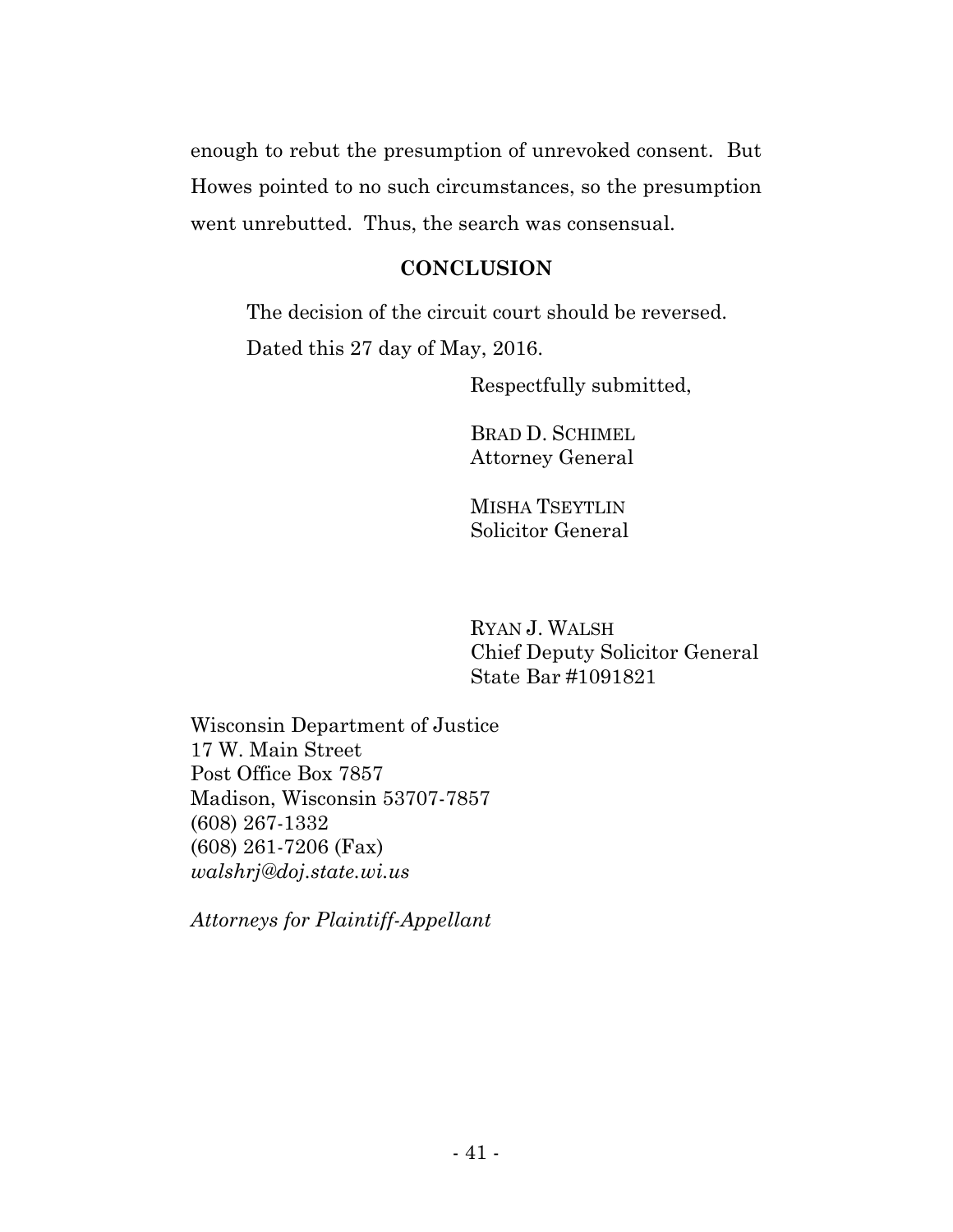enough to rebut the presumption of unrevoked consent. But Howes pointed to no such circumstances, so the presumption went unrebutted. Thus, the search was consensual.

## **CONCLUSION**

The decision of the circuit court should be reversed.

Dated this 27 day of May, 2016.

Respectfully submitted,

BRAD D. SCHIMEL Attorney General

MISHA TSEYTLIN Solicitor General

RYAN J. WALSH Chief Deputy Solicitor General State Bar #1091821

Wisconsin Department of Justice 17 W. Main Street Post Office Box 7857 Madison, Wisconsin 53707-7857 (608) 267-1332 (608) 261-7206 (Fax) *walshrj@doj.state.wi.us* 

*Attorneys for Plaintiff-Appellant*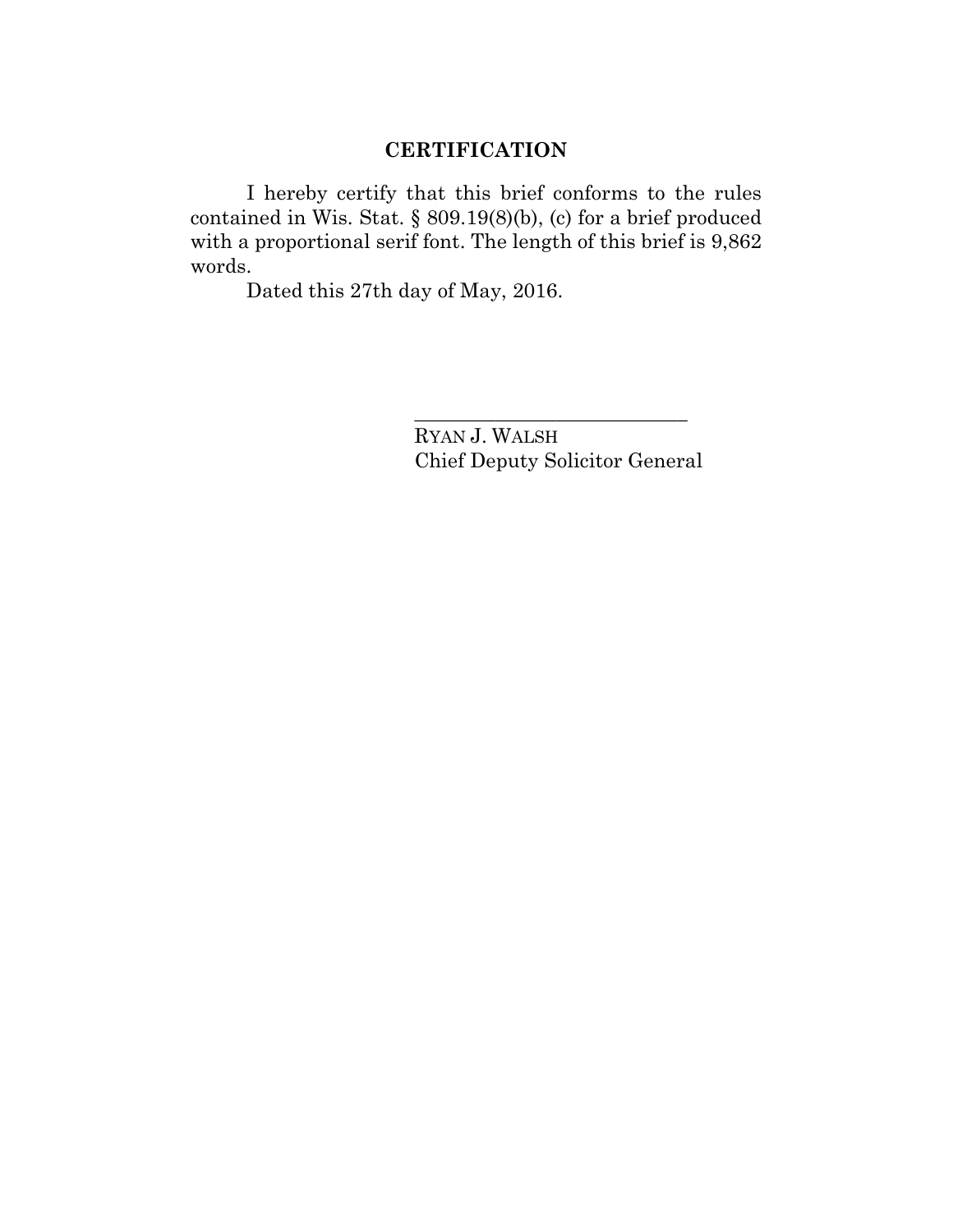## **CERTIFICATION**

I hereby certify that this brief conforms to the rules contained in Wis. Stat. § 809.19(8)(b), (c) for a brief produced with a proportional serif font. The length of this brief is 9,862 words.

Dated this 27th day of May, 2016.

RYAN J. WALSH Chief Deputy Solicitor General

\_\_\_\_\_\_\_\_\_\_\_\_\_\_\_\_\_\_\_\_\_\_\_\_\_\_\_